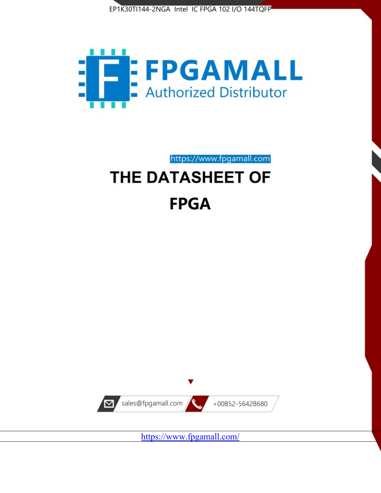



https://www.fpgamall.com

# THE DATASHEET OF **FPGA**



<https://www.fpgamall.com/>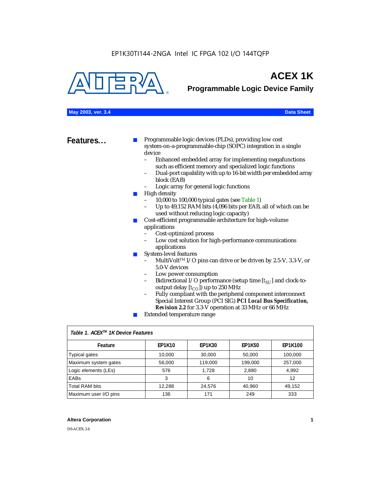

# **ACEX 1K**

**Programmable Logic Device Family**

| May 2003, ver. 3.4 | <b>Data Sheet</b> |
|--------------------|-------------------|
|--------------------|-------------------|

**Features...** ■ Programmable logic devices (PLDs), providing low cost system-on-a-programmable-chip (SOPC) integration in a single  $device$ <br> $-$  En

- Enhanced embedded array for implementing megafunctions such as efficient memory and specialized logic functions
- Dual-port capability with up to 16-bit width per embedded array block (EAB)
- Logic array for general logic functions
- High density
	- 10,000 to 100,000 typical gates (see Table 1)
	- Up to 49,152 RAM bits (4,096 bits per EAB, all of which can be used without reducing logic capacity)
- Cost-efficient programmable architecture for high-volume applications
	- Cost-optimized process
	- Low cost solution for high-performance communications applications
- System-level features
	- MultiVolt<sup>™</sup> I/O pins can drive or be driven by 2.5-V, 3.3-V, or 5.0-V devices
	- Low power consumption
	- Bidirectional I/O performance (setup time [ $t_{SU}$ ] and clock-tooutput delay  $[t_{CO}]$ ) up to 250 MHz
	- Fully compliant with the peripheral component interconnect Special Interest Group (PCI SIG) *PCI Local Bus Specification, Revision 2.2* for 3.3-V operation at 33 MHz or 66 MHz
	- Extended temperature range

| Table 1. ACEX™ 1K Device Features |               |               |               |                |  |  |  |
|-----------------------------------|---------------|---------------|---------------|----------------|--|--|--|
| Feature                           | <b>EP1K10</b> | <b>EP1K30</b> | <b>EP1K50</b> | <b>EP1K100</b> |  |  |  |
| <b>Typical gates</b>              | 10,000        | 30,000        | 50,000        | 100,000        |  |  |  |
| Maximum system gates              | 56,000        | 119,000       | 199,000       | 257,000        |  |  |  |
| Logic elements (LEs)              | 576           | 1.728         | 2,880         | 4,992          |  |  |  |
| <b>EABs</b>                       | 3             | 6             | 10            | 12             |  |  |  |
| <b>Total RAM bits</b>             | 12,288        | 24,576        | 40.960        | 49.152         |  |  |  |
| Maximum user I/O pins             | 136           | 171           | 249           | 333            |  |  |  |

## **Altera Corporation 1**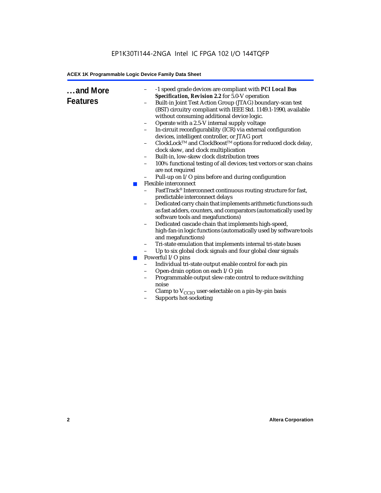## EP1K30TI144-2NGA Intel IC FPGA 102 I/O 144TQFP

## **ACEX 1K Programmable Logic Device Family Data Sheet**

| and More<br><b>Features</b> | <b>COL</b><br><b>COL</b> | -1 speed grade devices are compliant with PCI Local Bus<br>Specification, Revision 2.2 for 5.0-V operation<br>Built-in Joint Test Action Group (JTAG) boundary-scan test<br>(BST) circuitry compliant with IEEE Std. 1149.1-1990, available<br>without consuming additional device logic.<br>Operate with a 2.5-V internal supply voltage<br>$\qquad \qquad -$<br>In-circuit reconfigurability (ICR) via external configuration<br>devices, intelligent controller, or JTAG port<br>ClockLock™ and ClockBoost™ options for reduced clock delay,<br>clock skew, and clock multiplication<br>Built-in, low-skew clock distribution trees<br>$\overline{\phantom{a}}$<br>100% functional testing of all devices; test vectors or scan chains<br>$\qquad \qquad -$<br>are not required<br>Pull-up on I/O pins before and during configuration<br>Flexible interconnect<br>FastTrack® Interconnect continuous routing structure for fast,<br>predictable interconnect delays<br>Dedicated carry chain that implements arithmetic functions such<br>-<br>as fast adders, counters, and comparators (automatically used by<br>software tools and megafunctions)<br>Dedicated cascade chain that implements high-speed,<br>$\qquad \qquad -$<br>high-fan-in logic functions (automatically used by software tools<br>and megafunctions)<br>Tri-state emulation that implements internal tri-state buses<br>-<br>Up to six global clock signals and four global clear signals<br>Powerful I/O pins<br>Individual tri-state output enable control for each pin<br>$\qquad \qquad -$<br>Open-drain option on each I/O pin<br>Programmable output slew-rate control to reduce switching<br>$\qquad \qquad -$<br>noise<br>Clamp to $V_{\text{CCIO}}$ user-selectable on a pin-by-pin basis<br>Supports hot-socketing |
|-----------------------------|--------------------------|---------------------------------------------------------------------------------------------------------------------------------------------------------------------------------------------------------------------------------------------------------------------------------------------------------------------------------------------------------------------------------------------------------------------------------------------------------------------------------------------------------------------------------------------------------------------------------------------------------------------------------------------------------------------------------------------------------------------------------------------------------------------------------------------------------------------------------------------------------------------------------------------------------------------------------------------------------------------------------------------------------------------------------------------------------------------------------------------------------------------------------------------------------------------------------------------------------------------------------------------------------------------------------------------------------------------------------------------------------------------------------------------------------------------------------------------------------------------------------------------------------------------------------------------------------------------------------------------------------------------------------------------------------------------------------------------------------------------------------------------------------------------------------------------------------|
|                             |                          |                                                                                                                                                                                                                                                                                                                                                                                                                                                                                                                                                                                                                                                                                                                                                                                                                                                                                                                                                                                                                                                                                                                                                                                                                                                                                                                                                                                                                                                                                                                                                                                                                                                                                                                                                                                                         |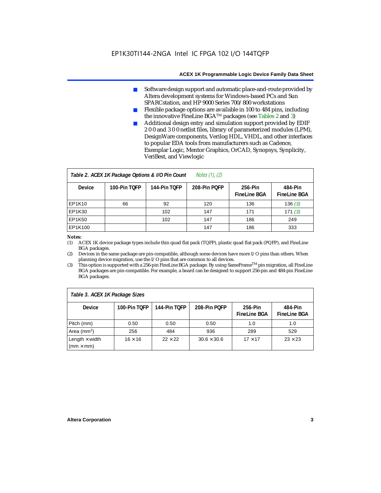- Software design support and automatic place-and-route provided by Altera development systems for Windows-based PCs and Sun SPARCstation, and HP 9000 Series 700/800 workstations
- Flexible package options are available in 100 to 484 pins, including the innovative FineLine BGATM packages (see Tables 2 and 3)
- Additional design entry and simulation support provided by EDIF 2 0 0 and 3 0 0 netlist files, library of parameterized modules (LPM), DesignWare components, Verilog HDL, VHDL, and other interfaces to popular EDA tools from manufacturers such as Cadence, Exemplar Logic, Mentor Graphics, OrCAD, Synopsys, Synplicity, VeriBest, and Viewlogic

| <i>Notes <math>(1)</math>, <math>(2)</math></i><br>Table 2. ACEX 1K Package Options & I/O Pin Count |              |              |              |                                |                                |  |  |
|-----------------------------------------------------------------------------------------------------|--------------|--------------|--------------|--------------------------------|--------------------------------|--|--|
| <b>Device</b>                                                                                       | 100-Pin TOFP | 144-Pin TOFP | 208-Pin POFP | 256-Pin<br><b>FineLine BGA</b> | 484-Pin<br><b>FineLine BGA</b> |  |  |
| <b>EP1K10</b>                                                                                       | 66           | 92           | 120          | 136                            | 136(3)                         |  |  |
| <b>EP1K30</b>                                                                                       |              | 102          | 147          | 171                            | 171(3)                         |  |  |
| <b>EP1K50</b>                                                                                       |              | 102          | 147          | 186                            | 249                            |  |  |
| EP1K100                                                                                             |              |              | 147          | 186                            | 333                            |  |  |

## *Notes:*

(1) ACEX 1K device package types include thin quad flat pack (TQFP), plastic quad flat pack (PQFP), and FineLine BGA packages.

(2) Devices in the same package are pin-compatible, although some devices have more I/O pins than others. When planning device migration, use the I/O pins that are common to all devices.

(3) This option is supported with a 256-pin FineLine BGA package. By using SameFrameTM pin migration, all FineLine BGA packages are pin-compatible. For example, a board can be designed to support 256-pin and 484-pin FineLine BGA packages.

| Table 3. ACEX 1K Package Sizes                           |                |                |                    |                                |                                |  |
|----------------------------------------------------------|----------------|----------------|--------------------|--------------------------------|--------------------------------|--|
| <b>Device</b>                                            | 100-Pin TOFP   | 144-Pin TOFP   | 208-Pin POFP       | 256-Pin<br><b>FineLine BGA</b> | 484-Pin<br><b>FineLine BGA</b> |  |
| Pitch (mm)                                               | 0.50           | 0.50           | 0.50               | 1.0                            | 1.0                            |  |
| Area ( $mm2$ )                                           | 256            | 484            | 936                | 289                            | 529                            |  |
| Length $\times$ width<br>$\mathsf{mmm}\times\mathsf{mm}$ | $16 \times 16$ | $22 \times 22$ | $30.6 \times 30.6$ | $17 \times 17$                 | $23 \times 23$                 |  |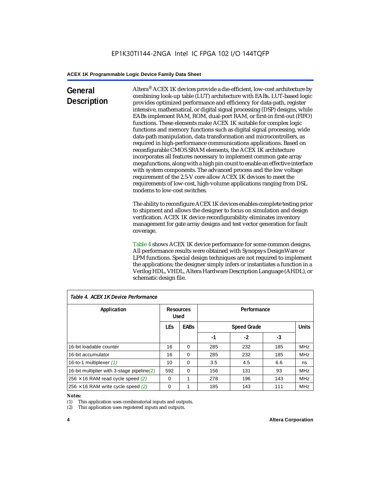## **General Description**

Altera® ACEX 1K devices provide a die-efficient, low-cost architecture by combining look-up table (LUT) architecture with EABs. LUT-based logic provides optimized performance and efficiency for data-path, register intensive, mathematical, or digital signal processing (DSP) designs, while EABs implement RAM, ROM, dual-port RAM, or first-in first-out (FIFO) functions. These elements make ACEX 1K suitable for complex logic functions and memory functions such as digital signal processing, wide data-path manipulation, data transformation and microcontrollers, as required in high-performance communications applications. Based on reconfigurable CMOS SRAM elements, the ACEX 1K architecture incorporates all features necessary to implement common gate array megafunctions, along with a high pin count to enable an effective interface with system components. The advanced process and the low voltage requirement of the 2.5-V core allow ACEX 1K devices to meet the requirements of low-cost, high-volume applications ranging from DSL modems to low-cost switches.

The ability to reconfigure ACEX 1K devices enables complete testing prior to shipment and allows the designer to focus on simulation and design verification. ACEX 1K device reconfigurability eliminates inventory management for gate array designs and test vector generation for fault coverage.

Table 4 shows ACEX 1K device performance for some common designs. All performance results were obtained with Synopsys DesignWare or LPM functions. Special design techniques are not required to implement the applications; the designer simply infers or instantiates a function in a Verilog HDL, VHDL, Altera Hardware Description Language (AHDL), or schematic design file.

| Table 4. ACEX 1K Device Performance        |                          |             |             |                    |     |              |  |
|--------------------------------------------|--------------------------|-------------|-------------|--------------------|-----|--------------|--|
| Application                                | Resources<br><b>Used</b> |             | Performance |                    |     |              |  |
|                                            | <b>LEs</b>               | <b>EABs</b> |             | <b>Speed Grade</b> |     | <b>Units</b> |  |
|                                            |                          |             | -1          | $-2$               | -3  |              |  |
| 16-bit loadable counter                    | 16                       | $\Omega$    | 285         | 232                | 185 | <b>MHz</b>   |  |
| 16-bit accumulator                         | 16                       | $\Omega$    | 285         | 232                | 185 | <b>MHz</b>   |  |
| 16-to-1 multiplexer (1)                    | 10                       | $\Omega$    | 3.5         | 4.5                | 6.6 | ns           |  |
| 16-bit multiplier with 3-stage pipeline(2) | 592                      | $\Omega$    | 156         | 131                | 93  | <b>MHz</b>   |  |
| $256 \times 16$ RAM read cycle speed (2)   | $\Omega$                 | 1           | 278         | 196                | 143 | <b>MHz</b>   |  |
| $256 \times 16$ RAM write cycle speed (2)  | $\Omega$                 |             | 185         | 143                | 111 | <b>MHz</b>   |  |

## *Table 4. ACEX 1K Device Performance*

#### *Notes:*

(1) This application uses combinatorial inputs and outputs.

(2) This application uses registered inputs and outputs.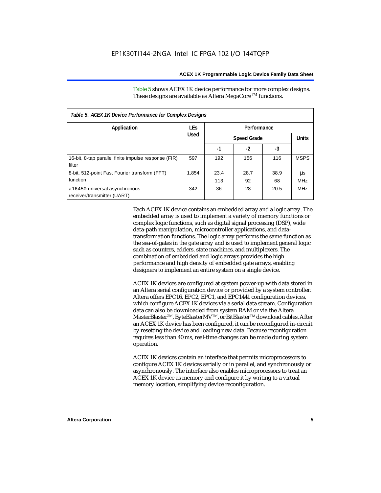Table 5 shows ACEX 1K device performance for more complex designs. These designs are available as Altera MegaCore<sup>TM</sup> functions.

| Table 5. ACEX 1K Device Performance for Complex Designs        |            |      |                    |      |              |  |
|----------------------------------------------------------------|------------|------|--------------------|------|--------------|--|
| Application                                                    | <b>LEs</b> |      | Performance        |      |              |  |
|                                                                | Used       |      | <b>Speed Grade</b> |      | <b>Units</b> |  |
|                                                                |            | -1   | $-2$               | -3   |              |  |
| 16-bit, 8-tap parallel finite impulse response (FIR)<br>filter | 597        | 192  | 156                | 116  | <b>MSPS</b>  |  |
| 8-bit, 512-point Fast Fourier transform (FFT)                  | 1.854      | 23.4 | 28.7               | 38.9 | μs           |  |
| function                                                       |            | 113  | 92                 | 68   | <b>MHz</b>   |  |
| a16450 universal asynchronous<br>receiver/transmitter (UART)   | 342        | 36   | 28                 | 20.5 | <b>MHz</b>   |  |

Each ACEX 1K device contains an embedded array and a logic array. The embedded array is used to implement a variety of memory functions or complex logic functions, such as digital signal processing (DSP), wide data-path manipulation, microcontroller applications, and datatransformation functions. The logic array performs the same function as the sea-of-gates in the gate array and is used to implement general logic such as counters, adders, state machines, and multiplexers. The combination of embedded and logic arrays provides the high performance and high density of embedded gate arrays, enabling designers to implement an entire system on a single device.

ACEX 1K devices are configured at system power-up with data stored in an Altera serial configuration device or provided by a system controller. Altera offers EPC16, EPC2, EPC1, and EPC1441 configuration devices, which configure ACEX 1K devices via a serial data stream. Configuration data can also be downloaded from system RAM or via the Altera MasterBlaster™, ByteBlasterMV™, or BitBlaster™ download cables. After an ACEX 1K device has been configured, it can be reconfigured in-circuit by resetting the device and loading new data. Because reconfiguration requires less than 40 ms, real-time changes can be made during system operation.

ACEX 1K devices contain an interface that permits microprocessors to configure ACEX 1K devices serially or in parallel, and synchronously or asynchronously. The interface also enables microprocessors to treat an ACEX 1K device as memory and configure it by writing to a virtual memory location, simplifying device reconfiguration.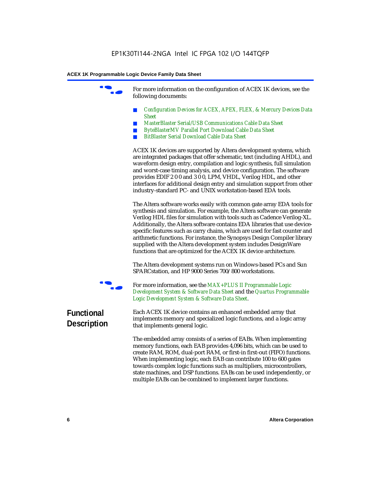For more information on the configuration of ACEX 1K devices, see the following documents:

- *Configuration Devices for ACEX, APEX, FLEX, & Mercury Devices Data Sheet*
- *MasterBlaster Serial/USB Communications Cable Data Sheet*
- *ByteBlasterMV Parallel Port Download Cable Data Sheet*
- *BitBlaster Serial Download Cable Data Sheet*

ACEX 1K devices are supported by Altera development systems, which are integrated packages that offer schematic, text (including AHDL), and waveform design entry, compilation and logic synthesis, full simulation and worst-case timing analysis, and device configuration. The software provides EDIF 2 0 0 and 3 0 0, LPM, VHDL, Verilog HDL, and other interfaces for additional design entry and simulation support from other industry-standard PC- and UNIX workstation-based EDA tools.

The Altera software works easily with common gate array EDA tools for synthesis and simulation. For example, the Altera software can generate Verilog HDL files for simulation with tools such as Cadence Verilog-XL. Additionally, the Altera software contains EDA libraries that use devicespecific features such as carry chains, which are used for fast counter and arithmetic functions. For instance, the Synopsys Design Compiler library supplied with the Altera development system includes DesignWare functions that are optimized for the ACEX 1K device architecture.

The Altera development systems run on Windows-based PCs and Sun SPARCstation, and HP 9000 Series 700/800 workstations.



For more information, see the *MAX+PLUS II Programmable Logic Development System & Software Data Sheet* and the *Quartus Programmable Logic Development System & Software Data Sheet*.

## **Functional Description**

Each ACEX 1K device contains an enhanced embedded array that implements memory and specialized logic functions, and a logic array that implements general logic.

The embedded array consists of a series of EABs. When implementing memory functions, each EAB provides 4,096 bits, which can be used to create RAM, ROM, dual-port RAM, or first-in first-out (FIFO) functions. When implementing logic, each EAB can contribute 100 to 600 gates towards complex logic functions such as multipliers, microcontrollers, state machines, and DSP functions. EABs can be used independently, or multiple EABs can be combined to implement larger functions.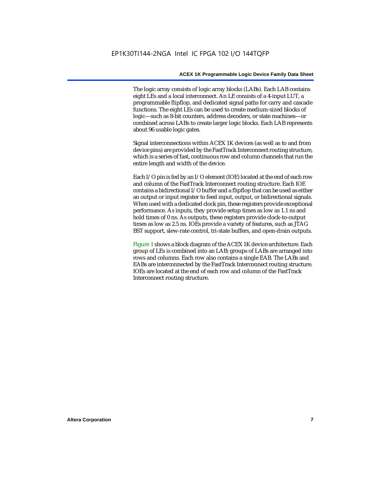The logic array consists of logic array blocks (LABs). Each LAB contains eight LEs and a local interconnect. An LE consists of a 4-input LUT, a programmable flipflop, and dedicated signal paths for carry and cascade functions. The eight LEs can be used to create medium-sized blocks of logic—such as 8-bit counters, address decoders, or state machines—or combined across LABs to create larger logic blocks. Each LAB represents about 96 usable logic gates.

Signal interconnections within ACEX 1K devices (as well as to and from device pins) are provided by the FastTrack Interconnect routing structure, which is a series of fast, continuous row and column channels that run the entire length and width of the device.

Each I/O pin is fed by an I/O element (IOE) located at the end of each row and column of the FastTrack Interconnect routing structure. Each IOE contains a bidirectional I/O buffer and a flipflop that can be used as either an output or input register to feed input, output, or bidirectional signals. When used with a dedicated clock pin, these registers provide exceptional performance. As inputs, they provide setup times as low as 1.1 ns and hold times of 0 ns. As outputs, these registers provide clock-to-output times as low as 2.5 ns. IOEs provide a variety of features, such as JTAG BST support, slew-rate control, tri-state buffers, and open-drain outputs.

Figure 1 shows a block diagram of the ACEX 1K device architecture. Each group of LEs is combined into an LAB; groups of LABs are arranged into rows and columns. Each row also contains a single EAB. The LABs and EABs are interconnected by the FastTrack Interconnect routing structure. IOEs are located at the end of each row and column of the FastTrack Interconnect routing structure.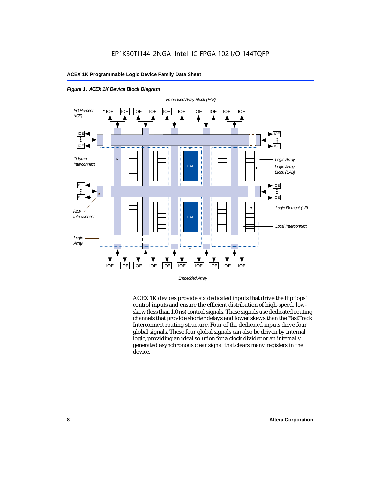

*Figure 1. ACEX 1K Device Block Diagram*

ACEX 1K devices provide six dedicated inputs that drive the flipflops' control inputs and ensure the efficient distribution of high-speed, lowskew (less than 1.0 ns) control signals. These signals use dedicated routing channels that provide shorter delays and lower skews than the FastTrack Interconnect routing structure. Four of the dedicated inputs drive four global signals. These four global signals can also be driven by internal logic, providing an ideal solution for a clock divider or an internally generated asynchronous clear signal that clears many registers in the device.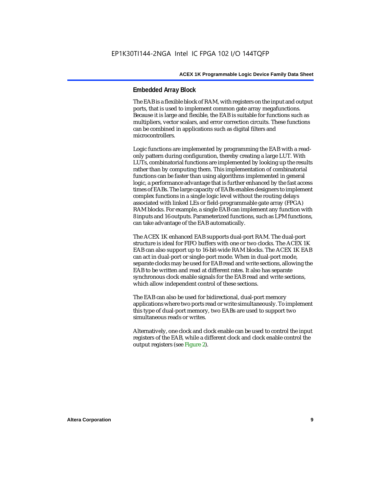## **Embedded Array Block**

The EAB is a flexible block of RAM, with registers on the input and output ports, that is used to implement common gate array megafunctions. Because it is large and flexible, the EAB is suitable for functions such as multipliers, vector scalars, and error correction circuits. These functions can be combined in applications such as digital filters and microcontrollers.

Logic functions are implemented by programming the EAB with a readonly pattern during configuration, thereby creating a large LUT. With LUTs, combinatorial functions are implemented by looking up the results rather than by computing them. This implementation of combinatorial functions can be faster than using algorithms implemented in general logic, a performance advantage that is further enhanced by the fast access times of EABs. The large capacity of EABs enables designers to implement complex functions in a single logic level without the routing delays associated with linked LEs or field-programmable gate array (FPGA) RAM blocks. For example, a single EAB can implement any function with 8 inputs and 16 outputs. Parameterized functions, such as LPM functions, can take advantage of the EAB automatically.

The ACEX 1K enhanced EAB supports dual-port RAM. The dual-port structure is ideal for FIFO buffers with one or two clocks. The ACEX 1K EAB can also support up to 16-bit-wide RAM blocks. The ACEX 1K EAB can act in dual-port or single-port mode. When in dual-port mode, separate clocks may be used for EAB read and write sections, allowing the EAB to be written and read at different rates. It also has separate synchronous clock enable signals for the EAB read and write sections, which allow independent control of these sections.

The EAB can also be used for bidirectional, dual-port memory applications where two ports read or write simultaneously. To implement this type of dual-port memory, two EABs are used to support two simultaneous reads or writes.

Alternatively, one clock and clock enable can be used to control the input registers of the EAB, while a different clock and clock enable control the output registers (see Figure 2).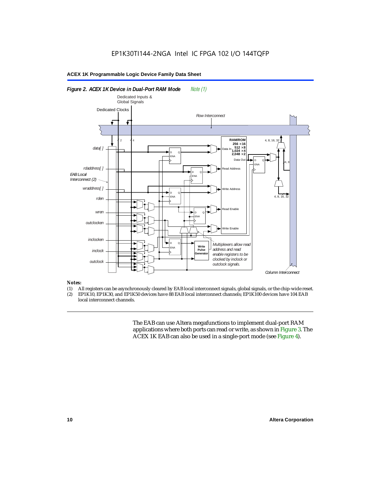

## *Notes:*

- (1) All registers can be asynchronously cleared by EAB local interconnect signals, global signals, or the chip-wide reset.<br>(2) EP1K10. EP1K30. and EP1K50 devices have 88 EAB local interconnect channels: EP1K100 devices hav
- EP1K10, EP1K30, and EP1K50 devices have 88 EAB local interconnect channels; EP1K100 devices have 104 EAB local interconnect channels.

The EAB can use Altera megafunctions to implement dual-port RAM applications where both ports can read or write, as shown in Figure 3. The ACEX 1K EAB can also be used in a single-port mode (see Figure 4).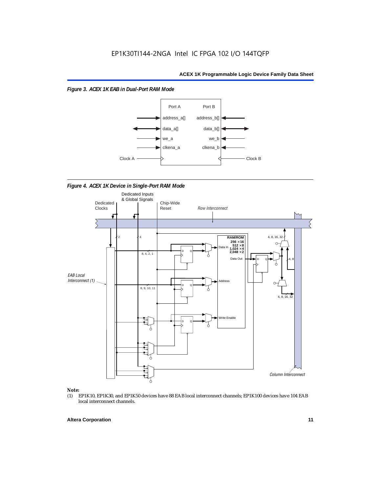*Figure 3. ACEX 1K EAB in Dual-Port RAM Mode*



*Figure 4. ACEX 1K Device in Single-Port RAM Mode* 



## *Note:*<br>(1) **H**

EP1K10, EP1K30, and EP1K50 devices have 88 EAB local interconnect channels; EP1K100 devices have 104 EAB local interconnect channels.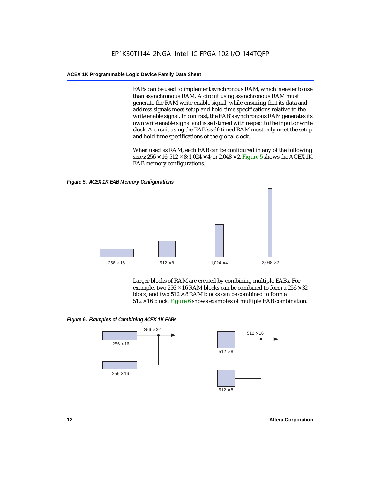EABs can be used to implement synchronous RAM, which is easier to use than asynchronous RAM. A circuit using asynchronous RAM must generate the RAM write enable signal, while ensuring that its data and address signals meet setup and hold time specifications relative to the write enable signal. In contrast, the EAB's synchronous RAM generates its own write enable signal and is self-timed with respect to the input or write clock. A circuit using the EAB's self-timed RAM must only meet the setup and hold time specifications of the global clock.

When used as RAM, each EAB can be configured in any of the following sizes:  $256 \times 16$ ;  $512 \times 8$ ;  $1,024 \times 4$ ; or  $2,048 \times 2$ . Figure 5 shows the ACEX 1K EAB memory configurations.



Larger blocks of RAM are created by combining multiple EABs. For example, two  $256 \times 16$  RAM blocks can be combined to form a  $256 \times 32$ block, and two  $512 \times 8$  RAM blocks can be combined to form a  $512 \times 16$  block. Figure 6 shows examples of multiple EAB combination.

## *Figure 6. Examples of Combining ACEX 1K EABs*



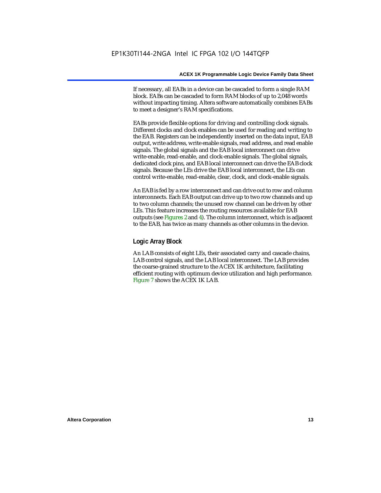If necessary, all EABs in a device can be cascaded to form a single RAM block. EABs can be cascaded to form RAM blocks of up to 2,048 words without impacting timing. Altera software automatically combines EABs to meet a designer's RAM specifications.

EABs provide flexible options for driving and controlling clock signals. Different clocks and clock enables can be used for reading and writing to the EAB. Registers can be independently inserted on the data input, EAB output, write address, write enable signals, read address, and read enable signals. The global signals and the EAB local interconnect can drive write-enable, read-enable, and clock-enable signals. The global signals, dedicated clock pins, and EAB local interconnect can drive the EAB clock signals. Because the LEs drive the EAB local interconnect, the LEs can control write-enable, read-enable, clear, clock, and clock-enable signals.

An EAB is fed by a row interconnect and can drive out to row and column interconnects. Each EAB output can drive up to two row channels and up to two column channels; the unused row channel can be driven by other LEs. This feature increases the routing resources available for EAB outputs (see Figures 2 and 4). The column interconnect, which is adjacent to the EAB, has twice as many channels as other columns in the device.

## **Logic Array Block**

An LAB consists of eight LEs, their associated carry and cascade chains, LAB control signals, and the LAB local interconnect. The LAB provides the coarse-grained structure to the ACEX 1K architecture, facilitating efficient routing with optimum device utilization and high performance. Figure 7 shows the ACEX 1K LAB.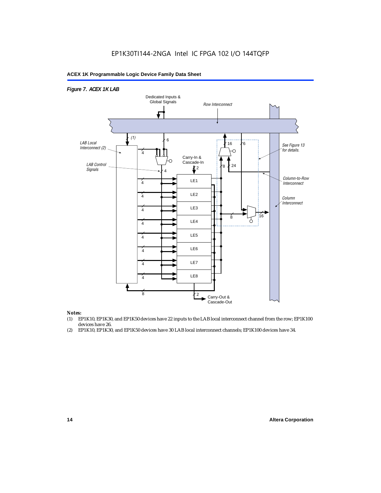## EP1K30TI144-2NGA Intel IC FPGA 102 I/O 144TQFP

## **ACEX 1K Programmable Logic Device Family Data Sheet**



#### *Notes:*

- (1) EP1K10, EP1K30, and EP1K50 devices have 22 inputs to the LAB local interconnect channel from the row; EP1K100 devices have 26.
- (2) EP1K10, EP1K30, and EP1K50 devices have 30 LAB local interconnect channels; EP1K100 devices have 34.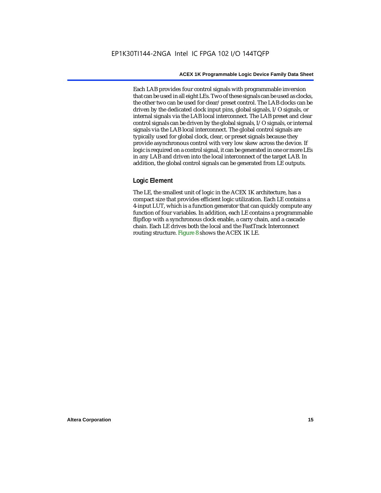Each LAB provides four control signals with programmable inversion that can be used in all eight LEs. Two of these signals can be used as clocks, the other two can be used for clear/preset control. The LAB clocks can be driven by the dedicated clock input pins, global signals, I/O signals, or internal signals via the LAB local interconnect. The LAB preset and clear control signals can be driven by the global signals, I/O signals, or internal signals via the LAB local interconnect. The global control signals are typically used for global clock, clear, or preset signals because they provide asynchronous control with very low skew across the device. If logic is required on a control signal, it can be generated in one or more LEs in any LAB and driven into the local interconnect of the target LAB. In addition, the global control signals can be generated from LE outputs.

## **Logic Element**

The LE, the smallest unit of logic in the ACEX 1K architecture, has a compact size that provides efficient logic utilization. Each LE contains a 4-input LUT, which is a function generator that can quickly compute any function of four variables. In addition, each LE contains a programmable flipflop with a synchronous clock enable, a carry chain, and a cascade chain. Each LE drives both the local and the FastTrack Interconnect routing structure. Figure 8 shows the ACEX 1K LE.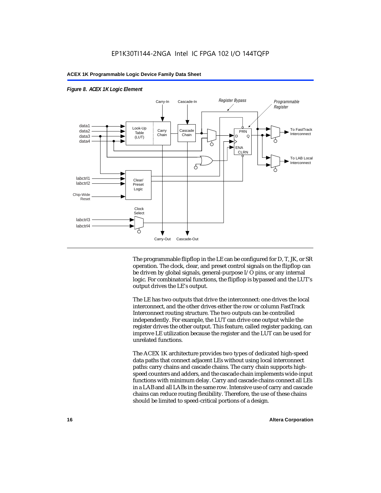

## *Figure 8. ACEX 1K Logic Element*

The programmable flipflop in the LE can be configured for D, T, JK, or SR operation. The clock, clear, and preset control signals on the flipflop can be driven by global signals, general-purpose I/O pins, or any internal logic. For combinatorial functions, the flipflop is bypassed and the LUT's output drives the LE's output.

The LE has two outputs that drive the interconnect: one drives the local interconnect, and the other drives either the row or column FastTrack Interconnect routing structure. The two outputs can be controlled independently. For example, the LUT can drive one output while the register drives the other output. This feature, called register packing, can improve LE utilization because the register and the LUT can be used for unrelated functions.

The ACEX 1K architecture provides two types of dedicated high-speed data paths that connect adjacent LEs without using local interconnect paths: carry chains and cascade chains. The carry chain supports highspeed counters and adders, and the cascade chain implements wide-input functions with minimum delay. Carry and cascade chains connect all LEs in a LAB and all LABs in the same row. Intensive use of carry and cascade chains can reduce routing flexibility. Therefore, the use of these chains should be limited to speed-critical portions of a design.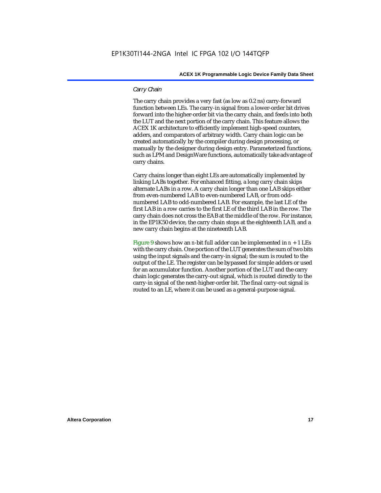## *Carry Chain*

The carry chain provides a very fast (as low as 0.2 ns) carry-forward function between LEs. The carry-in signal from a lower-order bit drives forward into the higher-order bit via the carry chain, and feeds into both the LUT and the next portion of the carry chain. This feature allows the ACEX 1K architecture to efficiently implement high-speed counters, adders, and comparators of arbitrary width. Carry chain logic can be created automatically by the compiler during design processing, or manually by the designer during design entry. Parameterized functions, such as LPM and DesignWare functions, automatically take advantage of carry chains.

Carry chains longer than eight LEs are automatically implemented by linking LABs together. For enhanced fitting, a long carry chain skips alternate LABs in a row. A carry chain longer than one LAB skips either from even-numbered LAB to even-numbered LAB, or from oddnumbered LAB to odd-numbered LAB. For example, the last LE of the first LAB in a row carries to the first LE of the third LAB in the row. The carry chain does not cross the EAB at the middle of the row. For instance, in the EP1K50 device, the carry chain stops at the eighteenth LAB, and a new carry chain begins at the nineteenth LAB.

Figure 9 shows how an *n*-bit full adder can be implemented in  $n + 1$  LEs with the carry chain. One portion of the LUT generates the sum of two bits using the input signals and the carry-in signal; the sum is routed to the output of the LE. The register can be bypassed for simple adders or used for an accumulator function. Another portion of the LUT and the carry chain logic generates the carry-out signal, which is routed directly to the carry-in signal of the next-higher-order bit. The final carry-out signal is routed to an LE, where it can be used as a general-purpose signal.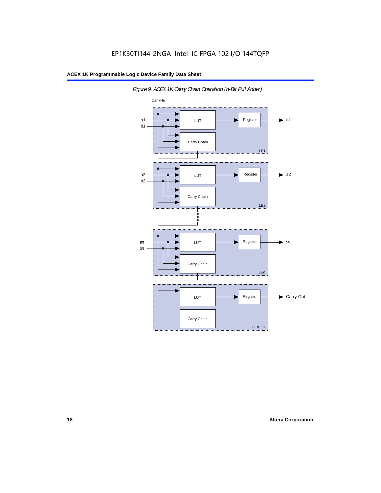

*Figure 9. ACEX 1K Carry Chain Operation (n-Bit Full Adder)*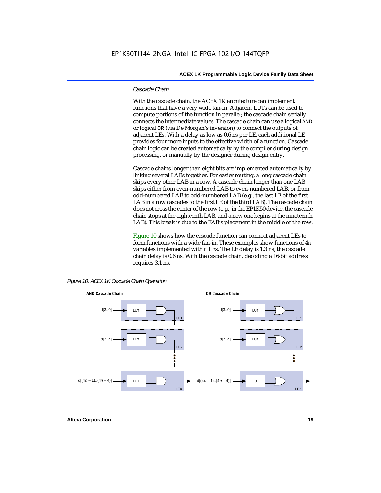## *Cascade Chain*

With the cascade chain, the ACEX 1K architecture can implement functions that have a very wide fan-in. Adjacent LUTs can be used to compute portions of the function in parallel; the cascade chain serially connects the intermediate values. The cascade chain can use a logical AND or logical OR (via De Morgan's inversion) to connect the outputs of adjacent LEs. With a delay as low as 0.6 ns per LE, each additional LE provides four more inputs to the effective width of a function. Cascade chain logic can be created automatically by the compiler during design processing, or manually by the designer during design entry.

Cascade chains longer than eight bits are implemented automatically by linking several LABs together. For easier routing, a long cascade chain skips every other LAB in a row. A cascade chain longer than one LAB skips either from even-numbered LAB to even-numbered LAB, or from odd-numbered LAB to odd-numbered LAB (e.g., the last LE of the first LAB in a row cascades to the first LE of the third LAB). The cascade chain does not cross the center of the row (e.g., in the EP1K50 device, the cascade chain stops at the eighteenth LAB, and a new one begins at the nineteenth LAB). This break is due to the EAB's placement in the middle of the row.

Figure 10 shows how the cascade function can connect adjacent LEs to form functions with a wide fan-in. These examples show functions of 4*n* variables implemented with *n* LEs. The LE delay is 1.3 ns; the cascade chain delay is 0.6 ns. With the cascade chain, decoding a 16-bit address requires 3.1 ns.



*Figure 10. ACEX 1K Cascade Chain Operation*

**Altera Corporation 19**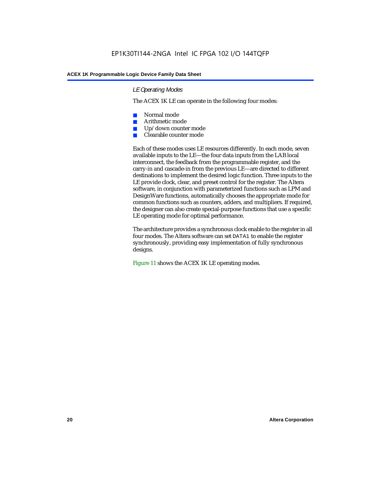## *LE Operating Modes*

The ACEX 1K LE can operate in the following four modes:

- Normal mode
- Arithmetic mode
- Up/down counter mode
- Clearable counter mode

Each of these modes uses LE resources differently. In each mode, seven available inputs to the LE—the four data inputs from the LAB local interconnect, the feedback from the programmable register, and the carry-in and cascade-in from the previous LE—are directed to different destinations to implement the desired logic function. Three inputs to the LE provide clock, clear, and preset control for the register. The Altera software, in conjunction with parameterized functions such as LPM and DesignWare functions, automatically chooses the appropriate mode for common functions such as counters, adders, and multipliers. If required, the designer can also create special-purpose functions that use a specific LE operating mode for optimal performance.

The architecture provides a synchronous clock enable to the register in all four modes. The Altera software can set DATA1 to enable the register synchronously, providing easy implementation of fully synchronous designs.

Figure 11 shows the ACEX 1K LE operating modes.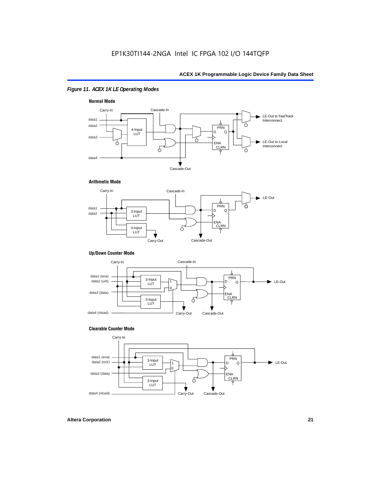## *Figure 11. ACEX 1K LE Operating Modes*



## **Arithmetic Mode**



## **Up/Down Counter Mode**



## **Clearable Counter Mode**

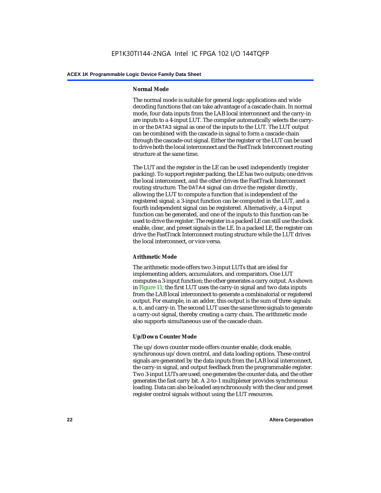## **Normal Mode**

The normal mode is suitable for general logic applications and wide decoding functions that can take advantage of a cascade chain. In normal mode, four data inputs from the LAB local interconnect and the carry-in are inputs to a 4-input LUT. The compiler automatically selects the carryin or the DATA3 signal as one of the inputs to the LUT. The LUT output can be combined with the cascade-in signal to form a cascade chain through the cascade-out signal. Either the register or the LUT can be used to drive both the local interconnect and the FastTrack Interconnect routing structure at the same time.

The LUT and the register in the LE can be used independently (register packing). To support register packing, the LE has two outputs; one drives the local interconnect, and the other drives the FastTrack Interconnect routing structure. The DATA4 signal can drive the register directly, allowing the LUT to compute a function that is independent of the registered signal; a 3-input function can be computed in the LUT, and a fourth independent signal can be registered. Alternatively, a 4-input function can be generated, and one of the inputs to this function can be used to drive the register. The register in a packed LE can still use the clock enable, clear, and preset signals in the LE. In a packed LE, the register can drive the FastTrack Interconnect routing structure while the LUT drives the local interconnect, or vice versa.

## **Arithmetic Mode**

The arithmetic mode offers two 3-input LUTs that are ideal for implementing adders, accumulators, and comparators. One LUT computes a 3-input function; the other generates a carry output. As shown in Figure 11, the first LUT uses the carry-in signal and two data inputs from the LAB local interconnect to generate a combinatorial or registered output. For example, in an adder, this output is the sum of three signals: a, b, and carry-in. The second LUT uses the same three signals to generate a carry-out signal, thereby creating a carry chain. The arithmetic mode also supports simultaneous use of the cascade chain.

## **Up/Down Counter Mode**

The up/down counter mode offers counter enable, clock enable, synchronous up/down control, and data loading options. These control signals are generated by the data inputs from the LAB local interconnect, the carry-in signal, and output feedback from the programmable register. Two 3-input LUTs are used; one generates the counter data, and the other generates the fast carry bit. A 2-to-1 multiplexer provides synchronous loading. Data can also be loaded asynchronously with the clear and preset register control signals without using the LUT resources.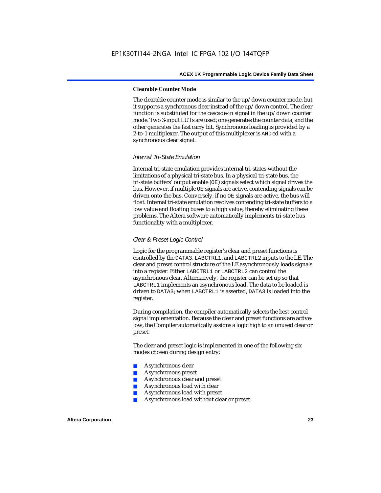#### **Clearable Counter Mode**

The clearable counter mode is similar to the up/down counter mode, but it supports a synchronous clear instead of the up/down control. The clear function is substituted for the cascade-in signal in the up/down counter mode. Two 3-input LUTs are used; one generates the counter data, and the other generates the fast carry bit. Synchronous loading is provided by a 2-to-1 multiplexer. The output of this multiplexer is ANDed with a synchronous clear signal.

## *Internal Tri-State Emulation*

Internal tri-state emulation provides internal tri-states without the limitations of a physical tri-state bus. In a physical tri-state bus, the tri-state buffers' output enable (OE) signals select which signal drives the bus. However, if multiple OE signals are active, contending signals can be driven onto the bus. Conversely, if no OE signals are active, the bus will float. Internal tri-state emulation resolves contending tri-state buffers to a low value and floating buses to a high value, thereby eliminating these problems. The Altera software automatically implements tri-state bus functionality with a multiplexer.

## *Clear & Preset Logic Control*

Logic for the programmable register's clear and preset functions is controlled by the DATA3, LABCTRL1, and LABCTRL2 inputs to the LE. The clear and preset control structure of the LE asynchronously loads signals into a register. Either LABCTRL1 or LABCTRL2 can control the asynchronous clear. Alternatively, the register can be set up so that LABCTRL1 implements an asynchronous load. The data to be loaded is driven to DATA3; when LABCTRL1 is asserted, DATA3 is loaded into the register.

During compilation, the compiler automatically selects the best control signal implementation. Because the clear and preset functions are activelow, the Compiler automatically assigns a logic high to an unused clear or preset.

The clear and preset logic is implemented in one of the following six modes chosen during design entry:

- Asynchronous clear
- Asynchronous preset
- Asynchronous clear and preset
- Asynchronous load with clear
- Asynchronous load with preset
- Asynchronous load without clear or preset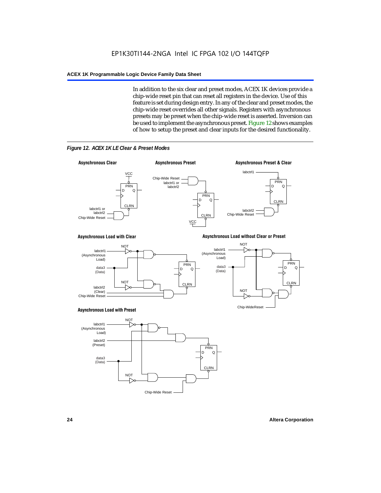In addition to the six clear and preset modes, ACEX 1K devices provide a chip-wide reset pin that can reset all registers in the device. Use of this feature is set during design entry. In any of the clear and preset modes, the chip-wide reset overrides all other signals. Registers with asynchronous presets may be preset when the chip-wide reset is asserted. Inversion can be used to implement the asynchronous preset. Figure 12 shows examples of how to setup the preset and clear inputs for the desired functionality.



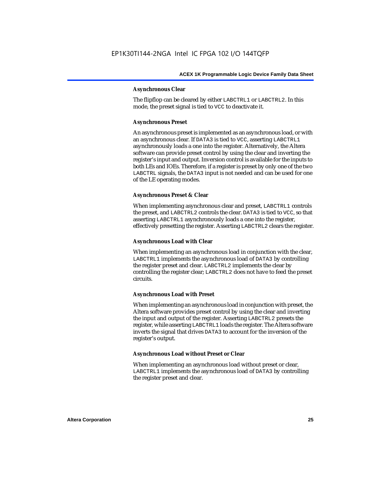## **Asynchronous Clear**

The flipflop can be cleared by either LABCTRL1 or LABCTRL2. In this mode, the preset signal is tied to VCC to deactivate it.

## **Asynchronous Preset**

An asynchronous preset is implemented as an asynchronous load, or with an asynchronous clear. If DATA3 is tied to VCC, asserting LABCTRL1 asynchronously loads a one into the register. Alternatively, the Altera software can provide preset control by using the clear and inverting the register's input and output. Inversion control is available for the inputs to both LEs and IOEs. Therefore, if a register is preset by only one of the two LABCTRL signals, the DATA3 input is not needed and can be used for one of the LE operating modes.

## **Asynchronous Preset & Clear**

When implementing asynchronous clear and preset, LABCTRL1 controls the preset, and LABCTRL2 controls the clear. DATA3 is tied to VCC, so that asserting LABCTRL1 asynchronously loads a one into the register, effectively presetting the register. Asserting LABCTRL2 clears the register.

## **Asynchronous Load with Clear**

When implementing an asynchronous load in conjunction with the clear, LABCTRL1 implements the asynchronous load of DATA3 by controlling the register preset and clear. LABCTRL2 implements the clear by controlling the register clear; LABCTRL2 does not have to feed the preset circuits.

## **Asynchronous Load with Preset**

When implementing an asynchronous load in conjunction with preset, the Altera software provides preset control by using the clear and inverting the input and output of the register. Asserting LABCTRL2 presets the register, while asserting LABCTRL1 loads the register. The Altera software inverts the signal that drives DATA3 to account for the inversion of the register's output.

## **Asynchronous Load without Preset or Clear**

When implementing an asynchronous load without preset or clear, LABCTRL1 implements the asynchronous load of DATA3 by controlling the register preset and clear.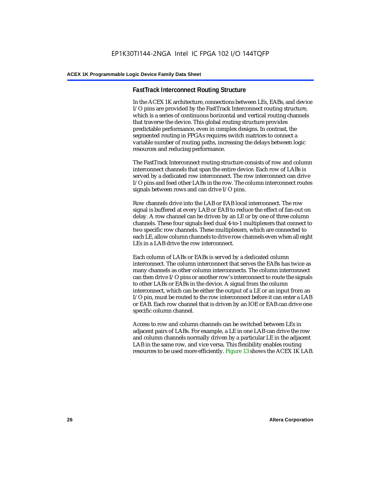## **FastTrack Interconnect Routing Structure**

In the ACEX 1K architecture, connections between LEs, EABs, and device I/O pins are provided by the FastTrack Interconnect routing structure, which is a series of continuous horizontal and vertical routing channels that traverse the device. This global routing structure provides predictable performance, even in complex designs. In contrast, the segmented routing in FPGAs requires switch matrices to connect a variable number of routing paths, increasing the delays between logic resources and reducing performance.

The FastTrack Interconnect routing structure consists of row and column interconnect channels that span the entire device. Each row of LABs is served by a dedicated row interconnect. The row interconnect can drive I/O pins and feed other LABs in the row. The column interconnect routes signals between rows and can drive I/O pins.

Row channels drive into the LAB or EAB local interconnect. The row signal is buffered at every LAB or EAB to reduce the effect of fan-out on delay. A row channel can be driven by an LE or by one of three column channels. These four signals feed dual 4-to-1 multiplexers that connect to two specific row channels. These multiplexers, which are connected to each LE, allow column channels to drive row channels even when all eight LEs in a LAB drive the row interconnect.

Each column of LABs or EABs is served by a dedicated column interconnect. The column interconnect that serves the EABs has twice as many channels as other column interconnects. The column interconnect can then drive I/O pins or another row's interconnect to route the signals to other LABs or EABs in the device. A signal from the column interconnect, which can be either the output of a LE or an input from an I/O pin, must be routed to the row interconnect before it can enter a LAB or EAB. Each row channel that is driven by an IOE or EAB can drive one specific column channel.

Access to row and column channels can be switched between LEs in adjacent pairs of LABs. For example, a LE in one LAB can drive the row and column channels normally driven by a particular LE in the adjacent LAB in the same row, and vice versa. This flexibility enables routing resources to be used more efficiently. Figure 13 shows the ACEX 1K LAB.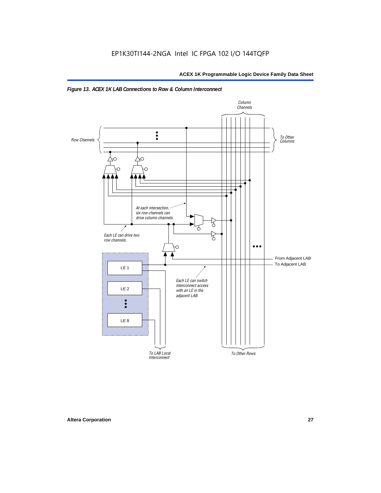

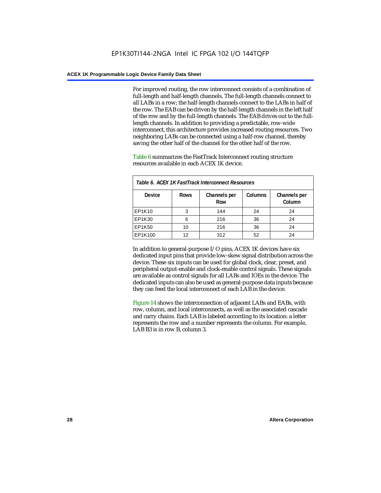For improved routing, the row interconnect consists of a combination of full-length and half-length channels. The full-length channels connect to all LABs in a row; the half-length channels connect to the LABs in half of the row. The EAB can be driven by the half-length channels in the left half of the row and by the full-length channels. The EAB drives out to the fulllength channels. In addition to providing a predictable, row-wide interconnect, this architecture provides increased routing resources. Two neighboring LABs can be connected using a half-row channel, thereby saving the other half of the channel for the other half of the row.

Table 6 summarizes the FastTrack Interconnect routing structure resources available in each ACEX 1K device.

| Table 6. ACEX 1K FastTrack Interconnect Resources |             |                     |                |                        |  |  |  |
|---------------------------------------------------|-------------|---------------------|----------------|------------------------|--|--|--|
| <b>Device</b>                                     | <b>Rows</b> | Channels per<br>Row | <b>Columns</b> | Channels per<br>Column |  |  |  |
| EP1K10                                            | 3           | 144                 | 24             | 24                     |  |  |  |
| EP1K30                                            | 6           | 216                 | 36             | 24                     |  |  |  |
| EP1K50                                            | 10          | 216                 | 36             | 24                     |  |  |  |
| EP1K100                                           | 12          | 312                 | 52             | 24                     |  |  |  |

In addition to general-purpose I/O pins, ACEX 1K devices have six dedicated input pins that provide low-skew signal distribution across the device. These six inputs can be used for global clock, clear, preset, and peripheral output-enable and clock-enable control signals. These signals are available as control signals for all LABs and IOEs in the device. The dedicated inputs can also be used as general-purpose data inputs because they can feed the local interconnect of each LAB in the device.

Figure 14 shows the interconnection of adjacent LABs and EABs, with row, column, and local interconnects, as well as the associated cascade and carry chains. Each LAB is labeled according to its location: a letter represents the row and a number represents the column. For example, LAB B3 is in row B, column 3.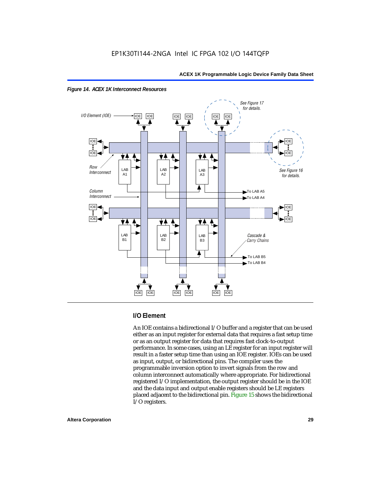



## **I/O Element**

An IOE contains a bidirectional I/O buffer and a register that can be used either as an input register for external data that requires a fast setup time or as an output register for data that requires fast clock-to-output performance. In some cases, using an LE register for an input register will result in a faster setup time than using an IOE register. IOEs can be used as input, output, or bidirectional pins. The compiler uses the programmable inversion option to invert signals from the row and column interconnect automatically where appropriate. For bidirectional registered I/O implementation, the output register should be in the IOE and the data input and output enable registers should be LE registers placed adjacent to the bidirectional pin. Figure 15 shows the bidirectional I/O registers.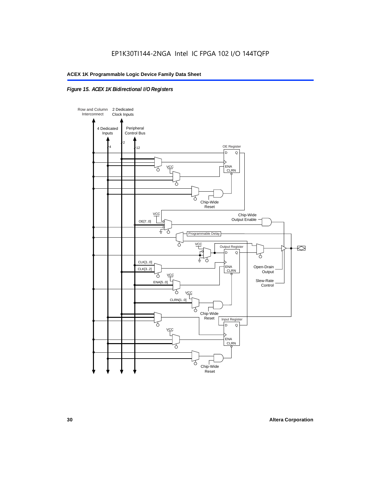## *Figure 15. ACEX 1K Bidirectional I/O Registers*

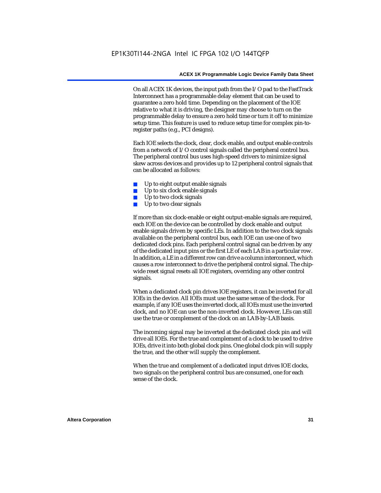On all ACEX 1K devices, the input path from the I/O pad to the FastTrack Interconnect has a programmable delay element that can be used to guarantee a zero hold time. Depending on the placement of the IOE relative to what it is driving, the designer may choose to turn on the programmable delay to ensure a zero hold time or turn it off to minimize setup time. This feature is used to reduce setup time for complex pin-toregister paths (e.g., PCI designs).

Each IOE selects the clock, clear, clock enable, and output enable controls from a network of I/O control signals called the peripheral control bus. The peripheral control bus uses high-speed drivers to minimize signal skew across devices and provides up to 12 peripheral control signals that can be allocated as follows:

- Up to eight output enable signals
- Up to six clock enable signals
- Up to two clock signals
- Up to two clear signals

If more than six clock-enable or eight output-enable signals are required, each IOE on the device can be controlled by clock enable and output enable signals driven by specific LEs. In addition to the two clock signals available on the peripheral control bus, each IOE can use one of two dedicated clock pins. Each peripheral control signal can be driven by any of the dedicated input pins or the first LE of each LAB in a particular row. In addition, a LE in a different row can drive a column interconnect, which causes a row interconnect to drive the peripheral control signal. The chipwide reset signal resets all IOE registers, overriding any other control signals.

When a dedicated clock pin drives IOE registers, it can be inverted for all IOEs in the device. All IOEs must use the same sense of the clock. For example, if any IOE uses the inverted clock, all IOEs must use the inverted clock, and no IOE can use the non-inverted clock. However, LEs can still use the true or complement of the clock on an LAB-by-LAB basis.

The incoming signal may be inverted at the dedicated clock pin and will drive all IOEs. For the true and complement of a clock to be used to drive IOEs, drive it into both global clock pins. One global clock pin will supply the true, and the other will supply the complement.

When the true and complement of a dedicated input drives IOE clocks, two signals on the peripheral control bus are consumed, one for each sense of the clock.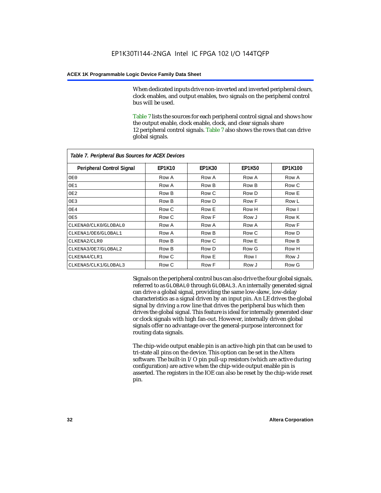When dedicated inputs drive non-inverted and inverted peripheral clears, clock enables, and output enables, two signals on the peripheral control bus will be used.

Table 7 lists the sources for each peripheral control signal and shows how the output enable, clock enable, clock, and clear signals share 12 peripheral control signals. Table 7 also shows the rows that can drive global signals.

| Table 7. Peripheral Bus Sources for ACEX Devices |               |               |               |                |  |  |  |
|--------------------------------------------------|---------------|---------------|---------------|----------------|--|--|--|
| <b>Peripheral Control Signal</b>                 | <b>EP1K10</b> | <b>EP1K30</b> | <b>EP1K50</b> | <b>EP1K100</b> |  |  |  |
| OE0                                              | Row A         | Row A         | Row A         | Row A          |  |  |  |
| OE1                                              | Row A         | Row B         | Row B         | Row C          |  |  |  |
| OE <sub>2</sub>                                  | Row B         | Row C         | Row D         | Row E          |  |  |  |
| OE3                                              | Row B         | Row D         | Row F         | Row L          |  |  |  |
| OE4                                              | Row C         | Row E         | Row H         | Row I          |  |  |  |
| OE5                                              | Row C         | Row F         | Row J         | Row K          |  |  |  |
| CLKENA0/CLK0/GLOBAL0                             | Row A         | Row A         | Row A         | Row F          |  |  |  |
| CLKENA1/OE6/GLOBAL1                              | Row A         | Row B         | Row C         | Row D          |  |  |  |
| CLKENA2/CLR0                                     | Row B         | Row C         | Row E         | Row B          |  |  |  |
| CLKENA3/OE7/GLOBAL2                              | Row B         | Row D         | Row G         | Row H          |  |  |  |
| CLKENA4/CLR1                                     | Row C         | Row E         | Row I         | Row J          |  |  |  |
| CLKENA5/CLK1/GLOBAL3                             | Row C         | Row F         | Row J         | Row G          |  |  |  |

Signals on the peripheral control bus can also drive the four global signals, referred to as GLOBAL0 through GLOBAL3. An internally generated signal can drive a global signal, providing the same low-skew, low-delay characteristics as a signal driven by an input pin. An LE drives the global signal by driving a row line that drives the peripheral bus which then drives the global signal. This feature is ideal for internally generated clear or clock signals with high fan-out. However, internally driven global signals offer no advantage over the general-purpose interconnect for routing data signals.

The chip-wide output enable pin is an active-high pin that can be used to tri-state all pins on the device. This option can be set in the Altera software. The built-in I/O pin pull-up resistors (which are active during configuration) are active when the chip-wide output enable pin is asserted. The registers in the IOE can also be reset by the chip-wide reset pin.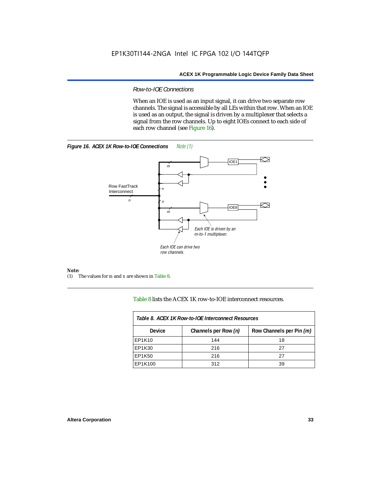## *Row-to-IOE Connections*

When an IOE is used as an input signal, it can drive two separate row channels. The signal is accessible by all LEs within that row. When an IOE is used as an output, the signal is driven by a multiplexer that selects a signal from the row channels. Up to eight IOEs connect to each side of each row channel (see Figure 16).





*Note:*<br>(1) 7 (1) The values for *m* and *n* are shown in Table 8.

Table 8 lists the ACEX 1K row-to-IOE interconnect resources.

| Table 8. ACEX 1K Row-to-IOE Interconnect Resources |                          |    |  |  |  |  |
|----------------------------------------------------|--------------------------|----|--|--|--|--|
| Device                                             | Row Channels per Pin (m) |    |  |  |  |  |
| EP1K10                                             | 144                      | 18 |  |  |  |  |
| EP1K30                                             | 216                      | 27 |  |  |  |  |
| EP1K50                                             | 216                      | 27 |  |  |  |  |
| EP1K100                                            | 312                      | 39 |  |  |  |  |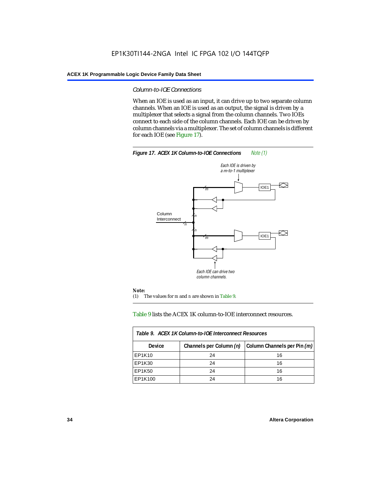## *Column-to-IOE Connections*

When an IOE is used as an input, it can drive up to two separate column channels. When an IOE is used as an output, the signal is driven by a multiplexer that selects a signal from the column channels. Two IOEs connect to each side of the column channels. Each IOE can be driven by column channels via a multiplexer. The set of column channels is different for each IOE (see Figure 17).



Table 9 lists the ACEX 1K column-to-IOE interconnect resources.

| Table 9. ACEX 1K Column-to-IOE Interconnect Resources |                         |                             |  |  |  |  |
|-------------------------------------------------------|-------------------------|-----------------------------|--|--|--|--|
| <b>Device</b>                                         | Channels per Column (n) | Column Channels per Pin (m) |  |  |  |  |
| EP1K10                                                | 24                      | 16                          |  |  |  |  |
| EP1K30                                                | 24                      | 16                          |  |  |  |  |
| EP1K50                                                | 24                      | 16                          |  |  |  |  |
| EP1K100                                               | 24                      | 16                          |  |  |  |  |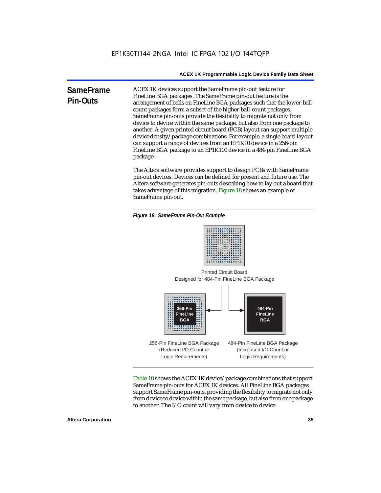**SameFrame Pin-Outs** ACEX 1K devices support the SameFrame pin-out feature for FineLine BGA packages. The SameFrame pin-out feature is the arrangement of balls on FineLine BGA packages such that the lower-ballcount packages form a subset of the higher-ball-count packages. SameFrame pin-outs provide the flexibility to migrate not only from device to device within the same package, but also from one package to another. A given printed circuit board (PCB) layout can support multiple device density/package combinations. For example, a single board layout can support a range of devices from an EP1K10 device in a 256-pin FineLine BGA package to an EP1K100 device in a 484-pin FineLine BGA package.

> The Altera software provides support to design PCBs with SameFrame pin-out devices. Devices can be defined for present and future use. The Altera software generates pin-outs describing how to lay out a board that takes advantage of this migration. Figure 18 shows an example of SameFrame pin-out.

*Figure 18. SameFrame Pin-Out Example*



Designed for 484-Pin FineLine BGA Package Printed Circuit Board



Logic Requirements) Logic Requirements)

Table 10 shows the ACEX 1K device/package combinations that support SameFrame pin-outs for ACEX 1K devices. All FineLine BGA packages support SameFrame pin-outs, providing the flexibility to migrate not only from device to device within the same package, but also from one package to another. The I/O count will vary from device to device.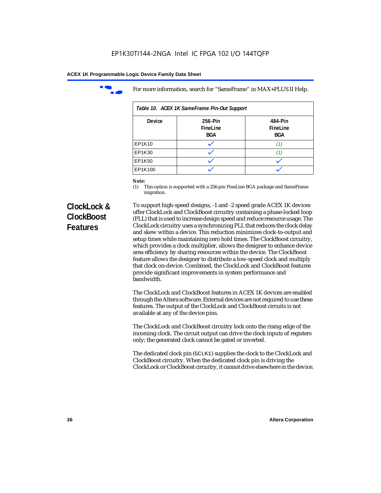

For more information, search for "SameFrame" in MAX+PLUS II Help.

| Table 10. ACEX 1K SameFrame Pin-Out Support |                            |                                   |  |  |  |
|---------------------------------------------|----------------------------|-----------------------------------|--|--|--|
| <b>Device</b>                               | 256-Pin<br>FineLine<br>BGA | 484-Pin<br>FineLine<br><b>BGA</b> |  |  |  |
| EP1K10                                      |                            | (1.                               |  |  |  |
| EP1K30                                      |                            | 11.                               |  |  |  |
| EP1K50                                      |                            |                                   |  |  |  |
| EP1K100                                     |                            |                                   |  |  |  |

# *Note:*<br>(1) **7**

This option is supported with a 256-pin FineLine BGA package and SameFrame migration.

# **ClockLock & ClockBoost Features**

To support high-speed designs, -1 and -2 speed grade ACEX 1K devices offer ClockLock and ClockBoost circuitry containing a phase-locked loop (PLL) that is used to increase design speed and reduce resource usage. The ClockLock circuitry uses a synchronizing PLL that reduces the clock delay and skew within a device. This reduction minimizes clock-to-output and setup times while maintaining zero hold times. The ClockBoost circuitry, which provides a clock multiplier, allows the designer to enhance device area efficiency by sharing resources within the device. The ClockBoost feature allows the designer to distribute a low-speed clock and multiply that clock on-device. Combined, the ClockLock and ClockBoost features provide significant improvements in system performance and bandwidth.

The ClockLock and ClockBoost features in ACEX 1K devices are enabled through the Altera software. External devices are not required to use these features. The output of the ClockLock and ClockBoost circuits is not available at any of the device pins.

The ClockLock and ClockBoost circuitry lock onto the rising edge of the incoming clock. The circuit output can drive the clock inputs of registers only; the generated clock cannot be gated or inverted.

The dedicated clock pin (GCLK1) supplies the clock to the ClockLock and ClockBoost circuitry. When the dedicated clock pin is driving the ClockLock or ClockBoost circuitry, it cannot drive elsewhere in the device.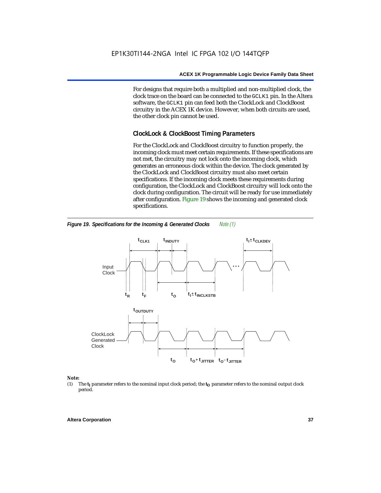For designs that require both a multiplied and non-multiplied clock, the clock trace on the board can be connected to the GCLK1 pin. In the Altera software, the GCLK1 pin can feed both the ClockLock and ClockBoost circuitry in the ACEX 1K device. However, when both circuits are used, the other clock pin cannot be used.

# **ClockLock & ClockBoost Timing Parameters**

For the ClockLock and ClockBoost circuitry to function properly, the incoming clock must meet certain requirements. If these specifications are not met, the circuitry may not lock onto the incoming clock, which generates an erroneous clock within the device. The clock generated by the ClockLock and ClockBoost circuitry must also meet certain specifications. If the incoming clock meets these requirements during configuration, the ClockLock and ClockBoost circuitry will lock onto the clock during configuration. The circuit will be ready for use immediately after configuration. Figure 19 shows the incoming and generated clock specifications.



*Figure 19. Specifications for the Incoming & Generated Clocks Note (1)*

# *Note:*<br>(1) 1

The  $t<sub>I</sub>$  parameter refers to the nominal input clock period; the  $t<sub>O</sub>$  parameter refers to the nominal output clock period.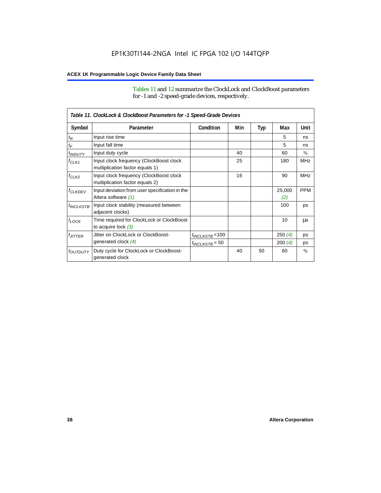Tables 11 and 12 summarize the ClockLock and ClockBoost parameters for -1 and -2 speed-grade devices, respectively.

|                       | Table 11. ClockLock & ClockBoost Parameters for -1 Speed-Grade Devices     |                      |     |     |               |               |
|-----------------------|----------------------------------------------------------------------------|----------------------|-----|-----|---------------|---------------|
| Symbol                | Parameter                                                                  | Condition            | Min | Typ | Max           | Unit          |
| $t_{\mathsf{R}}$      | Input rise time                                                            |                      |     |     | 5             | ns            |
| $t_{\mathsf{F}}$      | Input fall time                                                            |                      |     |     | 5             | ns            |
| $t_{INDUTY}$          | Input duty cycle                                                           |                      | 40  |     | 60            | $\frac{0}{0}$ |
| $f_{CLK1}$            | Input clock frequency (ClockBoost clock<br>multiplication factor equals 1) |                      | 25  |     | 180           | <b>MHz</b>    |
| $f_{CLK2}$            | Input clock frequency (ClockBoost clock<br>multiplication factor equals 2) |                      | 16  |     | 90            | <b>MHz</b>    |
| <b><i>fCLKDEV</i></b> | Input deviation from user specification in the<br>Altera software (1)      |                      |     |     | 25,000<br>(2) | <b>PPM</b>    |
| <sup>t</sup> INCLKSTB | Input clock stability (measured between<br>adjacent clocks)                |                      |     |     | 100           | ps            |
| $t_{LOCK}$            | Time required for ClockLock or ClockBoost<br>to acquire lock $(3)$         |                      |     |     | 10            | μs            |
| $t_{JITTER}$          | Jitter on ClockLock or ClockBoost-                                         | $t_{INCLKSTB}$ < 100 |     |     | 250(4)        | ps            |
|                       | generated clock (4)                                                        | $t_{INCLKSTB}$ < 50  |     |     | 200(4)        | ps            |
| <i>toutputy</i>       | Duty cycle for ClockLock or ClockBoost-<br>generated clock                 |                      | 40  | 50  | 60            | $\frac{0}{0}$ |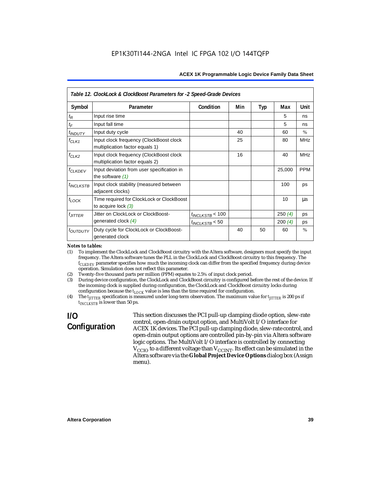| Table 12. ClockLock & ClockBoost Parameters for -2 Speed-Grade Devices |                                                                            |                      |     |     |        |               |
|------------------------------------------------------------------------|----------------------------------------------------------------------------|----------------------|-----|-----|--------|---------------|
| Symbol                                                                 | Parameter                                                                  | Condition            | Min | Typ | Max    | Unit          |
| $t_{\mathsf{R}}$                                                       | Input rise time                                                            |                      |     |     | 5      | ns            |
| $t_{\mathsf{F}}$                                                       | Input fall time                                                            |                      |     |     | 5      | ns            |
| <i>UNDUTY</i>                                                          | Input duty cycle                                                           |                      | 40  |     | 60     | $\frac{0}{0}$ |
| $t$ CLK1                                                               | Input clock frequency (ClockBoost clock<br>multiplication factor equals 1) |                      | 25  |     | 80     | <b>MHz</b>    |
| $f_{CLK2}$                                                             | Input clock frequency (ClockBoost clock<br>multiplication factor equals 2) |                      | 16  |     | 40     | <b>MHz</b>    |
| <sup>f</sup> CLKDEV                                                    | Input deviation from user specification in<br>the software $(1)$           |                      |     |     | 25,000 | <b>PPM</b>    |
| <sup>t</sup> INCLKSTB                                                  | Input clock stability (measured between<br>adjacent clocks)                |                      |     |     | 100    | ps            |
| $t_{\text{LOCK}}$                                                      | Time required for ClockLock or ClockBoost<br>to acquire lock $(3)$         |                      |     |     | 10     | us            |
| $t_{JITTER}$                                                           | Jitter on ClockLock or ClockBoost-                                         | $t_{INCLKSTB}$ < 100 |     |     | 250(4) | ps            |
|                                                                        | generated clock $(4)$                                                      | $t_{INCLKSTB}$ < 50  |     |     | 200(4) | ps            |
| <i>toutbuty</i>                                                        | Duty cycle for ClockLock or ClockBoost-<br>generated clock                 |                      | 40  | 50  | 60     | $\frac{0}{0}$ |

#### *Notes to tables:*

(1) To implement the ClockLock and ClockBoost circuitry with the Altera software, designers must specify the input frequency. The Altera software tunes the PLL in the ClockLock and ClockBoost circuitry to this frequency. The *fCLKDEV* parameter specifies how much the incoming clock can differ from the specified frequency during device operation. Simulation does not reflect this parameter.

(2) Twenty-five thousand parts per million (PPM) equates to 2.5% of input clock period.

(3) During device configuration, the ClockLock and ClockBoost circuitry is configured before the rest of the device. If the incoming clock is supplied during configuration, the ClockLock and ClockBoost circuitry locks during configuration because the  $t_{LOCK}$  value is less than the time required for configuration.

(4) The  $t_{\text{ITTTER}}$  specification is measured under long-term observation. The maximum value for  $t_{\text{ITTTER}}$  is 200 ps if *tINCLKSTB* is lower than 50 ps.

# **I/O Configuration**

This section discusses the PCI pull-up clamping diode option, slew-rate control, open-drain output option, and MultiVolt I/O interface for ACEX 1K devices. The PCI pull-up clamping diode, slew-rate control, and open-drain output options are controlled pin-by-pin via Altera software logic options. The MultiVolt I/O interface is controlled by connecting  $V_{\rm CCD}$  to a different voltage than  $V_{\rm CCINT}$ . Its effect can be simulated in the Altera software via the **Global Project Device Options** dialog box (Assign menu).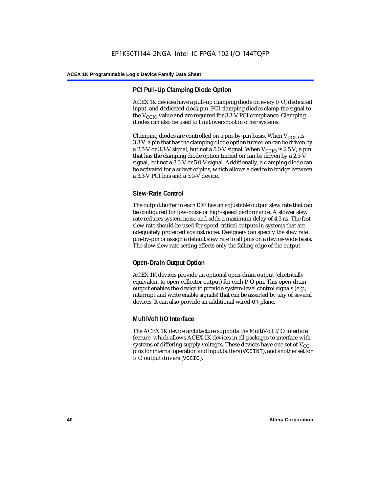# **PCI Pull-Up Clamping Diode Option**

ACEX 1K devices have a pull-up clamping diode on every I/O, dedicated input, and dedicated clock pin. PCI clamping diodes clamp the signal to the  $V_{\text{CCIO}}$  value and are required for 3.3-V PCI compliance. Clamping diodes can also be used to limit overshoot in other systems.

Clamping diodes are controlled on a pin-by-pin basis. When  $V_{CCIO}$  is 3.3 V, a pin that has the clamping diode option turned on can be driven by a 2.5-V or 3.3-V signal, but not a 5.0-V signal. When  $V_{CCIO}$  is 2.5 V, a pin that has the clamping diode option turned on can be driven by a 2.5-V signal, but not a 3.3-V or 5.0-V signal. Additionally, a clamping diode can be activated for a subset of pins, which allows a device to bridge between a 3.3-V PCI bus and a 5.0-V device.

# **Slew-Rate Control**

The output buffer in each IOE has an adjustable output slew rate that can be configured for low-noise or high-speed performance. A slower slew rate reduces system noise and adds a maximum delay of 4.3 ns. The fast slew rate should be used for speed-critical outputs in systems that are adequately protected against noise. Designers can specify the slew rate pin-by-pin or assign a default slew rate to all pins on a device-wide basis. The slow slew rate setting affects only the falling edge of the output.

# **Open-Drain Output Option**

ACEX 1K devices provide an optional open-drain output (electrically equivalent to open-collector output) for each I/O pin. This open-drain output enables the device to provide system-level control signals (e.g., interrupt and write enable signals) that can be asserted by any of several devices. It can also provide an additional wired-OR plane.

### **MultiVolt I/O Interface**

The ACEX 1K device architecture supports the MultiVolt I/O interface feature, which allows ACEX 1K devices in all packages to interface with systems of differing supply voltages. These devices have one set of  $V_{CC}$ pins for internal operation and input buffers (VCCINT), and another set for I/O output drivers (VCCIO).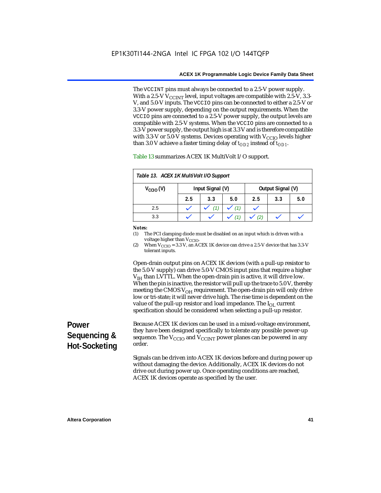The VCCINT pins must always be connected to a 2.5-V power supply. With a 2.5-V  $V_{CCMT}$  level, input voltages are compatible with 2.5-V, 3.3-V, and 5.0-V inputs. The VCCIO pins can be connected to either a 2.5-V or 3.3-V power supply, depending on the output requirements. When the VCCIO pins are connected to a 2.5-V power supply, the output levels are compatible with 2.5-V systems. When the VCCIO pins are connected to a 3.3-V power supply, the output high is at 3.3 V and is therefore compatible with 3.3-V or 5.0-V systems. Devices operating with  $V_{\text{CCIO}}$  levels higher than 3.0 V achieve a faster timing delay of  $t_{OD2}$  instead of  $t_{OD1}$ .

| Table 13. ACEX 1K MultiVolt I/O Support |                                       |     |     |     |     |     |
|-----------------------------------------|---------------------------------------|-----|-----|-----|-----|-----|
| $V_{\text{CCIO}}(V)$                    | Input Signal (V)<br>Output Signal (V) |     |     |     |     |     |
|                                         | 2.5                                   | 3.3 | 5.0 | 2.5 | 3.3 | 5.0 |
| 2.5                                     |                                       |     | (1) |     |     |     |
| 3.3                                     |                                       |     |     |     |     |     |

Table 13 summarizes ACEX 1K MultiVolt I/O support.

#### *Notes:*

(1) The PCI clamping diode must be disabled on an input which is driven with a voltage higher than V<sub>CCIO</sub>.

(2) When  $V_{\text{CCIO}} = 3.3$  V, an ACEX 1K device can drive a 2.5-V device that has 3.3-V tolerant inputs.

Open-drain output pins on ACEX 1K devices (with a pull-up resistor to the 5.0-V supply) can drive 5.0-V CMOS input pins that require a higher  $V<sub>IH</sub>$  than LVTTL. When the open-drain pin is active, it will drive low. When the pin is inactive, the resistor will pull up the trace to 5.0 V, thereby meeting the CMOS  $V_{OH}$  requirement. The open-drain pin will only drive low or tri-state; it will never drive high. The rise time is dependent on the value of the pull-up resistor and load impedance. The  $I_{OL}$  current specification should be considered when selecting a pull-up resistor.

# **Power Sequencing & Hot-Socketing**

Because ACEX 1K devices can be used in a mixed-voltage environment, they have been designed specifically to tolerate any possible power-up sequence. The  $V_{\text{CCIO}}$  and  $V_{\text{CCINT}}$  power planes can be powered in any order.

Signals can be driven into ACEX 1K devices before and during power up without damaging the device. Additionally, ACEX 1K devices do not drive out during power up. Once operating conditions are reached, ACEX 1K devices operate as specified by the user.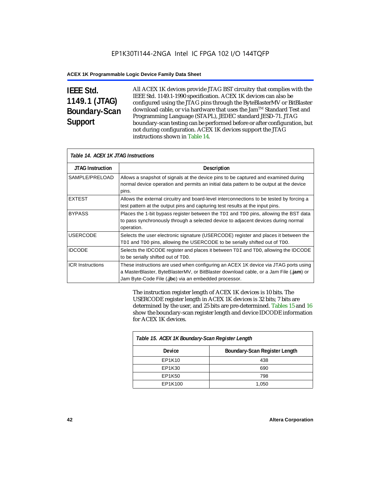# **IEEE Std. 1149.1 (JTAG) Boundary-Scan Support**

All ACEX 1K devices provide JTAG BST circuitry that complies with the IEEE Std. 1149.1-1990 specification. ACEX 1K devices can also be configured using the JTAG pins through the ByteBlasterMV or BitBlaster download cable, or via hardware that uses the Jam™ Standard Test and Programming Language (STAPL), JEDEC standard JESD-71. JTAG boundary-scan testing can be performed before or after configuration, but not during configuration. ACEX 1K devices support the JTAG instructions shown in Table 14.

| Table 14. ACEX 1K JTAG Instructions |                                                                                                                                                                                                                                      |  |  |  |
|-------------------------------------|--------------------------------------------------------------------------------------------------------------------------------------------------------------------------------------------------------------------------------------|--|--|--|
| <b>JTAG Instruction</b>             | <b>Description</b>                                                                                                                                                                                                                   |  |  |  |
| SAMPLE/PRELOAD                      | Allows a snapshot of signals at the device pins to be captured and examined during<br>normal device operation and permits an initial data pattern to be output at the device<br>pins.                                                |  |  |  |
| <b>EXTEST</b>                       | Allows the external circuitry and board-level interconnections to be tested by forcing a<br>test pattern at the output pins and capturing test results at the input pins.                                                            |  |  |  |
| <b>BYPASS</b>                       | Places the 1-bit bypass register between the TDI and TDO pins, allowing the BST data<br>to pass synchronously through a selected device to adjacent devices during normal<br>operation.                                              |  |  |  |
| <b>USERCODE</b>                     | Selects the user electronic signature (USERCODE) register and places it between the<br>TDI and TDO pins, allowing the USERCODE to be serially shifted out of TDO.                                                                    |  |  |  |
| <b>IDCODE</b>                       | Selects the IDCODE register and places it between TDI and TDO, allowing the IDCODE<br>to be serially shifted out of TDO.                                                                                                             |  |  |  |
| <b>ICR Instructions</b>             | These instructions are used when configuring an ACEX 1K device via JTAG ports using<br>a MasterBlaster, ByteBlasterMV, or BitBlaster download cable, or a Jam File (.jam) or<br>Jam Byte-Code File (.jbc) via an embedded processor. |  |  |  |

The instruction register length of ACEX 1K devices is 10 bits. The USERCODE register length in ACEX 1K devices is 32 bits; 7 bits are determined by the user, and 25 bits are pre-determined. Tables 15 and 16 show the boundary-scan register length and device IDCODE information for ACEX 1K devices.

| Table 15. ACEX 1K Boundary-Scan Register Length |                               |  |  |  |
|-------------------------------------------------|-------------------------------|--|--|--|
| Device                                          | Boundary-Scan Register Length |  |  |  |
| EP1K10                                          | 438                           |  |  |  |
| EP1K30                                          | 690                           |  |  |  |
| EP1K50                                          | 798                           |  |  |  |
| EP1K100                                         | 1,050                         |  |  |  |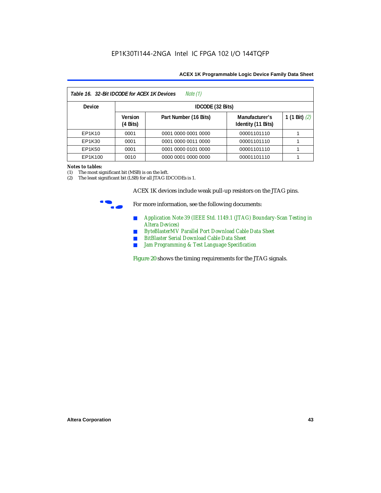| Note (1)<br>Table 16. 32-Bit IDCODE for ACEX 1K Devices |                               |                       |                                      |                 |  |  |
|---------------------------------------------------------|-------------------------------|-----------------------|--------------------------------------|-----------------|--|--|
| <b>Device</b>                                           |                               | IDCODE (32 Bits)      |                                      |                 |  |  |
|                                                         | Version<br>$(4 \text{ Bits})$ | Part Number (16 Bits) | Manufacturer's<br>Identity (11 Bits) | 1 (1 Bit) $(2)$ |  |  |
| EP1K10                                                  | 0001                          | 0001 0000 0001 0000   | 00001101110                          |                 |  |  |
| EP1K30                                                  | 0001                          | 0001 0000 0011 0000   | 00001101110                          |                 |  |  |
| EP1K50                                                  | 0001                          | 0001 0000 0101 0000   | 00001101110                          |                 |  |  |
| EP1K100                                                 | 0010                          | 0000 0001 0000 0000   | 00001101110                          |                 |  |  |

#### *Notes to tables:*

(1) The most significant bit (MSB) is on the left.

(2) The least significant bit (LSB) for all JTAG IDCODEs is 1.

ACEX 1K devices include weak pull-up resistors on the JTAG pins.



For more information, see the following documents:

- *Application Note 39 (IEEE Std. 1149.1 (JTAG) Boundary-Scan Testing in Altera Devices)*
- *ByteBlasterMV Parallel Port Download Cable Data Sheet*
- *BitBlaster Serial Download Cable Data Sheet*
- *Jam Programming & Test Language Specification*

Figure 20 shows the timing requirements for the JTAG signals.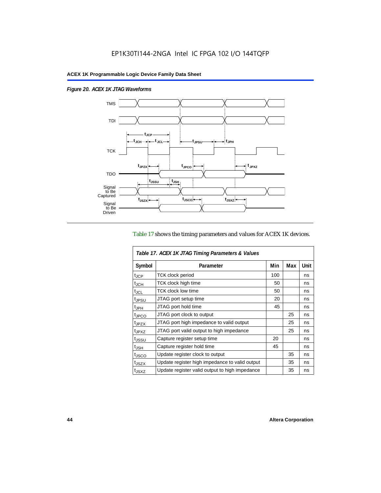$\overline{1}$ 

*Figure 20. ACEX 1K JTAG Waveforms*



## Table 17 shows the timing parameters and values for ACEX 1K devices.

| Table 17. ACEX 1K JTAG Timing Parameters & Values |                                                |     |     |      |  |  |
|---------------------------------------------------|------------------------------------------------|-----|-----|------|--|--|
| Symbol                                            | Parameter                                      | Min | Max | Unit |  |  |
| t <sub>JCP</sub>                                  | <b>TCK clock period</b>                        | 100 |     | ns   |  |  |
| $t_{JCH}$                                         | TCK clock high time                            | 50  |     | ns   |  |  |
| t <sub>JCL</sub>                                  | <b>TCK clock low time</b>                      | 50  |     | ns   |  |  |
| <sup>t</sup> JPSU                                 | JTAG port setup time                           | 20  |     | ns   |  |  |
| $t_{\rm JPH}$                                     | JTAG port hold time                            | 45  |     | ns   |  |  |
| <sup>t</sup> JPCO                                 | JTAG port clock to output                      |     | 25  | ns   |  |  |
| t <sub>JPZX</sub>                                 | JTAG port high impedance to valid output       |     | 25  | ns   |  |  |
| t <sub>JPXZ</sub>                                 | JTAG port valid output to high impedance       |     | 25  | ns   |  |  |
| tjssu                                             | Capture register setup time                    | 20  |     | ns   |  |  |
| $t_{JSH}$                                         | Capture register hold time                     | 45  |     | ns   |  |  |
| t <sub>JSCO</sub>                                 | Update register clock to output                |     | 35  | ns   |  |  |
| t <sub>JSZX</sub>                                 | Update register high impedance to valid output |     | 35  | ns   |  |  |
| t <sub>JSXZ</sub>                                 | Update register valid output to high impedance |     | 35  | ns   |  |  |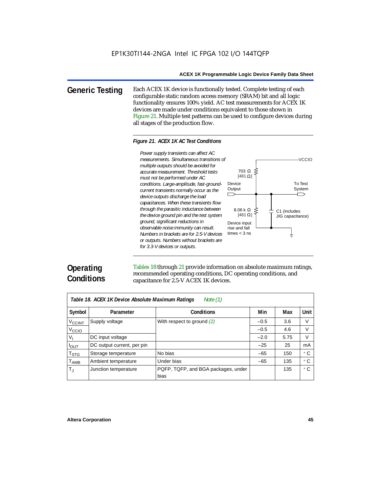**Generic Testing** Each ACEX 1K device is functionally tested. Complete testing of each configurable static random access memory (SRAM) bit and all logic functionality ensures 100% yield. AC test measurements for ACEX 1K devices are made under conditions equivalent to those shown in Figure 21. Multiple test patterns can be used to configure devices during all stages of the production flow.

#### *Figure 21. ACEX 1K AC Test Conditions*



# **Operating Conditions**

Tables 18 through 21 provide information on absolute maximum ratings, recommended operating conditions, DC operating conditions, and capacitance for 2.5-V ACEX 1K devices.

| Note $(1)$<br>Table 18. ACEX 1K Device Absolute Maximum Ratings |                            |                                             |        |      |           |  |  |
|-----------------------------------------------------------------|----------------------------|---------------------------------------------|--------|------|-----------|--|--|
| Symbol                                                          | Parameter                  | Conditions                                  | Min    | Max  | Unit      |  |  |
| <b>V<sub>CCINT</sub></b>                                        | Supply voltage             | With respect to ground (2)                  | $-0.5$ | 3.6  | V         |  |  |
| V <sub>CCIO</sub>                                               |                            |                                             | $-0.5$ | 4.6  | V         |  |  |
| V,                                                              | DC input voltage           |                                             | $-2.0$ | 5.75 | V         |  |  |
| $I_{OUT}$                                                       | DC output current, per pin |                                             | $-25$  | 25   | mA        |  |  |
| $\mathsf{T}_{\textsf{STG}}$                                     | Storage temperature        | No bias                                     | $-65$  | 150  | ۰c        |  |  |
| $T_{\sf AMB}$                                                   | Ambient temperature        | Under bias                                  | $-65$  | 135  | $\circ$ C |  |  |
| $T_{\rm J}$                                                     | Junction temperature       | PQFP, TQFP, and BGA packages, under<br>bias |        | 135  | ۰c        |  |  |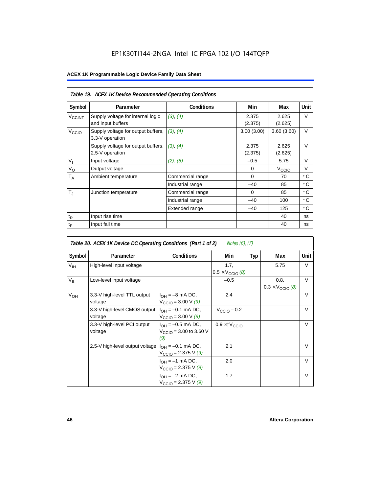# EP1K30TI144-2NGA Intel IC FPGA 102 I/O 144TQFP

|                          | Table 19. ACEX 1K Device Recommended Operating Conditions |                   |                  |                   |             |  |  |  |
|--------------------------|-----------------------------------------------------------|-------------------|------------------|-------------------|-------------|--|--|--|
| Symbol                   | Parameter                                                 | <b>Conditions</b> | Min              | Max               | <b>Unit</b> |  |  |  |
| <b>V<sub>CCINT</sub></b> | Supply voltage for internal logic<br>and input buffers    | (3), (4)          | 2.375<br>(2.375) | 2.625<br>(2.625)  | V           |  |  |  |
| V <sub>CCIO</sub>        | Supply voltage for output buffers,<br>3.3-V operation     | (3), (4)          | 3.00(3.00)       | 3.60(3.60)        | $\vee$      |  |  |  |
|                          | Supply voltage for output buffers,<br>2.5-V operation     | (3), (4)          | 2.375<br>(2.375) | 2.625<br>(2.625)  | $\vee$      |  |  |  |
| $V_{I}$                  | Input voltage                                             | (2), (5)          | $-0.5$           | 5.75              | $\vee$      |  |  |  |
| $V_{\rm O}$              | Output voltage                                            |                   | $\Omega$         | V <sub>ccio</sub> | $\vee$      |  |  |  |
| $T_A$                    | Ambient temperature                                       | Commercial range  | $\Omega$         | 70                | ۰c          |  |  |  |
|                          |                                                           | Industrial range  | $-40$            | 85                | ۰c          |  |  |  |
| $T_{\rm J}$              | Junction temperature                                      | Commercial range  | $\mathbf 0$      | 85                | ° C         |  |  |  |
|                          |                                                           | Industrial range  | $-40$            | 100               | ۰c          |  |  |  |
|                          |                                                           | Extended range    | $-40$            | 125               | ۰c          |  |  |  |
| $t_{R}$                  | Input rise time                                           |                   |                  | 40                | ns          |  |  |  |
| $t_{\mathsf{F}}$         | Input fall time                                           |                   |                  | 40                | ns          |  |  |  |

| Table 20. ACEX 1K Device DC Operating Conditions (Part 1 of 2)<br>Notes (6), (7) |                                         |                                                                       |                                           |     |                                          |        |  |
|----------------------------------------------------------------------------------|-----------------------------------------|-----------------------------------------------------------------------|-------------------------------------------|-----|------------------------------------------|--------|--|
| Symbol                                                                           | Parameter                               | <b>Conditions</b>                                                     | Min                                       | Typ | Max                                      | Unit   |  |
| $V_{\text{IH}}$                                                                  | High-level input voltage                |                                                                       | 1.7,<br>$0.5 \times V_{\text{CCIO}}$ (8)  |     | 5.75                                     | V      |  |
| $V_{IL}$                                                                         | Low-level input voltage                 |                                                                       | $-0.5$                                    |     | 0.8,<br>$0.3 \times V_{\text{CCIO}}$ (8) | $\vee$ |  |
| $V_{OH}$                                                                         | 3.3-V high-level TTL output<br>voltage  | $I_{\Omega H}$ = -8 mA DC,<br>$V_{\text{CCIO}} = 3.00 \text{ V } (9)$ | 2.4                                       |     |                                          | $\vee$ |  |
|                                                                                  | 3.3-V high-level CMOS output<br>voltage | $I_{OH} = -0.1$ mA DC,<br>$V_{\text{CCIO}} = 3.00 \text{ V } (9)$     | $V_{\text{CClO}} - 0.2$                   |     |                                          | $\vee$ |  |
|                                                                                  | 3.3-V high-level PCI output<br>voltage  | $I_{OH} = -0.5$ mA DC,<br>$V_{\text{CCIO}} = 3.00$ to 3.60 V<br>(9)   | $0.9 \times$ $\uparrow$ $V_{\text{CCIO}}$ |     |                                          | $\vee$ |  |
|                                                                                  | 2.5-V high-level output voltage         | $I_{OH} = -0.1$ mA DC,<br>$V_{\text{CCIO}} = 2.375 \text{ V } (9)$    | 2.1                                       |     |                                          | $\vee$ |  |
|                                                                                  |                                         | $I_{OH} = -1$ mA DC,<br>$V_{\text{CCIO}} = 2.375 \text{ V} (9)$       | 2.0                                       |     |                                          | $\vee$ |  |
|                                                                                  |                                         | $I_{OH} = -2$ mA DC,<br>$V_{\text{CCIO}} = 2.375 \text{ V} (9)$       | 1.7                                       |     |                                          | $\vee$ |  |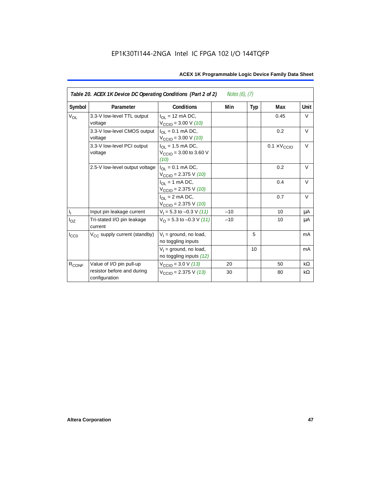| Table 20. ACEX 1K Device DC Operating Conditions (Part 2 of 2)<br><i>Notes (6), (7)</i> |                                             |                                                                                    |       |     |                              |           |  |
|-----------------------------------------------------------------------------------------|---------------------------------------------|------------------------------------------------------------------------------------|-------|-----|------------------------------|-----------|--|
| Symbol                                                                                  | Parameter                                   | <b>Conditions</b>                                                                  | Min   | Typ | Max                          | Unit      |  |
| <b>V<sub>OL</sub></b>                                                                   | 3.3-V low-level TTL output<br>voltage       | $I_{\Omega}$ = 12 mA DC,<br>$V_{\text{CCIO}} = 3.00 \text{ V} (10)$                |       |     | 0.45                         | V         |  |
|                                                                                         | 3.3-V low-level CMOS output<br>voltage      | $I_{OL} = 0.1$ mA DC,<br>$V_{\text{CCIO}} = 3.00 \text{ V} (10)$                   |       |     | 0.2                          | $\vee$    |  |
|                                                                                         | 3.3-V low-level PCI output<br>voltage       | $I_{\text{OI}} = 1.5 \text{ mA DC},$<br>$V_{\text{CCIO}} = 3.00$ to 3.60 V<br>(10) |       |     | $0.1 \times V_{\text{CCIO}}$ | $\vee$    |  |
|                                                                                         | 2.5-V low-level output voltage              | $I_{\Omega I} = 0.1$ mA DC,<br>$V_{\text{CCIO}} = 2.375 \text{ V} (10)$            |       |     | 0.2                          | $\vee$    |  |
|                                                                                         |                                             | I <sub>OL</sub> = 1 mA DC,<br>$V_{\text{CCIO}} = 2.375 \text{ V} (10)$             |       |     | 0.4                          | $\vee$    |  |
|                                                                                         |                                             | $I_{OL}$ = 2 mA DC,<br>$V_{\text{CCIO}} = 2.375 \text{ V} (10)$                    |       |     | 0.7                          | $\vee$    |  |
| $\mathsf{I}_\mathrm{I}$                                                                 | Input pin leakage current                   | $V_1 = 5.3$ to $-0.3$ V (11)                                                       | $-10$ |     | 10                           | μA        |  |
| $I_{OZ}$                                                                                | Tri-stated I/O pin leakage<br>current       | $V_O$ = 5.3 to -0.3 V (11)                                                         | $-10$ |     | 10                           | μA        |  |
| $I_{CC0}$                                                                               | V <sub>CC</sub> supply current (standby)    | $V_1$ = ground, no load,<br>no toggling inputs                                     |       | 5   |                              | mA        |  |
|                                                                                         |                                             | $V_1$ = ground, no load,<br>no toggling inputs (12)                                |       | 10  |                              | mA        |  |
| R <sub>CONF</sub>                                                                       | Value of I/O pin pull-up                    | $V_{\text{CCIO}} = 3.0 \text{ V } (13)$                                            | 20    |     | 50                           | $k\Omega$ |  |
|                                                                                         | resistor before and during<br>configuration | $V_{\text{CCIO}} = 2.375 \text{ V} (13)$                                           | 30    |     | 80                           | $k\Omega$ |  |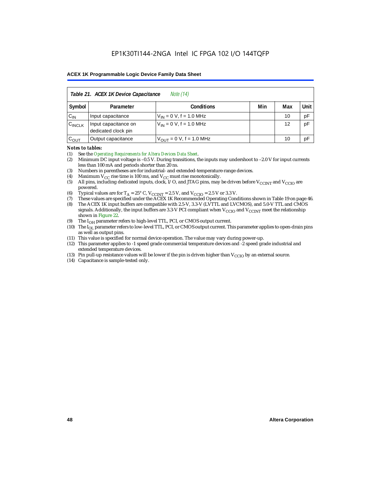| Table 21. ACEX 1K Device Capacitance<br><i>Note</i> (14) |                                                      |                               |  |    |    |  |  |  |
|----------------------------------------------------------|------------------------------------------------------|-------------------------------|--|----|----|--|--|--|
| Symbol                                                   | Unit<br>Min<br><b>Conditions</b><br>Max<br>Parameter |                               |  |    |    |  |  |  |
| $C_{IN}$                                                 | Input capacitance                                    | $V_{IN} = 0 V$ , f = 1.0 MHz  |  | 10 | pF |  |  |  |
| $C_{\text{INCLK}}$                                       | Input capacitance on<br>dedicated clock pin          | $V_{IN} = 0 V$ , f = 1.0 MHz  |  | 12 | pF |  |  |  |
| $C_{\text{OUT}}$                                         | Output capacitance                                   | $V_{OUT} = 0 V$ , f = 1.0 MHz |  | 10 | рF |  |  |  |

#### *Notes to tables:*

(1) See the *Operating Requirements for Altera Devices Data Sheet*.

- (2) Minimum DC input voltage is –0.5 V. During transitions, the inputs may undershoot to –2.0 V for input currents less than 100 mA and periods shorter than 20 ns.
- (3) Numbers in parentheses are for industrial- and extended-temperature-range devices.
- (4) Maximum  $V_{CC}$  rise time is 100 ms, and  $V_{CC}$  must rise monotonically.<br>(5) All pins, including dedicated inputs, clock, I/O, and JTAG pins, may
- All pins, including dedicated inputs, clock, I/O, and JTAG pins, may be driven before  $V_{\text{CCINT}}$  and  $V_{\text{CCIO}}$  are powered.
- (6) Typical values are for  $T_A = 25^\circ$  C,  $V_{CClNT} = 2.5$  V, and  $V_{CClO} = 2.5$  V or 3.3 V.<br>(7) These values are specified under the ACEX 1K Recommended Operating Cone
- (7) These values are specified under the ACEX 1K Recommended Operating Conditions shown in Table 19 on page 46.<br>(8) The ACEX 1K input buffers are compatible with 2.5-V. 3.3-V (LVTTL and LVCMOS), and 5.0-V TTL and CMOS
- The ACEX 1K input buffers are compatible with 2.5-V, 3.3-V (LVTTL and LVCMOS), and 5.0-V TTL and CMOS signals. Additionally, the input buffers are 3.3-V PCI compliant when  $V_{CCIO}$  and  $V_{CCINT}$  meet the relationship shown in Figure 22.
- (9) The  $I_{OH}$  parameter refers to high-level TTL, PCI, or CMOS output current.
- (10) The I<sub>OL</sub> parameter refers to low-level TTL, PCI, or CMOS output current. This parameter applies to open-drain pins as well as output pins.
- (11) This value is specified for normal device operation. The value may vary during power-up.
- (12) This parameter applies to -1 speed grade commercial temperature devices and -2 speed grade industrial and extended temperature devices.
- (13) Pin pull-up resistance values will be lower if the pin is driven higher than  $V_{\text{CCIO}}$  by an external source.
- (14) Capacitance is sample-tested only.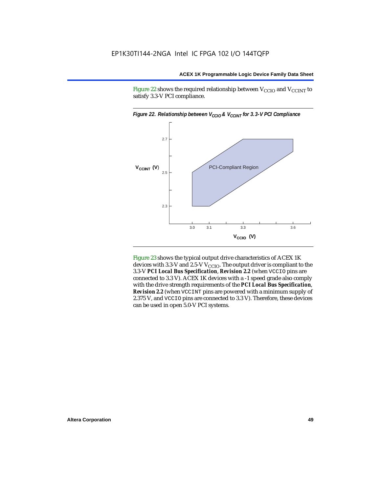Figure 22 shows the required relationship between  $V_{\text{CCIO}}$  and  $V_{\text{CCINT}}$  to satisfy 3.3-V PCI compliance.



Figure 23 shows the typical output drive characteristics of ACEX 1K devices with 3.3-V and 2.5-V  $V_{\text{CCIO}}$ . The output driver is compliant to the 3.3-V *PCI Local Bus Specification*, *Revision 2.2* (when VCCIO pins are connected to 3.3 V). ACEX 1K devices with a -1 speed grade also comply with the drive strength requirements of the *PCI Local Bus Specification*, *Revision 2.2* (when VCCINT pins are powered with a minimum supply of 2.375 V, and VCCIO pins are connected to 3.3 V). Therefore, these devices can be used in open 5.0-V PCI systems.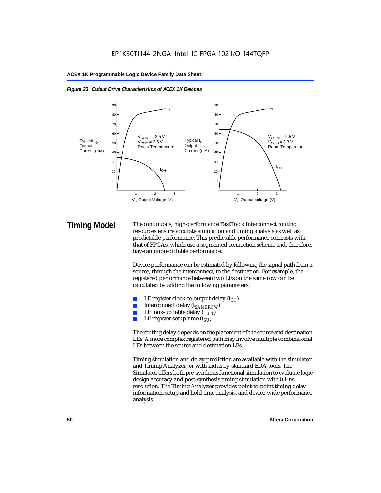



**Timing Model** The continuous, high-performance FastTrack Interconnect routing resources ensure accurate simulation and timing analysis as well as predictable performance. This predictable performance contrasts with that of FPGAs, which use a segmented connection scheme and, therefore, have an unpredictable performance.

> Device performance can be estimated by following the signal path from a source, through the interconnect, to the destination. For example, the registered performance between two LEs on the same row can be calculated by adding the following parameters:

- LE register clock-to-output delay  $(t_{CO})$
- Interconnect delay ( $t_{SAMFROW}$ )
- **■** LE look-up table delay  $(t_{LUT})$ <br>
 LE register setup time  $(t_{SL})$
- LE register setup time  $(t_{SI})$

The routing delay depends on the placement of the source and destination LEs. A more complex registered path may involve multiple combinatorial LEs between the source and destination LEs.

Timing simulation and delay prediction are available with the simulator and Timing Analyzer, or with industry-standard EDA tools. The Simulator offers both pre-synthesis functional simulation to evaluate logic design accuracy and post-synthesis timing simulation with 0.1-ns resolution. The Timing Analyzer provides point-to-point timing delay information, setup and hold time analysis, and device-wide performance analysis.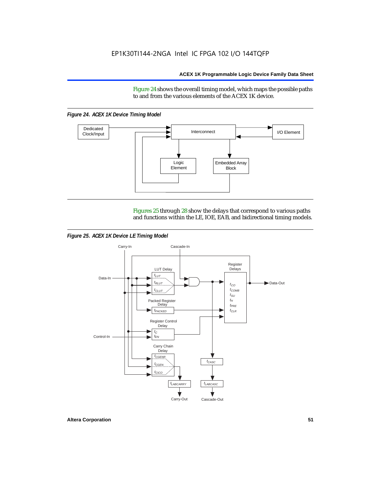Figure 24 shows the overall timing model, which maps the possible paths to and from the various elements of the ACEX 1K device.

*Figure 24. ACEX 1K Device Timing Model*



Figures 25 through 28 show the delays that correspond to various paths and functions within the LE, IOE, EAB, and bidirectional timing models.

*Figure 25. ACEX 1K Device LE Timing Model*

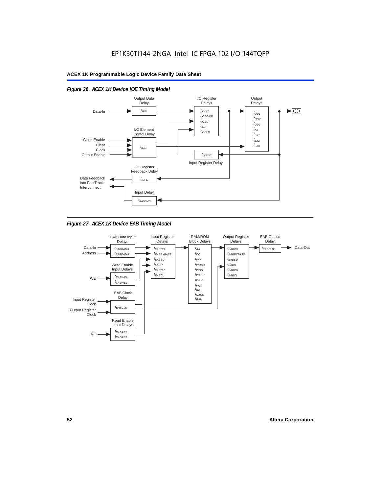

# *Figure 26. ACEX 1K Device IOE Timing Model*



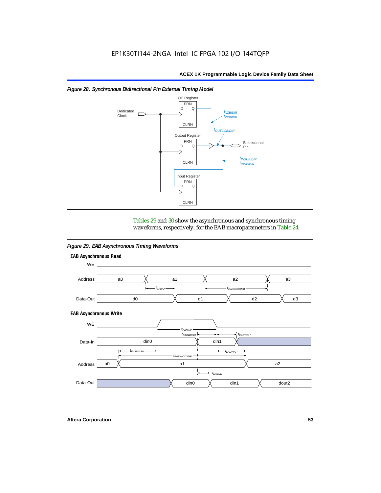

#### *Figure 28. Synchronous Bidirectional Pin External Timing Model*

Tables 29 and 30 show the asynchronous and synchronous timing waveforms, respectively, for the EAB macroparameters in Table 24.

*Figure 29. EAB Asynchronous Timing Waveforms*

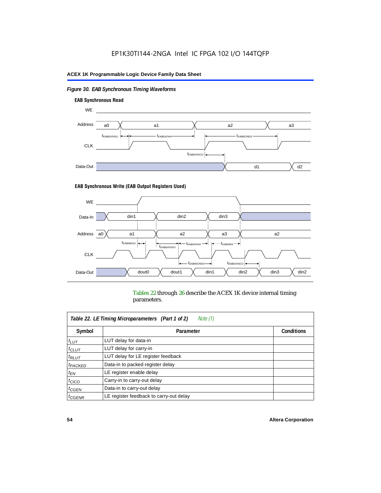# *Figure 30. EAB Synchronous Timing Waveforms*



#### **EAB Synchronous Write (EAB Output Registers Used)**



Tables 22 through 26 describe the ACEX 1K device internal timing parameters.

| Table 22. LE Timing Microparameters (Part 1 of 2)<br>Note (1) |                                         |  |  |  |  |  |
|---------------------------------------------------------------|-----------------------------------------|--|--|--|--|--|
| Symbol                                                        | <b>Conditions</b><br>Parameter          |  |  |  |  |  |
| $t_{LUT}$                                                     | LUT delay for data-in                   |  |  |  |  |  |
| $t_{CLUT}$                                                    | LUT delay for carry-in                  |  |  |  |  |  |
| $t_{RLUT}$                                                    | LUT delay for LE register feedback      |  |  |  |  |  |
| <sup>t</sup> PACKED                                           | Data-in to packed register delay        |  |  |  |  |  |
| $t_{EN}$                                                      | LE register enable delay                |  |  |  |  |  |
| $t_{CICO}$                                                    | Carry-in to carry-out delay             |  |  |  |  |  |
| $t_{G\text{EN}}$                                              | Data-in to carry-out delay              |  |  |  |  |  |
| ${}^t$ CGENR                                                  | LE register feedback to carry-out delay |  |  |  |  |  |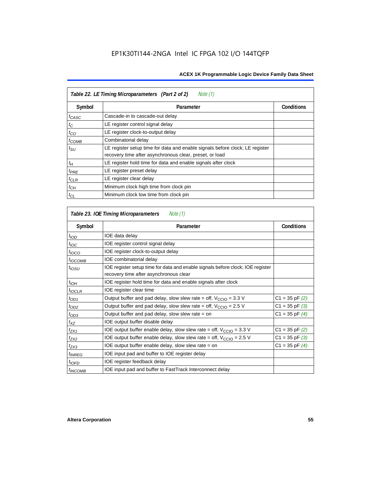| Table 22. LE Timing Microparameters (Part 2 of 2)<br>Note (1) |                                                                                                                                         |                   |  |  |  |  |
|---------------------------------------------------------------|-----------------------------------------------------------------------------------------------------------------------------------------|-------------------|--|--|--|--|
| Symbol                                                        | Parameter                                                                                                                               | <b>Conditions</b> |  |  |  |  |
| $t_{CASC}$                                                    | Cascade-in to cascade-out delay                                                                                                         |                   |  |  |  |  |
| $t_C$                                                         | LE register control signal delay                                                                                                        |                   |  |  |  |  |
| $t_{CO}$                                                      | LE register clock-to-output delay                                                                                                       |                   |  |  |  |  |
| $t_{COMB}$                                                    | Combinatorial delay                                                                                                                     |                   |  |  |  |  |
| $t_{\rm SU}$                                                  | LE register setup time for data and enable signals before clock; LE register<br>recovery time after asynchronous clear, preset, or load |                   |  |  |  |  |
| $t_H$                                                         | LE register hold time for data and enable signals after clock                                                                           |                   |  |  |  |  |
| $t_{PRE}$                                                     | LE register preset delay                                                                                                                |                   |  |  |  |  |
| $t_{CLR}$                                                     | LE register clear delay                                                                                                                 |                   |  |  |  |  |
| $t_{CH}$                                                      | Minimum clock high time from clock pin                                                                                                  |                   |  |  |  |  |
| $t_{CL}$                                                      | Minimum clock low time from clock pin                                                                                                   |                   |  |  |  |  |

| Table 23. IOE Timing Microparameters<br>Note (1) |                                                                                                                          |                    |  |  |  |  |
|--------------------------------------------------|--------------------------------------------------------------------------------------------------------------------------|--------------------|--|--|--|--|
| Symbol                                           | Parameter                                                                                                                | <b>Conditions</b>  |  |  |  |  |
| $t$ <sub>IOD</sub>                               | IOE data delay                                                                                                           |                    |  |  |  |  |
| $t_{\text{IOC}}$                                 | IOE register control signal delay                                                                                        |                    |  |  |  |  |
| $t_{\text{IOCO}}$                                | IOE register clock-to-output delay                                                                                       |                    |  |  |  |  |
| $t_{IOCOMB}$                                     | IOE combinatorial delay                                                                                                  |                    |  |  |  |  |
| t <sub>IOSU</sub>                                | IOE register setup time for data and enable signals before clock; IOE register<br>recovery time after asynchronous clear |                    |  |  |  |  |
| $t_{IOH}$                                        | IOE register hold time for data and enable signals after clock                                                           |                    |  |  |  |  |
| $t_{IOCLR}$                                      | IOE register clear time                                                                                                  |                    |  |  |  |  |
| $t_{OD1}$                                        | Output buffer and pad delay, slow slew rate = off, $V_{\text{CCIO}} = 3.3$ V                                             | $C1 = 35$ pF $(2)$ |  |  |  |  |
| $t_{OD2}$                                        | Output buffer and pad delay, slow slew rate = off, $V_{\text{CCIO}} = 2.5 V$                                             | $C1 = 35$ pF $(3)$ |  |  |  |  |
| $t_{OD3}$                                        | Output buffer and pad delay, slow slew rate $=$ on                                                                       | $C1 = 35$ pF $(4)$ |  |  |  |  |
| $t_{XZ}$                                         | IOE output buffer disable delay                                                                                          |                    |  |  |  |  |
| $t_{ZX1}$                                        | IOE output buffer enable delay, slow slew rate = off, $V_{\text{CCIO}} = 3.3 V$                                          | $C1 = 35$ pF $(2)$ |  |  |  |  |
| $t_{ZX2}$                                        | IOE output buffer enable delay, slow slew rate = off, $V_{\text{CCIO}} = 2.5$ V                                          | $C1 = 35$ pF $(3)$ |  |  |  |  |
| $t_{ZX3}$                                        | IOE output buffer enable delay, slow slew rate $=$ on                                                                    | $C1 = 35$ pF $(4)$ |  |  |  |  |
| <sup>t</sup> INREG                               | IOE input pad and buffer to IOE register delay                                                                           |                    |  |  |  |  |
| $t_{IOFD}$                                       | IOE register feedback delay                                                                                              |                    |  |  |  |  |
| <sup>t</sup> INCOMB                              | IOE input pad and buffer to FastTrack Interconnect delay                                                                 |                    |  |  |  |  |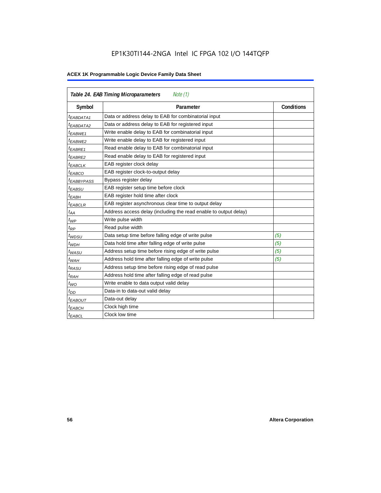# EP1K30TI144-2NGA Intel IC FPGA 102 I/O 144TQFP

| <b>Table 24. EAB Timing Microparameters</b><br>Note (1) |                                                                  |                   |  |  |  |  |
|---------------------------------------------------------|------------------------------------------------------------------|-------------------|--|--|--|--|
| Symbol                                                  | Parameter                                                        | <b>Conditions</b> |  |  |  |  |
| <sup>t</sup> EABDATA1                                   | Data or address delay to EAB for combinatorial input             |                   |  |  |  |  |
| <sup>t</sup> EABDATA2                                   | Data or address delay to EAB for registered input                |                   |  |  |  |  |
| <sup>t</sup> EABWE1                                     | Write enable delay to EAB for combinatorial input                |                   |  |  |  |  |
| t <sub>EABWE2</sub>                                     | Write enable delay to EAB for registered input                   |                   |  |  |  |  |
| $t_{EABRE1}$                                            | Read enable delay to EAB for combinatorial input                 |                   |  |  |  |  |
| $t_{EABRE2}$                                            | Read enable delay to EAB for registered input                    |                   |  |  |  |  |
| $t_{EABCLK}$                                            | EAB register clock delay                                         |                   |  |  |  |  |
| $t_{EABCO}$                                             | EAB register clock-to-output delay                               |                   |  |  |  |  |
| <sup>t</sup> EABBYPASS                                  | Bypass register delay                                            |                   |  |  |  |  |
| t <sub>EABSU</sub>                                      | EAB register setup time before clock                             |                   |  |  |  |  |
| t <sub>EABH</sub>                                       | EAB register hold time after clock                               |                   |  |  |  |  |
| $t_{EABCLR}$                                            | EAB register asynchronous clear time to output delay             |                   |  |  |  |  |
| $t_{AA}$                                                | Address access delay (including the read enable to output delay) |                   |  |  |  |  |
| $t_{WP}$                                                | Write pulse width                                                |                   |  |  |  |  |
| $t_{RP}$                                                | Read pulse width                                                 |                   |  |  |  |  |
| $t_{WDSU}$                                              | Data setup time before falling edge of write pulse               | (5)               |  |  |  |  |
| $t_{WDH}$                                               | Data hold time after falling edge of write pulse                 | (5)               |  |  |  |  |
| $t_{WASU}$                                              | Address setup time before rising edge of write pulse             | (5)               |  |  |  |  |
| $t_{WAH}$                                               | Address hold time after falling edge of write pulse              | (5)               |  |  |  |  |
| t <sub>RASU</sub>                                       | Address setup time before rising edge of read pulse              |                   |  |  |  |  |
| $t_{RAH}$                                               | Address hold time after falling edge of read pulse               |                   |  |  |  |  |
| $t_{WO}$                                                | Write enable to data output valid delay                          |                   |  |  |  |  |
| $t_{DD}$                                                | Data-in to data-out valid delay                                  |                   |  |  |  |  |
| $t_{EABOUT}$                                            | Data-out delay                                                   |                   |  |  |  |  |
| <sup>t</sup> ЕАВСН                                      | Clock high time                                                  |                   |  |  |  |  |
| <sup>t</sup> EABCL                                      | Clock low time                                                   |                   |  |  |  |  |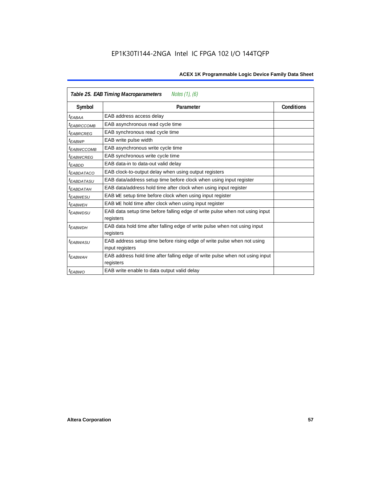| Table 25. EAB Timing Macroparameters<br>Notes $(1)$ , $(6)$ |                                                                                           |                   |  |  |  |  |
|-------------------------------------------------------------|-------------------------------------------------------------------------------------------|-------------------|--|--|--|--|
| Symbol                                                      | Parameter                                                                                 | <b>Conditions</b> |  |  |  |  |
| t <sub>EABAA</sub>                                          | EAB address access delay                                                                  |                   |  |  |  |  |
| <sup>I</sup> EABRCCOMB                                      | EAB asynchronous read cycle time                                                          |                   |  |  |  |  |
| <sup>t</sup> EABRCREG                                       | EAB synchronous read cycle time                                                           |                   |  |  |  |  |
| <sup>t</sup> EABWP                                          | EAB write pulse width                                                                     |                   |  |  |  |  |
| <sup>t</sup> ЕАВWССОМВ                                      | EAB asynchronous write cycle time                                                         |                   |  |  |  |  |
| <sup>t</sup> EABWCREG                                       | EAB synchronous write cycle time                                                          |                   |  |  |  |  |
| <sup>t</sup> EABDD                                          | EAB data-in to data-out valid delay                                                       |                   |  |  |  |  |
| <sup>t</sup> EABDATACO                                      | EAB clock-to-output delay when using output registers                                     |                   |  |  |  |  |
| <sup>t</sup> EABDATASU                                      | EAB data/address setup time before clock when using input register                        |                   |  |  |  |  |
| <sup>t</sup> EABDATAH                                       | EAB data/address hold time after clock when using input register                          |                   |  |  |  |  |
| <sup>t</sup> EABWESU                                        | EAB WE setup time before clock when using input register                                  |                   |  |  |  |  |
| t <sub>EABWEH</sub>                                         | EAB WE hold time after clock when using input register                                    |                   |  |  |  |  |
| <sup>t</sup> EABWDSU                                        | EAB data setup time before falling edge of write pulse when not using input<br>registers  |                   |  |  |  |  |
| $t_{EABWDH}$                                                | EAB data hold time after falling edge of write pulse when not using input                 |                   |  |  |  |  |
|                                                             | registers                                                                                 |                   |  |  |  |  |
| t <sub>EABWASU</sub>                                        | EAB address setup time before rising edge of write pulse when not using                   |                   |  |  |  |  |
|                                                             | input registers                                                                           |                   |  |  |  |  |
| <sup>t</sup> EABWAH                                         | EAB address hold time after falling edge of write pulse when not using input<br>registers |                   |  |  |  |  |
|                                                             | EAB write enable to data output valid delay                                               |                   |  |  |  |  |
| <sup>t</sup> EABWO                                          |                                                                                           |                   |  |  |  |  |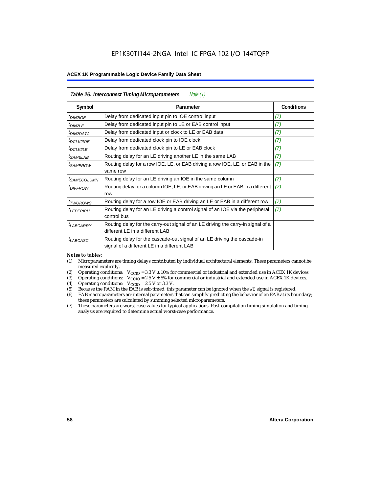| Table 26. Interconnect Timing Microparameters<br>Note $(1)$ |                                                                                                                         |                   |  |  |  |  |
|-------------------------------------------------------------|-------------------------------------------------------------------------------------------------------------------------|-------------------|--|--|--|--|
| Symbol                                                      | Parameter                                                                                                               | <b>Conditions</b> |  |  |  |  |
| $t_{DINZIOE}$                                               | Delay from dedicated input pin to IOE control input                                                                     | (7)               |  |  |  |  |
| $t_{DIN2LE}$                                                | Delay from dedicated input pin to LE or EAB control input                                                               | (7)               |  |  |  |  |
| <sup>t</sup> DIN2DATA                                       | Delay from dedicated input or clock to LE or EAB data                                                                   | (7)               |  |  |  |  |
| $t_{DCLK2IOE}$                                              | Delay from dedicated clock pin to IOE clock                                                                             | (7)               |  |  |  |  |
| t <sub>DCLK2LE</sub>                                        | Delay from dedicated clock pin to LE or EAB clock                                                                       | (7)               |  |  |  |  |
| <sup>t</sup> SAMELAB                                        | Routing delay for an LE driving another LE in the same LAB                                                              | (7)               |  |  |  |  |
| <sup>t</sup> SAMEROW                                        | Routing delay for a row IOE, LE, or EAB driving a row IOE, LE, or EAB in the<br>same row                                | (7)               |  |  |  |  |
| <sup>t</sup> SAMECOLUMN                                     | Routing delay for an LE driving an IOE in the same column                                                               | (7)               |  |  |  |  |
| <i>t<sub>DIFFROW</sub></i>                                  | Routing delay for a column IOE, LE, or EAB driving an LE or EAB in a different<br>row                                   | (7)               |  |  |  |  |
| <i>t</i> <sub>TWOROWS</sub>                                 | Routing delay for a row IOE or EAB driving an LE or EAB in a different row                                              | (7)               |  |  |  |  |
| <sup>t</sup> LEPERIPH                                       | Routing delay for an LE driving a control signal of an IOE via the peripheral<br>control bus                            | (7)               |  |  |  |  |
| $t_{LABCARRY}$                                              | Routing delay for the carry-out signal of an LE driving the carry-in signal of a<br>different LE in a different LAB     |                   |  |  |  |  |
| $t_{LABCASC}$                                               | Routing delay for the cascade-out signal of an LE driving the cascade-in<br>signal of a different LE in a different LAB |                   |  |  |  |  |

#### *Notes to tables:*

- (1) Microparameters are timing delays contributed by individual architectural elements. These parameters cannot be measured explicitly.
- (2) Operating conditions:  $V_{\text{CCIO}} = 3.3 V \pm 10\%$  for commercial or industrial and extended use in ACEX 1K devices (3) Operating conditions:  $V_{\text{CCIO}} = 2.5 V \pm 5\%$  for commercial or industrial and extended use in ACEX 1K
- (3) Operating conditions:  $V_{CCIO} = 2.5 V \pm 5\%$  for commercial or industrial and extended use in ACEX 1K devices.<br>(4) Operating conditions:  $V_{CCIO} = 2.5 V$  or 3.3 V.
- (4) Operating conditions:  $V_{\text{CCIO}} = 2.5 \text{ V or } 3.3 \text{ V.}$ <br>(5) Because the RAM in the EAB is self-timed, this
- Because the RAM in the EAB is self-timed, this parameter can be ignored when the WE signal is registered.
- (6) EAB macroparameters are internal parameters that can simplify predicting the behavior of an EAB at its boundary; these parameters are calculated by summing selected microparameters.
- (7) These parameters are worst-case values for typical applications. Post-compilation timing simulation and timing analysis are required to determine actual worst-case performance.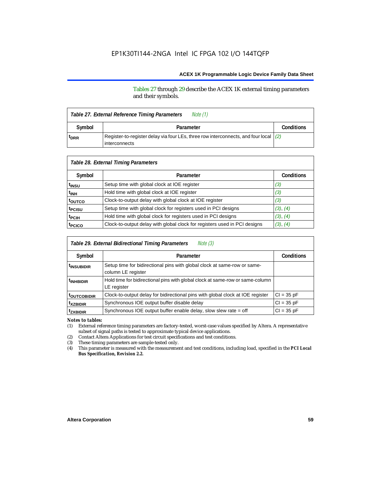### Tables 27 through 29 describe the ACEX 1K external timing parameters and their symbols.

| Table 27. External Reference Timing Parameters |                                                                                                           |  |  |  |
|------------------------------------------------|-----------------------------------------------------------------------------------------------------------|--|--|--|
| Symbol                                         | Parameter                                                                                                 |  |  |  |
| t <sub>DRR</sub>                               | Register-to-register delay via four LEs, three row interconnects, and four local $(2)$<br>l interconnects |  |  |  |

| Table 28. External Timing Parameters |                                                                           |                   |  |  |  |  |
|--------------------------------------|---------------------------------------------------------------------------|-------------------|--|--|--|--|
| Symbol                               | Parameter                                                                 | <b>Conditions</b> |  |  |  |  |
| t <sub>insu</sub>                    | Setup time with global clock at IOE register                              | (3)               |  |  |  |  |
| t <sub>INH</sub>                     | Hold time with global clock at IOE register                               | (3)               |  |  |  |  |
| toutco                               | Clock-to-output delay with global clock at IOE register                   | (3)               |  |  |  |  |
| t <sub>PCISU</sub>                   | Setup time with global clock for registers used in PCI designs            | (3), (4)          |  |  |  |  |
| <sup>t</sup> PCIH                    | Hold time with global clock for registers used in PCI designs             | (3), (4)          |  |  |  |  |
| t <sub>PCICO</sub>                   | Clock-to-output delay with global clock for registers used in PCI designs | (3), (4)          |  |  |  |  |

| <b>Table 29. External Bidirectional Timing Parameters</b><br>Note (3) |                                                                                                |                   |  |  |  |  |
|-----------------------------------------------------------------------|------------------------------------------------------------------------------------------------|-------------------|--|--|--|--|
| Symbol                                                                | Parameter                                                                                      | <b>Conditions</b> |  |  |  |  |
| <sup>t</sup> INSUBIDIR                                                | Setup time for bidirectional pins with global clock at same-row or same-<br>column LE register |                   |  |  |  |  |
| <sup>t</sup> INHBIDIR                                                 | Hold time for bidirectional pins with global clock at same-row or same-column<br>LE register   |                   |  |  |  |  |
| <b>toutcobidir</b>                                                    | Clock-to-output delay for bidirectional pins with global clock at IOE register                 | $Cl = 35 pF$      |  |  |  |  |
| <sup>t</sup> xzbidir                                                  | Synchronous IOE output buffer disable delay                                                    | $Cl = 35 pF$      |  |  |  |  |
| <sup>t</sup> zxbidir                                                  | Synchronous IOE output buffer enable delay, slow slew rate $=$ off                             | $Cl = 35 pF$      |  |  |  |  |

*Notes to tables:*

(1) External reference timing parameters are factory-tested, worst-case values specified by Altera. A representative subset of signal paths is tested to approximate typical device applications.

(2) Contact Altera Applications for test circuit specifications and test conditions.

(3) These timing parameters are sample-tested only.

(4) This parameter is measured with the measurement and test conditions, including load, specified in the *PCI Local Bus Specification, Revision 2.2.*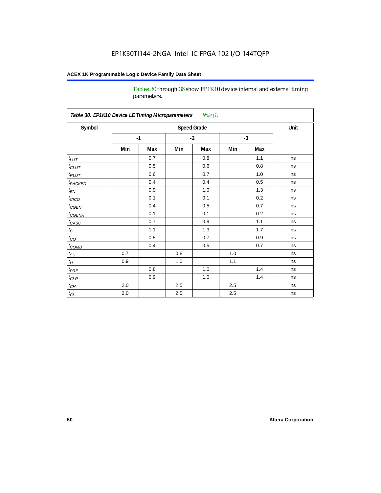Tables 30 through 36 show EP1K10 device internal and external timing parameters.

| Table 30. EP1K10 Device LE Timing Microparameters<br>Note (1) |                    |      |         |     |      |     |      |
|---------------------------------------------------------------|--------------------|------|---------|-----|------|-----|------|
| Symbol                                                        | <b>Speed Grade</b> |      |         |     |      |     | Unit |
|                                                               |                    | $-1$ | $-2$    |     | $-3$ |     |      |
|                                                               | Min                | Max  | Min     | Max | Min  | Max |      |
| $t_{LUT}$                                                     |                    | 0.7  |         | 0.8 |      | 1.1 | ns   |
| $t_{CLUT}$                                                    |                    | 0.5  |         | 0.6 |      | 0.8 | ns   |
| $t_{RLUT}$                                                    |                    | 0.6  |         | 0.7 |      | 1.0 | ns   |
| <b>t</b> <sub>PACKED</sub>                                    |                    | 0.4  |         | 0.4 |      | 0.5 | ns   |
| $t_{EN}$                                                      |                    | 0.9  |         | 1.0 |      | 1.3 | ns   |
| $t_{CICO}$                                                    |                    | 0.1  |         | 0.1 |      | 0.2 | ns   |
| $t_{\text{CGEN}}$                                             |                    | 0.4  |         | 0.5 |      | 0.7 | ns   |
| $t_{GENR}$                                                    |                    | 0.1  |         | 0.1 |      | 0.2 | ns   |
| $t_{CASC}$                                                    |                    | 0.7  |         | 0.9 |      | 1.1 | ns   |
| $t_{\rm C}$                                                   |                    | 1.1  |         | 1.3 |      | 1.7 | ns   |
| $t_{CO}$                                                      |                    | 0.5  |         | 0.7 |      | 0.9 | ns   |
| $t$ <sub>COMB</sub>                                           |                    | 0.4  |         | 0.5 |      | 0.7 | ns   |
| $t_{\rm SU}$                                                  | 0.7                |      | 0.8     |     | 1.0  |     | ns   |
| $t_H\,$                                                       | 0.9                |      | 1.0     |     | 1.1  |     | ns   |
| $t_{PRE}$                                                     |                    | 0.8  |         | 1.0 |      | 1.4 | ns   |
| $t_{CLR}$                                                     |                    | 0.9  |         | 1.0 |      | 1.4 | ns   |
| $t_{\mathit{CH}}$                                             | 2.0                |      | 2.5     |     | 2.5  |     | ns   |
| $t_{CL}$                                                      | 2.0                |      | $2.5\,$ |     | 2.5  |     | ns   |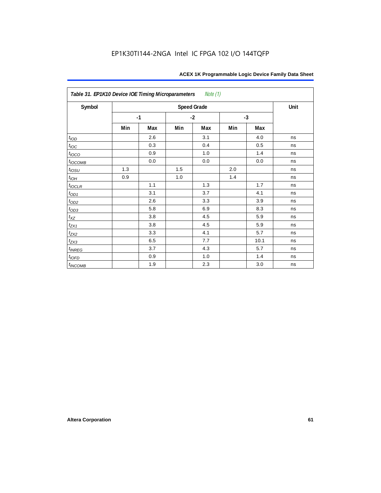| Table 31. EP1K10 Device IOE Timing Microparameters<br>Note (1) |     |      |      |                    |      |      |      |
|----------------------------------------------------------------|-----|------|------|--------------------|------|------|------|
| Symbol                                                         |     |      |      | <b>Speed Grade</b> |      |      | Unit |
|                                                                |     | $-1$ | $-2$ |                    | $-3$ |      |      |
|                                                                | Min | Max  | Min  | Max                | Min  | Max  |      |
| t <sub>IOD</sub>                                               |     | 2.6  |      | 3.1                |      | 4.0  | ns   |
| $t_{\text{IOC}}$                                               |     | 0.3  |      | 0.4                |      | 0.5  | ns   |
| $t_{IOCO}$                                                     |     | 0.9  |      | 1.0                |      | 1.4  | ns   |
| $t_{IOCOMB}$                                                   |     | 0.0  |      | 0.0                |      | 0.0  | ns   |
| $t_{IOSU}$                                                     | 1.3 |      | 1.5  |                    | 2.0  |      | ns   |
| $t_{IOH}$                                                      | 0.9 |      | 1.0  |                    | 1.4  |      | ns   |
| $t_{IOCLR}$                                                    |     | 1.1  |      | 1.3                |      | 1.7  | ns   |
| $t_{OD1}$                                                      |     | 3.1  |      | 3.7                |      | 4.1  | ns   |
| $t_{OD2}$                                                      |     | 2.6  |      | 3.3                |      | 3.9  | ns   |
| $t_{OD3}$                                                      |     | 5.8  |      | 6.9                |      | 8.3  | ns   |
| $t_{\text{XZ}}$                                                |     | 3.8  |      | 4.5                |      | 5.9  | ns   |
| $t_{ZX1}$                                                      |     | 3.8  |      | 4.5                |      | 5.9  | ns   |
| $t_{ZX2}$                                                      |     | 3.3  |      | 4.1                |      | 5.7  | ns   |
| $t_{ZX3}$                                                      |     | 6.5  |      | 7.7                |      | 10.1 | ns   |
| $t_{INREG}$                                                    |     | 3.7  |      | 4.3                |      | 5.7  | ns   |
| $t_{IOFD}$                                                     |     | 0.9  |      | 1.0                |      | 1.4  | ns   |
| $t_{INCOMB}$                                                   |     | 1.9  |      | 2.3                |      | 3.0  | ns   |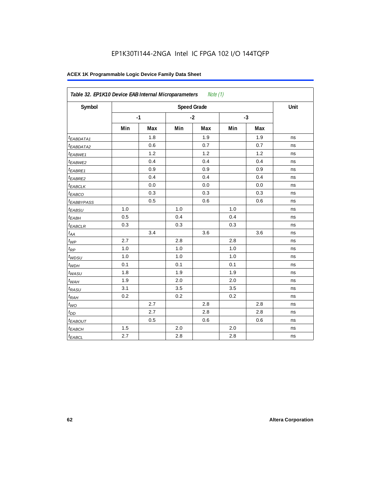| Table 32. EP1K10 Device EAB Internal Microparameters<br>Note (1) |     |      |     |      |     |      |    |  |
|------------------------------------------------------------------|-----|------|-----|------|-----|------|----|--|
| Symbol                                                           |     | Unit |     |      |     |      |    |  |
|                                                                  |     | $-1$ |     | $-2$ |     | $-3$ |    |  |
|                                                                  | Min | Max  | Min | Max  | Min | Max  |    |  |
| $t_{EABDATA1}$                                                   |     | 1.8  |     | 1.9  |     | 1.9  | ns |  |
| $t_{EABDATA2}$                                                   |     | 0.6  |     | 0.7  |     | 0.7  | ns |  |
| t <sub>EABWE1</sub>                                              |     | 1.2  |     | 1.2  |     | 1.2  | ns |  |
| t <sub>EABWE2</sub>                                              |     | 0.4  |     | 0.4  |     | 0.4  | ns |  |
| $t_{EABRE1}$                                                     |     | 0.9  |     | 0.9  |     | 0.9  | ns |  |
| t <sub>EABRE2</sub>                                              |     | 0.4  |     | 0.4  |     | 0.4  | ns |  |
| $t_{EABCLK}$                                                     |     | 0.0  |     | 0.0  |     | 0.0  | ns |  |
| $t_{EABCO}$                                                      |     | 0.3  |     | 0.3  |     | 0.3  | ns |  |
| <sup>t</sup> EABBYPASS                                           |     | 0.5  |     | 0.6  |     | 0.6  | ns |  |
| t <sub>EABSU</sub>                                               | 1.0 |      | 1.0 |      | 1.0 |      | ns |  |
| $t_{EABH}$                                                       | 0.5 |      | 0.4 |      | 0.4 |      | ns |  |
| $t_{EABCLR}$                                                     | 0.3 |      | 0.3 |      | 0.3 |      | ns |  |
| $t_{AA}$                                                         |     | 3.4  |     | 3.6  |     | 3.6  | ns |  |
| $t_{WP}$                                                         | 2.7 |      | 2.8 |      | 2.8 |      | ns |  |
| $t_{RP}$                                                         | 1.0 |      | 1.0 |      | 1.0 |      | ns |  |
| $t_{WDSU}$                                                       | 1.0 |      | 1.0 |      | 1.0 |      | ns |  |
| $t_{WDH}$                                                        | 0.1 |      | 0.1 |      | 0.1 |      | ns |  |
| $t_{WASU}$                                                       | 1.8 |      | 1.9 |      | 1.9 |      | ns |  |
| $t_{WAH}$                                                        | 1.9 |      | 2.0 |      | 2.0 |      | ns |  |
| $t_{RASU}$                                                       | 3.1 |      | 3.5 |      | 3.5 |      | ns |  |
| $t_{RAH}$                                                        | 0.2 |      | 0.2 |      | 0.2 |      | ns |  |
| $t_{WQ}$                                                         |     | 2.7  |     | 2.8  |     | 2.8  | ns |  |
| $t_{DD}$                                                         |     | 2.7  |     | 2.8  |     | 2.8  | ns |  |
| <b><i>EABOUT</i></b>                                             |     | 0.5  |     | 0.6  |     | 0.6  | ns |  |
| $t_{EABCH}$                                                      | 1.5 |      | 2.0 |      | 2.0 |      | ns |  |
| $t_{EABCL}$                                                      | 2.7 |      | 2.8 |      | 2.8 |      | ns |  |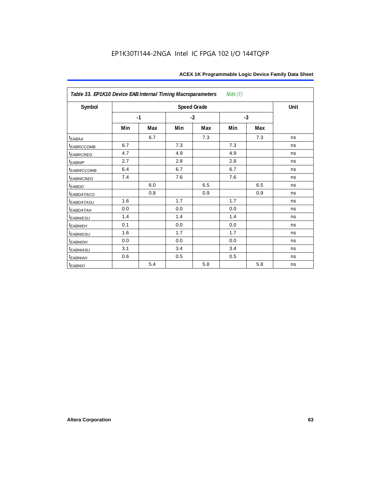| Table 33. EP1K10 Device EAB Internal Timing Macroparameters |     |      |     |      | Note (1) |     |    |
|-------------------------------------------------------------|-----|------|-----|------|----------|-----|----|
| Symbol                                                      |     | Unit |     |      |          |     |    |
|                                                             |     | $-1$ |     | $-2$ |          | -3  |    |
|                                                             | Min | Max  | Min | Max  | Min      | Max |    |
| $t_{EABA}$                                                  |     | 6.7  |     | 7.3  |          | 7.3 | ns |
| <b><i>EABRCCOMB</i></b>                                     | 6.7 |      | 7.3 |      | 7.3      |     | ns |
| <i><b>EABRCREG</b></i>                                      | 4.7 |      | 4.9 |      | 4.9      |     | ns |
| <sup>t</sup> EABWP                                          | 2.7 |      | 2.8 |      | 2.8      |     | ns |
| <sup>t</sup> EABWCCOMB                                      | 6.4 |      | 6.7 |      | 6.7      |     | ns |
| <i>t</i> EABWCREG                                           | 7.4 |      | 7.6 |      | 7.6      |     | ns |
| $t_{EABDD}$                                                 |     | 6.0  |     | 6.5  |          | 6.5 | ns |
| $t_{EABDATACO}$                                             |     | 0.8  |     | 0.9  |          | 0.9 | ns |
| <i><b>EABDATASU</b></i>                                     | 1.6 |      | 1.7 |      | 1.7      |     | ns |

 $t_{EABDATAH}$  | 0.0 | 0.0 | 0.0 | 0.0 | ns  $t_{EABWESU}$  1.4 1.4 1.4 1.4 ns *t<sub>EABWEH</sub>* | 0.1 | 0.0 | 0.0 | ns  $t_{EABWDSU}$  1.6 1.7 1.7 1.7 1.7 1.7 1.7 1.8 ns tEABWDH 0.0 0.0 0.0 ns  $t_{\sf EABWASU}$  | 3.1 | | 3.4 | | 3.4 | | | | ns  $t_{EABWAH}$  0.6 0.5 0.5 0.5 0.5  $\qquad$  0.5 *t<sub>EABWO</sub>* | | 5.4 | | 5.8 | | 5.8 | ns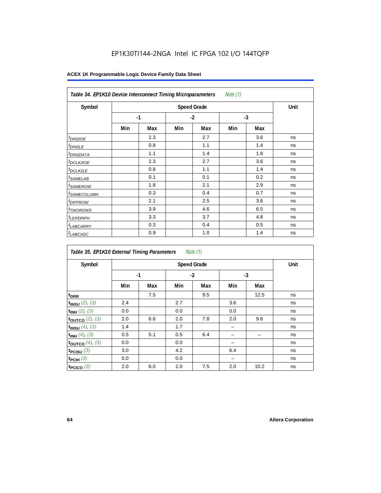# EP1K30TI144-2NGA Intel IC FPGA 102 I/O 144TQFP

| Note (1)<br>Table 34. EP1K10 Device Interconnect Timing Microparameters |     |      |      |     |      |     |    |  |  |
|-------------------------------------------------------------------------|-----|------|------|-----|------|-----|----|--|--|
| Symbol                                                                  |     | Unit |      |     |      |     |    |  |  |
|                                                                         |     | $-1$ | $-2$ |     | $-3$ |     |    |  |  |
|                                                                         | Min | Max  | Min  | Max | Min  | Max |    |  |  |
| $t_{DINZIOE}$                                                           |     | 2.3  |      | 2.7 |      | 3.6 | ns |  |  |
| t <sub>DIN2LE</sub>                                                     |     | 0.8  |      | 1.1 |      | 1.4 | ns |  |  |
| <sup>t</sup> DIN2DATA                                                   |     | 1.1  |      | 1.4 |      | 1.8 | ns |  |  |
| <sup>t</sup> DCLK2IOE                                                   |     | 2.3  |      | 2.7 |      | 3.6 | ns |  |  |
| <sup>t</sup> DCLK2LE                                                    |     | 0.8  |      | 1.1 |      | 1.4 | ns |  |  |
| <sup>t</sup> SAMELAB                                                    |     | 0.1  |      | 0.1 |      | 0.2 | ns |  |  |
| <sup>t</sup> SAMEROW                                                    |     | 1.8  |      | 2.1 |      | 2.9 | ns |  |  |
| <sup>t</sup> SAMECOLUMN                                                 |     | 0.3  |      | 0.4 |      | 0.7 | ns |  |  |
| <i>t<sub>DIFFROW</sub></i>                                              |     | 2.1  |      | 2.5 |      | 3.6 | ns |  |  |
| <sup>t</sup> TWOROWS                                                    |     | 3.9  |      | 4.6 |      | 6.5 | ns |  |  |
| <sup>t</sup> LEPERIPH                                                   |     | 3.3  |      | 3.7 |      | 4.8 | ns |  |  |
| <sup>t</sup> LABCARRY                                                   |     | 0.3  |      | 0.4 |      | 0.5 | ns |  |  |
| <b>LABCASC</b>                                                          |     | 0.9  |      | 1.0 |      | 1.4 | ns |  |  |

| <i>Note</i> $(1)$<br>Table 35. EP1K10 External Timing Parameters |      |      |     |      |     |      |    |  |  |
|------------------------------------------------------------------|------|------|-----|------|-----|------|----|--|--|
| Symbol                                                           |      | Unit |     |      |     |      |    |  |  |
|                                                                  | $-1$ |      |     | $-2$ |     | $-3$ |    |  |  |
|                                                                  | Min  | Max  | Min | Max  | Min | Max  |    |  |  |
| t <sub>DRR</sub>                                                 |      | 7.5  |     | 9.5  |     | 12.5 | ns |  |  |
| $t_{INSU}$ (2), (3)                                              | 2.4  |      | 2.7 |      | 3.6 |      | ns |  |  |
| $t_{INH}$ (2), (3)                                               | 0.0  |      | 0.0 |      | 0.0 |      | ns |  |  |
| toutco $(2)$ , $(3)$                                             | 2.0  | 6.6  | 2.0 | 7.8  | 2.0 | 9.6  | ns |  |  |
| $t_{INSU}$ (4), (3)                                              | 1.4  |      | 1.7 |      |     |      | ns |  |  |
| $t_{INH}$ (4), (3)                                               | 0.5  | 5.1  | 0.5 | 6.4  |     |      | ns |  |  |
| toutco $(4)$ , $(3)$                                             | 0.0  |      | 0.0 |      |     |      | ns |  |  |
| t <sub>PCISU</sub> $(3)$                                         | 3.0  |      | 4.2 |      | 6.4 |      | ns |  |  |
| $t_{PCH}(3)$                                                     | 0.0  |      | 0.0 |      |     |      | ns |  |  |
| t <sub>PCICO</sub> $(3)$                                         | 2.0  | 6.0  | 2.0 | 7.5  | 2.0 | 10.2 | ns |  |  |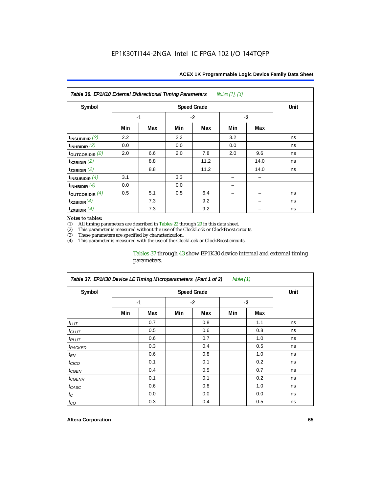| Notes (1), (3)<br>Table 36. EP1K10 External Bidirectional Timing Parameters |                      |      |     |      |     |      |    |  |  |
|-----------------------------------------------------------------------------|----------------------|------|-----|------|-----|------|----|--|--|
| Symbol                                                                      |                      | Unit |     |      |     |      |    |  |  |
|                                                                             | $-1$<br>$-2$<br>$-3$ |      |     |      |     |      |    |  |  |
|                                                                             | Min                  | Max  | Min | Max  | Min | Max  |    |  |  |
| $t_{\text{INSUBIDIR}}(2)$                                                   | 2.2                  |      | 2.3 |      | 3.2 |      | ns |  |  |
| $t_{INHBIDIR}$ (2)                                                          | 0.0                  |      | 0.0 |      | 0.0 |      | ns |  |  |
| $t_{\text{OUTCOBIDIR}}$ (2)                                                 | 2.0                  | 6.6  | 2.0 | 7.8  | 2.0 | 9.6  | ns |  |  |
| $t_{XZBIDIR}$ (2)                                                           |                      | 8.8  |     | 11.2 |     | 14.0 | ns |  |  |
| $t_{ZXBIDIR}$ (2)                                                           |                      | 8.8  |     | 11.2 |     | 14.0 | ns |  |  |
| $t_{INSUBIDIR}(4)$                                                          | 3.1                  |      | 3.3 |      |     |      |    |  |  |
| $t_{INHBIDIR}(4)$                                                           | 0.0                  |      | 0.0 |      |     |      |    |  |  |
| $t_{\text{OUTCOBIDIR}}$ (4)                                                 | 0.5                  | 5.1  | 0.5 | 6.4  |     |      | ns |  |  |
| $t_{XZBIDIR}(4)$                                                            |                      | 7.3  |     | 9.2  |     |      | ns |  |  |
| $t_{\text{ZXBIDIR}}$ (4)                                                    |                      | 7.3  |     | 9.2  |     |      | ns |  |  |

#### *Notes to tables:*

(1) All timing parameters are described in Tables  $22$  through  $29$  in this data sheet.<br>(2) This parameter is measured without the use of the ClockLock or ClockBoost cir (2) This parameter is measured without the use of the ClockLock or ClockBoost circuits.

(3) These parameters are specified by characterization. This parameter is measured with the use of the ClockLock or ClockBoost circuits.

### Tables 37 through 43 show EP1K30 device internal and external timing parameters.

| Table 37. EP1K30 Device LE Timing Microparameters (Part 1 of 2)<br>Note (1) |     |                    |      |     |      |     |    |  |  |
|-----------------------------------------------------------------------------|-----|--------------------|------|-----|------|-----|----|--|--|
| Symbol                                                                      |     | <b>Speed Grade</b> |      |     |      |     |    |  |  |
|                                                                             |     | $-1$               | $-2$ |     | $-3$ |     |    |  |  |
|                                                                             | Min | Max                | Min  | Max | Min  | Max |    |  |  |
| $t_{LUT}$                                                                   |     | 0.7                |      | 0.8 |      | 1.1 | ns |  |  |
| $t_{CLUT}$                                                                  |     | 0.5                |      | 0.6 |      | 0.8 | ns |  |  |
| $t_{RLUT}$                                                                  |     | 0.6                |      | 0.7 |      | 1.0 | ns |  |  |
| <sup>t</sup> PACKED                                                         |     | 0.3                |      | 0.4 |      | 0.5 | ns |  |  |
| $t_{EN}$                                                                    |     | 0.6                |      | 0.8 |      | 1.0 | ns |  |  |
| $t_{CICO}$                                                                  |     | 0.1                |      | 0.1 |      | 0.2 | ns |  |  |
| t <sub>CGEN</sub>                                                           |     | 0.4                |      | 0.5 |      | 0.7 | ns |  |  |
| t <sub>CGENR</sub>                                                          |     | 0.1                |      | 0.1 |      | 0.2 | ns |  |  |
| t <sub>CASC</sub>                                                           |     | 0.6                |      | 0.8 |      | 1.0 | ns |  |  |
| $t_{\rm C}$                                                                 |     | 0.0                |      | 0.0 |      | 0.0 | ns |  |  |
| $t_{CO}$                                                                    |     | 0.3                |      | 0.4 |      | 0.5 | ns |  |  |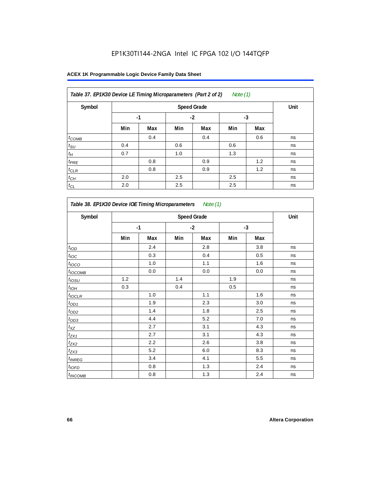# EP1K30TI144-2NGA Intel IC FPGA 102 I/O 144TQFP

# **ACEX 1K Programmable Logic Device Family Data Sheet**

| Table 37. EP1K30 Device LE Timing Microparameters (Part 2 of 2)<br>Note $(1)$ |      |      |     |      |     |      |    |  |  |
|-------------------------------------------------------------------------------|------|------|-----|------|-----|------|----|--|--|
| Symbol                                                                        |      | Unit |     |      |     |      |    |  |  |
|                                                                               | $-1$ |      |     | $-2$ |     | $-3$ |    |  |  |
|                                                                               | Min  | Max  | Min | Max  | Min | Max  |    |  |  |
| $t_{COMB}$                                                                    |      | 0.4  |     | 0.4  |     | 0.6  | ns |  |  |
| $t_{\text{SU}}$                                                               | 0.4  |      | 0.6 |      | 0.6 |      | ns |  |  |
| $t_H$                                                                         | 0.7  |      | 1.0 |      | 1.3 |      | ns |  |  |
| $t_{PRE}$                                                                     |      | 0.8  |     | 0.9  |     | 1.2  | ns |  |  |
| $t_{CLR}$                                                                     |      | 0.8  |     | 0.9  |     | 1.2  | ns |  |  |
| $t_{CH}$                                                                      | 2.0  |      | 2.5 |      | 2.5 |      | ns |  |  |
| $t_{CL}$                                                                      | 2.0  |      | 2.5 |      | 2.5 |      | ns |  |  |

| Symbol                | <b>Speed Grade</b> |      |     |         |      |     |    |  |
|-----------------------|--------------------|------|-----|---------|------|-----|----|--|
|                       |                    | $-1$ |     | $-2$    | $-3$ |     |    |  |
|                       | Min                | Max  | Min | Max     | Min  | Max |    |  |
| t <sub>IOD</sub>      |                    | 2.4  |     | 2.8     |      | 3.8 | ns |  |
| $t_{\text{IOC}}$      |                    | 0.3  |     | 0.4     |      | 0.5 | ns |  |
| $t_{IOCO}$            |                    | 1.0  |     | 1.1     |      | 1.6 | ns |  |
| $t_{IOCOMB}$          |                    | 0.0  |     | $0.0\,$ |      | 0.0 | ns |  |
| $t_{IOSU}$            | 1.2                |      | 1.4 |         | 1.9  |     | ns |  |
| $t_{IOH}$             | 0.3                |      | 0.4 |         | 0.5  |     | ns |  |
| $t_{IOCLR}$           |                    | 1.0  |     | 1.1     |      | 1.6 | ns |  |
| $t_{OD1}$             |                    | 1.9  |     | 2.3     |      | 3.0 | ns |  |
| $t_{OD2}$             |                    | 1.4  |     | 1.8     |      | 2.5 | ns |  |
| $t_{OD3}$             |                    | 4.4  |     | 5.2     |      | 7.0 | ns |  |
| $t_{XZ}$              |                    | 2.7  |     | 3.1     |      | 4.3 | ns |  |
| $t_{\underline{ZX1}}$ |                    | 2.7  |     | 3.1     |      | 4.3 | ns |  |
| $t_{ZX2}$             |                    | 2.2  |     | 2.6     |      | 3.8 | ns |  |
| $t_{ZX3}$             |                    | 5.2  |     | 6.0     |      | 8.3 | ns |  |
| $t_{INREG}$           |                    | 3.4  |     | 4.1     |      | 5.5 | ns |  |
| $t_{IOFD}$            |                    | 0.8  |     | 1.3     |      | 2.4 | ns |  |
| $t_{INCOMB}$          |                    | 0.8  |     | 1.3     |      | 2.4 | ns |  |

٦

 $\mathsf{r}$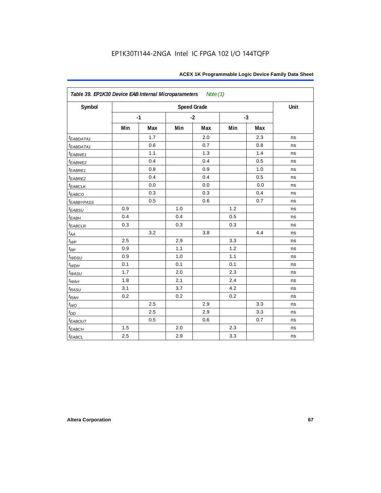| Table 39. EP1K30 Device EAB Internal Microparameters Note (1) |      |      |     |      |     |      |    |  |
|---------------------------------------------------------------|------|------|-----|------|-----|------|----|--|
| Symbol                                                        |      | Unit |     |      |     |      |    |  |
|                                                               | $-1$ |      |     | $-2$ |     | $-3$ |    |  |
|                                                               | Min  | Max  | Min | Max  | Min | Max  |    |  |
| <i>EABDATA1</i>                                               |      | 1.7  |     | 2.0  |     | 2.3  | ns |  |
| t <sub>EABDATA1</sub>                                         |      | 0.6  |     | 0.7  |     | 0.8  | ns |  |
| $t_{EABWE1}$                                                  |      | 1.1  |     | 1.3  |     | 1.4  | ns |  |
| t <sub>EABWE2</sub>                                           |      | 0.4  |     | 0.4  |     | 0.5  | ns |  |
| $t_{EABRE1}$                                                  |      | 0.8  |     | 0.9  |     | 1.0  | ns |  |
| $t_{EABRE2}$                                                  |      | 0.4  |     | 0.4  |     | 0.5  | ns |  |
| $t_{EABCLK}$                                                  |      | 0.0  |     | 0.0  |     | 0.0  | ns |  |
| $t_{EABCO}$                                                   |      | 0.3  |     | 0.3  |     | 0.4  | ns |  |
| <i>EABBYPASS</i>                                              |      | 0.5  |     | 0.6  |     | 0.7  | ns |  |
| $t_{EABSU}$                                                   | 0.9  |      | 1.0 |      | 1.2 |      | ns |  |
| $t_{EABH}$                                                    | 0.4  |      | 0.4 |      | 0.5 |      | ns |  |
| <b><i>EABCLR</i></b>                                          | 0.3  |      | 0.3 |      | 0.3 |      | ns |  |
| $t_{AA}$                                                      |      | 3.2  |     | 3.8  |     | 4.4  | ns |  |
| $t_{W\!\!P}$                                                  | 2.5  |      | 2.9 |      | 3.3 |      | ns |  |
| $t_{RP}$                                                      | 0.9  |      | 1.1 |      | 1.2 |      | ns |  |
| $t_{WDSU}$                                                    | 0.9  |      | 1.0 |      | 1.1 |      | ns |  |
| $t_{WDH}$                                                     | 0.1  |      | 0.1 |      | 0.1 |      | ns |  |
| $t_{WASU}$                                                    | 1.7  |      | 2.0 |      | 2.3 |      | ns |  |
| $t_{WAH}$                                                     | 1.8  |      | 2.1 |      | 2.4 |      | ns |  |
| $t_{RASU}$                                                    | 3.1  |      | 3.7 |      | 4.2 |      | ns |  |
| $t_{RAH}$                                                     | 0.2  |      | 0.2 |      | 0.2 |      | ns |  |
| $t_{WO}$                                                      |      | 2.5  |     | 2.9  |     | 3.3  | ns |  |
| $t_{DD}$                                                      |      | 2.5  |     | 2.9  |     | 3.3  | ns |  |
| <b><i>EABOUT</i></b>                                          |      | 0.5  |     | 0.6  |     | 0.7  | ns |  |
| $t_{EABCH}$                                                   | 1.5  |      | 2.0 |      | 2.3 |      | ns |  |
| $t_{EABCL}$                                                   | 2.5  |      | 2.9 |      | 3.3 |      | ns |  |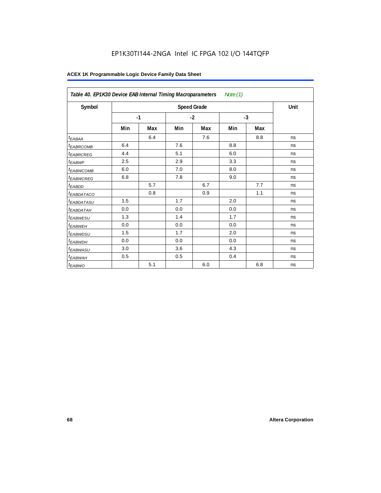# EP1K30TI144-2NGA Intel IC FPGA 102 I/O 144TQFP

| Table 40. EP1K30 Device EAB Internal Timing Macroparameters<br>Note $(1)$ |     |              |     |     |     |      |    |  |
|---------------------------------------------------------------------------|-----|--------------|-----|-----|-----|------|----|--|
| Symbol                                                                    |     | Unit         |     |     |     |      |    |  |
|                                                                           |     | $-2$<br>$-1$ |     |     |     | $-3$ |    |  |
|                                                                           | Min | Max          | Min | Max | Min | Max  |    |  |
| t <sub>EABAA</sub>                                                        |     | 6.4          |     | 7.6 |     | 8.8  | ns |  |
| <sup>t</sup> EABRCOMB                                                     | 6.4 |              | 7.6 |     | 8.8 |      | ns |  |
| <sup>t</sup> EABRCREG                                                     | 4.4 |              | 5.1 |     | 6.0 |      | ns |  |
| <sup>t</sup> EABWP                                                        | 2.5 |              | 2.9 |     | 3.3 |      | ns |  |
| <sup>t</sup> EABWCOMB                                                     | 6.0 |              | 7.0 |     | 8.0 |      | ns |  |
| <sup>t</sup> EABWCREG                                                     | 6.8 |              | 7.8 |     | 9.0 |      | ns |  |
| <sup>t</sup> EABDD                                                        |     | 5.7          |     | 6.7 |     | 7.7  | ns |  |
| <sup>t</sup> EABDATACO                                                    |     | 0.8          |     | 0.9 |     | 1.1  | ns |  |
| <sup>t</sup> EABDATASU                                                    | 1.5 |              | 1.7 |     | 2.0 |      | ns |  |
| <sup>t</sup> EABDATAH                                                     | 0.0 |              | 0.0 |     | 0.0 |      | ns |  |
| <sup>t</sup> EABWESU                                                      | 1.3 |              | 1.4 |     | 1.7 |      | ns |  |
| <sup>t</sup> EABWEH                                                       | 0.0 |              | 0.0 |     | 0.0 |      | ns |  |
| <sup>t</sup> EABWDSU                                                      | 1.5 |              | 1.7 |     | 2.0 |      | ns |  |
| <sup>t</sup> EABWDH                                                       | 0.0 |              | 0.0 |     | 0.0 |      | ns |  |
| <sup>t</sup> EABWASU                                                      | 3.0 |              | 3.6 |     | 4.3 |      | ns |  |
| t <sub>EABWAH</sub>                                                       | 0.5 |              | 0.5 |     | 0.4 |      | ns |  |
| t <sub>EABWO</sub>                                                        |     | 5.1          |     | 6.0 |     | 6.8  | ns |  |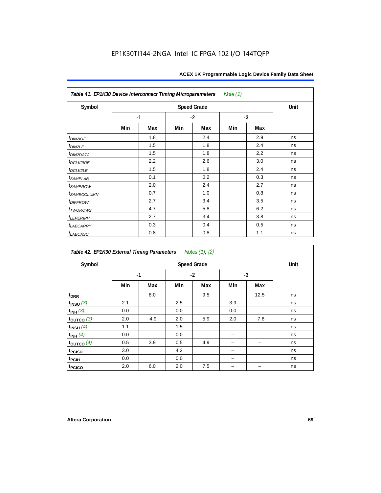| Table 41. EP1K30 Device Interconnect Timing Microparameters |      |      |      |     | Note (1) |     |    |
|-------------------------------------------------------------|------|------|------|-----|----------|-----|----|
| Symbol                                                      |      | Unit |      |     |          |     |    |
|                                                             | $-1$ |      | $-2$ |     | $-3$     |     |    |
|                                                             | Min  | Max  | Min  | Max | Min      | Max |    |
| $t_{DIN2IOE}$                                               |      | 1.8  |      | 2.4 |          | 2.9 | ns |
| $t_{DIN2LE}$                                                |      | 1.5  |      | 1.8 |          | 2.4 | ns |
| t <sub>DIN2DATA</sub>                                       |      | 1.5  |      | 1.8 |          | 2.2 | ns |
| $t_{DCLK2IOE}$                                              |      | 2.2  |      | 2.6 |          | 3.0 | ns |
| $t_{DCLK2LE}$                                               |      | 1.5  |      | 1.8 |          | 2.4 | ns |
| $t_{SAMELAB}$                                               |      | 0.1  |      | 0.2 |          | 0.3 | ns |
| <i>t<sub>SAMEROW</sub></i>                                  |      | 2.0  |      | 2.4 |          | 2.7 | ns |
| <i>t<sub>SAMECOLUMN</sub></i>                               |      | 0.7  |      | 1.0 |          | 0.8 | ns |
| <i>t<sub>DIFFROW</sub></i>                                  |      | 2.7  |      | 3.4 |          | 3.5 | ns |
| t <sub>TWOROWS</sub>                                        |      | 4.7  |      | 5.8 |          | 6.2 | ns |
| $t_{LEPERIPH}$                                              |      | 2.7  |      | 3.4 |          | 3.8 | ns |
| <b><i>LABCARRY</i></b>                                      |      | 0.3  |      | 0.4 |          | 0.5 | ns |
| $t_{LABCASC}$                                               |      | 0.8  |      | 0.8 |          | 1.1 | ns |

| Table 42. EP1K30 External Timing Parameters |      |      |      | Notes (1), (2) |      |      |    |
|---------------------------------------------|------|------|------|----------------|------|------|----|
| Symbol                                      |      | Unit |      |                |      |      |    |
|                                             | $-1$ |      | $-2$ |                | $-3$ |      |    |
|                                             | Min  | Max  | Min  | Max            | Min  | Max  |    |
| t <sub>DRR</sub>                            |      | 8.0  |      | 9.5            |      | 12.5 | ns |
| $t_{INSU}$ (3)                              | 2.1  |      | 2.5  |                | 3.9  |      | ns |
| $t_{INH}$ (3)                               | 0.0  |      | 0.0  |                | 0.0  |      | ns |
| $t_{OUTCO}$ (3)                             | 2.0  | 4.9  | 2.0  | 5.9            | 2.0  | 7.6  | ns |
| $t$ <sub>INSU</sub> $(4)$                   | 1.1  |      | 1.5  |                |      |      | ns |
| $t_{INH}$ (4)                               | 0.0  |      | 0.0  |                |      |      | ns |
| $t_{OUTCO}$ (4)                             | 0.5  | 3.9  | 0.5  | 4.9            |      |      | ns |
| t <sub>PCISU</sub>                          | 3.0  |      | 4.2  |                |      |      | ns |
| t <sub>PCIH</sub>                           | 0.0  |      | 0.0  |                |      |      | ns |
| t <sub>PCICO</sub>                          | 2.0  | 6.0  | 2.0  | 7.5            |      |      | ns |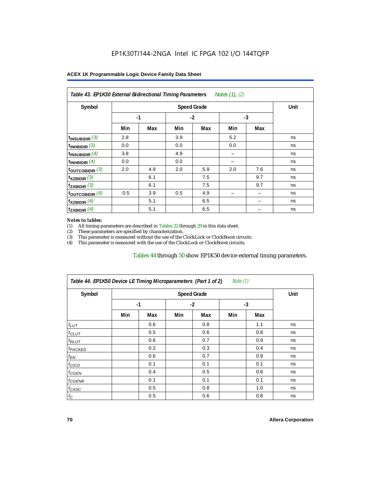| Table 43. EP1K30 External Bidirectional Timing Parameters Notes (1), (2) |      |      |      |     |      |     |    |
|--------------------------------------------------------------------------|------|------|------|-----|------|-----|----|
| Symbol                                                                   |      | Unit |      |     |      |     |    |
|                                                                          | $-1$ |      | $-2$ |     | $-3$ |     |    |
|                                                                          | Min  | Max  | Min  | Max | Min  | Max |    |
| $t_{\text{INSUBIDIR}}(3)$                                                | 2.8  |      | 3.9  |     | 5.2  |     | ns |
| $t_{INHBIDIR}$ (3)                                                       | 0.0  |      | 0.0  |     | 0.0  |     | ns |
| $t_{INSUBIDIR}(4)$                                                       | 3.8  |      | 4.9  |     |      |     | ns |
| $t_{INHBIDIR}$ (4)                                                       | 0.0  |      | 0.0  |     |      |     | ns |
| $t_{\text{OUTCOBIDIR}}$ (3)                                              | 2.0  | 4.9  | 2.0  | 5.9 | 2.0  | 7.6 | ns |
| $t_{XZBIDIR}$ (3)                                                        |      | 6.1  |      | 7.5 |      | 9.7 | ns |
| $t_{ZXBIDIR}$ (3)                                                        |      | 6.1  |      | 7.5 |      | 9.7 | ns |
| toutcobidir $(4)$                                                        | 0.5  | 3.9  | 0.5  | 4.9 |      |     | ns |
| $t_{XZBIDIR}$ (4)                                                        |      | 5.1  |      | 6.5 |      |     | ns |
| $t_{ZXBIDIR}$ (4)                                                        |      | 5.1  |      | 6.5 |      |     | ns |

#### *Notes to tables:*

(1) All timing parameters are described in Tables 22 through 29 in this data sheet.<br>(2) These parameters are specified by characterization.

(2) These parameters are specified by characterization.<br>
(3) This parameter is measured without the use of the C This parameter is measured without the use of the ClockLock or ClockBoost circuits.

(4) This parameter is measured with the use of the ClockLock or ClockBoost circuits.

#### Tables 44 through 50 show EP1K50 device external timing parameters.

| Table 44. EP1K50 Device LE Timing Microparameters (Part 1 of 2) |     |      |     |      | Note $(1)$ |      |    |
|-----------------------------------------------------------------|-----|------|-----|------|------------|------|----|
| Symbol                                                          |     | Unit |     |      |            |      |    |
|                                                                 |     | $-1$ |     | $-2$ |            | $-3$ |    |
|                                                                 | Min | Max  | Min | Max  | Min        | Max  |    |
| $t_{LUT}$                                                       |     | 0.6  |     | 0.8  |            | 1.1  | ns |
| $t_{CLUT}$                                                      |     | 0.5  |     | 0.6  |            | 0.8  | ns |
| $t_{RLUT}$                                                      |     | 0.6  |     | 0.7  |            | 0.9  | ns |
| <sup>t</sup> PACKED                                             |     | 0.2  |     | 0.3  |            | 0.4  | ns |
| $t_{EN}$                                                        |     | 0.6  |     | 0.7  |            | 0.9  | ns |
| $t_{CICO}$                                                      |     | 0.1  |     | 0.1  |            | 0.1  | ns |
| $t_{GEN}$                                                       |     | 0.4  |     | 0.5  |            | 0.6  | ns |
| $t_{GENR}$                                                      |     | 0.1  |     | 0.1  |            | 0.1  | ns |
| $t_{CASC}$                                                      |     | 0.5  |     | 0.8  |            | 1.0  | ns |
| $t_C$                                                           |     | 0.5  |     | 0.6  |            | 0.8  | ns |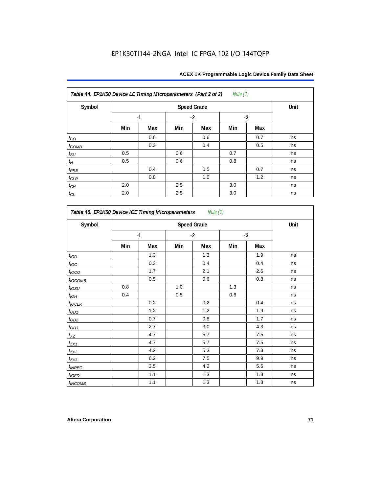| Symbol             |     | <b>Speed Grade</b> |     |      |     |      |    |  |  |
|--------------------|-----|--------------------|-----|------|-----|------|----|--|--|
|                    |     | $-1$               |     | $-2$ |     | $-3$ |    |  |  |
|                    | Min | Max                | Min | Max  | Min | Max  |    |  |  |
| $t_{CO}$           |     | 0.6                |     | 0.6  |     | 0.7  | ns |  |  |
| $t_{COMB}$         |     | 0.3                |     | 0.4  |     | 0.5  | ns |  |  |
| $t_{\rm SU}$       | 0.5 |                    | 0.6 |      | 0.7 |      | ns |  |  |
| $t_H\,$            | 0.5 |                    | 0.6 |      | 0.8 |      | ns |  |  |
| $t_{PRE}$          |     | 0.4                |     | 0.5  |     | 0.7  | ns |  |  |
| $t_{CLR}$          |     | 0.8                |     | 1.0  |     | 1.2  | ns |  |  |
| $t_{\mathbb{C} H}$ | 2.0 |                    | 2.5 |      | 3.0 |      | ns |  |  |
| $t_{CL}$           | 2.0 |                    | 2.5 |      | 3.0 |      | ns |  |  |

| Symbol           |      | <b>Speed Grade</b> |      |     |      |     |    |  |  |
|------------------|------|--------------------|------|-----|------|-----|----|--|--|
|                  | $-1$ |                    | $-2$ |     | $-3$ |     |    |  |  |
|                  | Min  | Max                | Min  | Max | Min  | Max |    |  |  |
| t <sub>IOD</sub> |      | 1.3                |      | 1.3 |      | 1.9 | ns |  |  |
| $t_{\text{loc}}$ |      | 0.3                |      | 0.4 |      | 0.4 | ns |  |  |
| $t_{IOCO}$       |      | 1.7                |      | 2.1 |      | 2.6 | ns |  |  |
| $t_{IOCOMB}$     |      | 0.5                |      | 0.6 |      | 0.8 | ns |  |  |
| $t_{IOSU}$       | 0.8  |                    | 1.0  |     | 1.3  |     | ns |  |  |
| $t_{IOH}$        | 0.4  |                    | 0.5  |     | 0.6  |     | ns |  |  |
| $t_{IOCLR}$      |      | 0.2                |      | 0.2 |      | 0.4 | ns |  |  |
| $t_{\text{OD1}}$ |      | 1.2                |      | 1.2 |      | 1.9 | ns |  |  |
| $t_{OD2}$        |      | 0.7                |      | 0.8 |      | 1.7 | ns |  |  |
| $t_{OD3}$        |      | 2.7                |      | 3.0 |      | 4.3 | ns |  |  |
| $t_{XZ}$         |      | 4.7                |      | 5.7 |      | 7.5 | ns |  |  |
| $t_{ZX1}$        |      | 4.7                |      | 5.7 |      | 7.5 | ns |  |  |
| $t_{ZX2}$        |      | 4.2                |      | 5.3 |      | 7.3 | ns |  |  |
| $t_{ZX3}$        |      | 6.2                |      | 7.5 |      | 9.9 | ns |  |  |
| $t_{INREG}$      |      | 3.5                |      | 4.2 |      | 5.6 | ns |  |  |
| $t_{IOFD}$       |      | 1.1                |      | 1.3 |      | 1.8 | ns |  |  |
| $t_{INCOMB}$     |      | 1.1                |      | 1.3 |      | 1.8 | ns |  |  |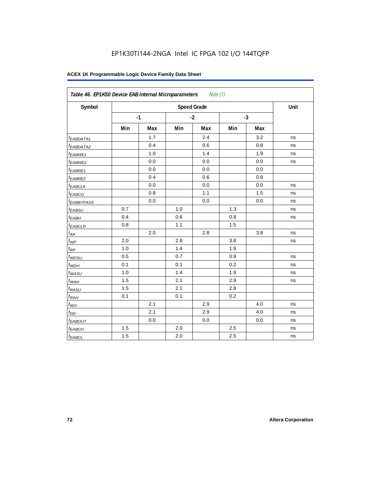| Symbol                 |     |      |     | <b>Speed Grade</b> |     |      | Unit |
|------------------------|-----|------|-----|--------------------|-----|------|------|
|                        |     | $-1$ |     | $-2$               |     | $-3$ |      |
|                        | Min | Max  | Min | Max                | Min | Max  |      |
| t <sub>EABDATA1</sub>  |     | 1.7  |     | 2.4                |     | 3.2  | ns   |
| <sup>t</sup> EABDATA2  |     | 0.4  |     | 0.6                |     | 0.8  | ns   |
| t <sub>EABWE1</sub>    |     | 1.0  |     | 1.4                |     | 1.9  | ns   |
| <sup>t</sup> EABWE2    |     | 0.0  |     | 0.0                |     | 0.0  | ns   |
| <sup>t</sup> EABRE1    |     | 0.0  |     | 0.0                |     | 0.0  |      |
| $t_{EABRE2}$           |     | 0.4  |     | 0.6                |     | 0.8  |      |
| <sup>t</sup> EABCLK    |     | 0.0  |     | 0.0                |     | 0.0  | ns   |
| t <sub>EABCO</sub>     |     | 0.8  |     | 1.1                |     | 1.5  | ns   |
| <sup>t</sup> EABBYPASS |     | 0.0  |     | 0.0                |     | 0.0  | ns   |
| $t_{EABSU}$            | 0.7 |      | 1.0 |                    | 1.3 |      | ns   |
| t <sub>EABH</sub>      | 0.4 |      | 0.6 |                    | 0.8 |      | ns   |
| $t_{EABCLR}$           | 0.8 |      | 1.1 |                    | 1.5 |      |      |
| $t_{AA}$               |     | 2.0  |     | 2.8                |     | 3.8  | ns   |
| $t_{\mathcal{WP}}$     | 2.0 |      | 2.8 |                    | 3.8 |      | ns   |
| $t_{RP}$               | 1.0 |      | 1.4 |                    | 1.9 |      |      |
| $t_{WDSU}$             | 0.5 |      | 0.7 |                    | 0.9 |      | ns   |
| $t_{WDH}$              | 0.1 |      | 0.1 |                    | 0.2 |      | ns   |
| $t_{WASU}$             | 1.0 |      | 1.4 |                    | 1.9 |      | ns   |
| $t_{WAH}$              | 1.5 |      | 2.1 |                    | 2.9 |      | ns   |
| t <sub>RASU</sub>      | 1.5 |      | 2.1 |                    | 2.8 |      |      |
| $t_{RAH}$              | 0.1 |      | 0.1 |                    | 0.2 |      |      |
| $t_{WO}$               |     | 2.1  |     | 2.9                |     | 4.0  | ns   |
| $t_{DD}$               |     | 2.1  |     | 2.9                |     | 4.0  | ns   |
| $t_{EABOUT}$           |     | 0.0  |     | 0.0                |     | 0.0  | ns   |
| t <sub>EABCH</sub>     | 1.5 |      | 2.0 |                    | 2.5 |      | ns   |
| $t_{EABCL}$            | 1.5 |      | 2.0 |                    | 2.5 |      | ns   |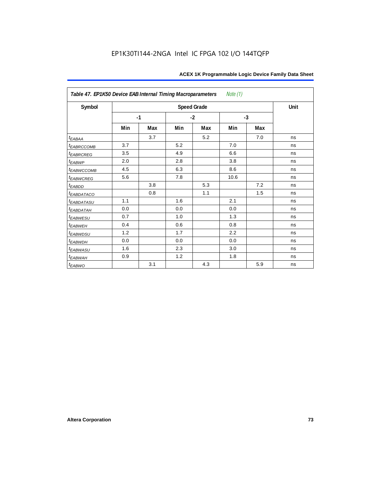| Symbol                 |     |      |     | <b>Speed Grade</b> |      |      | Unit |
|------------------------|-----|------|-----|--------------------|------|------|------|
|                        |     | $-1$ |     | $-2$               |      | $-3$ |      |
|                        | Min | Max  | Min | Max                | Min  | Max  |      |
| t <sub>EABAA</sub>     |     | 3.7  |     | 5.2                |      | 7.0  | ns   |
| t <sub>EABRCCOMB</sub> | 3.7 |      | 5.2 |                    | 7.0  |      | ns   |
| <i>EABRCREG</i>        | 3.5 |      | 4.9 |                    | 6.6  |      | ns   |
| t <sub>EABWP</sub>     | 2.0 |      | 2.8 |                    | 3.8  |      | ns   |
| t <sub>ЕАВWССОМВ</sub> | 4.5 |      | 6.3 |                    | 8.6  |      | ns   |
| t <sub>EABWCREG</sub>  | 5.6 |      | 7.8 |                    | 10.6 |      | ns   |
| t <sub>EABDD</sub>     |     | 3.8  |     | 5.3                |      | 7.2  | ns   |
| t <sub>EABDATACO</sub> |     | 0.8  |     | 1.1                |      | 1.5  | ns   |
| t <sub>EABDATASU</sub> | 1.1 |      | 1.6 |                    | 2.1  |      | ns   |
| <sup>t</sup> EABDATAH  | 0.0 |      | 0.0 |                    | 0.0  |      | ns   |
| <sup>t</sup> EABWESU   | 0.7 |      | 1.0 |                    | 1.3  |      | ns   |
| <sup>t</sup> ЕАВWЕН    | 0.4 |      | 0.6 |                    | 0.8  |      | ns   |
| t <sub>EABWDSU</sub>   | 1.2 |      | 1.7 |                    | 2.2  |      | ns   |
| t <sub>EABWDH</sub>    | 0.0 |      | 0.0 |                    | 0.0  |      | ns   |
| <sup>t</sup> EABWASU   | 1.6 |      | 2.3 |                    | 3.0  |      | ns   |
| t <sub>EABWAH</sub>    | 0.9 |      | 1.2 |                    | 1.8  |      | ns   |
| t <sub>EABWO</sub>     |     | 3.1  |     | 4.3                |      | 5.9  | ns   |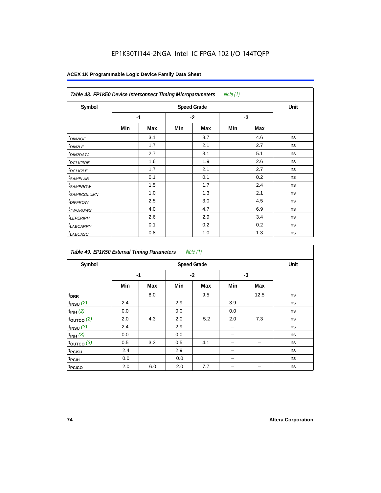## EP1K30TI144-2NGA Intel IC FPGA 102 I/O 144TQFP

| Table 48. EP1K50 Device Interconnect Timing Microparameters<br>Note (1) |     |      |      |     |      |     |    |  |  |  |
|-------------------------------------------------------------------------|-----|------|------|-----|------|-----|----|--|--|--|
| Symbol                                                                  |     | Unit |      |     |      |     |    |  |  |  |
|                                                                         |     | $-1$ | $-2$ |     | $-3$ |     |    |  |  |  |
|                                                                         | Min | Max  | Min  | Max | Min  | Max |    |  |  |  |
| $t_{DINZIOE}$                                                           |     | 3.1  |      | 3.7 |      | 4.6 | ns |  |  |  |
| <sup>t</sup> DIN2LE                                                     |     | 1.7  |      | 2.1 |      | 2.7 | ns |  |  |  |
| <sup>t</sup> DIN2DATA                                                   |     | 2.7  |      | 3.1 |      | 5.1 | ns |  |  |  |
| <sup>t</sup> DCLK2IOE                                                   |     | 1.6  |      | 1.9 |      | 2.6 | ns |  |  |  |
| <sup>t</sup> DCLK2LE                                                    |     | 1.7  |      | 2.1 |      | 2.7 | ns |  |  |  |
| <sup>t</sup> SAMELAB                                                    |     | 0.1  |      | 0.1 |      | 0.2 | ns |  |  |  |
| <sup>t</sup> SAMEROW                                                    |     | 1.5  |      | 1.7 |      | 2.4 | ns |  |  |  |
| <sup>t</sup> SAMECOLUMN                                                 |     | 1.0  |      | 1.3 |      | 2.1 | ns |  |  |  |
| <i>t<sub>DIFFROW</sub></i>                                              |     | 2.5  |      | 3.0 |      | 4.5 | ns |  |  |  |
| <sup>t</sup> TWOROWS                                                    |     | 4.0  |      | 4.7 |      | 6.9 | ns |  |  |  |
| <sup>t</sup> LEPERIPH                                                   |     | 2.6  |      | 2.9 |      | 3.4 | ns |  |  |  |
| <sup>t</sup> LABCARRY                                                   |     | 0.1  |      | 0.2 |      | 0.2 | ns |  |  |  |
| <b>LABCASC</b>                                                          |     | 0.8  |      | 1.0 |      | 1.3 | ns |  |  |  |

| Note $(1)$<br>Table 49. EP1K50 External Timing Parameters |      |      |     |      |     |      |    |  |  |  |
|-----------------------------------------------------------|------|------|-----|------|-----|------|----|--|--|--|
| Symbol                                                    |      | Unit |     |      |     |      |    |  |  |  |
|                                                           | $-1$ |      |     | $-2$ |     | $-3$ |    |  |  |  |
|                                                           | Min  | Max  | Min | Max  | Min | Max  |    |  |  |  |
| t <sub>DRR</sub>                                          |      | 8.0  |     | 9.5  |     | 12.5 | ns |  |  |  |
| $t_{INSU}$ (2)                                            | 2.4  |      | 2.9 |      | 3.9 |      | ns |  |  |  |
| $t_{INH}$ (2)                                             | 0.0  |      | 0.0 |      | 0.0 |      | ns |  |  |  |
| $t_{OUTCO}$ (2)                                           | 2.0  | 4.3  | 2.0 | 5.2  | 2.0 | 7.3  | ns |  |  |  |
| $t_{INSU}$ (3)                                            | 2.4  |      | 2.9 |      |     |      | ns |  |  |  |
| $t_{INH}$ (3)                                             | 0.0  |      | 0.0 |      |     |      | ns |  |  |  |
| $t_{OUTCO}$ (3)                                           | 0.5  | 3.3  | 0.5 | 4.1  |     |      | ns |  |  |  |
| t <sub>PCISU</sub>                                        | 2.4  |      | 2.9 |      |     |      | ns |  |  |  |
| t <sub>PCIH</sub>                                         | 0.0  |      | 0.0 |      |     |      | ns |  |  |  |
| t <sub>PCICO</sub>                                        | 2.0  | 6.0  | 2.0 | 7.7  |     |      | ns |  |  |  |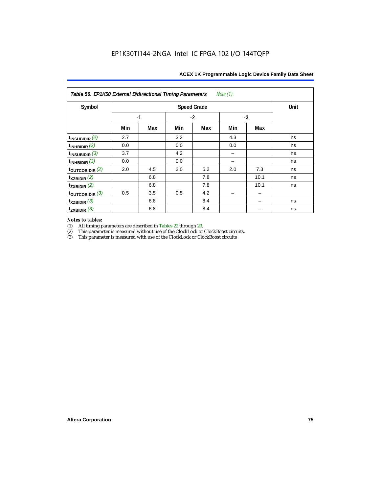| Note (1)<br>Table 50. EP1K50 External Bidirectional Timing Parameters |      |      |     |      |      |      |    |  |  |  |
|-----------------------------------------------------------------------|------|------|-----|------|------|------|----|--|--|--|
| Symbol                                                                |      | Unit |     |      |      |      |    |  |  |  |
|                                                                       | $-1$ |      |     | $-2$ | $-3$ |      |    |  |  |  |
|                                                                       | Min  | Max  | Min | Max  | Min  | Max  |    |  |  |  |
| $t_{INSUBIDIR}$ (2)                                                   | 2.7  |      | 3.2 |      | 4.3  |      | ns |  |  |  |
| $t_{INHBIDIR}$ (2)                                                    | 0.0  |      | 0.0 |      | 0.0  |      | ns |  |  |  |
| $t_{INSUBIDIR}$ (3)                                                   | 3.7  |      | 4.2 |      |      |      | ns |  |  |  |
| $t_{INHBIDIR}$ (3)                                                    | 0.0  |      | 0.0 |      |      |      | ns |  |  |  |
| toutcobidir $(2)$                                                     | 2.0  | 4.5  | 2.0 | 5.2  | 2.0  | 7.3  | ns |  |  |  |
| $t_{XZBIDIR}$ (2)                                                     |      | 6.8  |     | 7.8  |      | 10.1 | ns |  |  |  |
| $t_{ZXBIDIR}$ (2)                                                     |      | 6.8  |     | 7.8  |      | 10.1 | ns |  |  |  |
| $t_{\text{OUTCOBIDIR}}$ (3)                                           | 0.5  | 3.5  | 0.5 | 4.2  |      |      |    |  |  |  |
| $t_{XZBIDIR}$ (3)                                                     |      | 6.8  |     | 8.4  |      |      | ns |  |  |  |
| $t_{ZXBIDIR}$ (3)                                                     |      | 6.8  |     | 8.4  |      |      | ns |  |  |  |

# *Notes to tables:*

(1) All timing parameters are described in Tables 22 through 29.<br>
(2) This parameter is measured without use of the ClockLock or

(2) This parameter is measured without use of the ClockLock or ClockBoost circuits.<br>
(3) This parameter is measured with use of the ClockLock or ClockBoost circuits

 $\!$  This parameter is measured with use of the ClockLock or ClockBoost circuits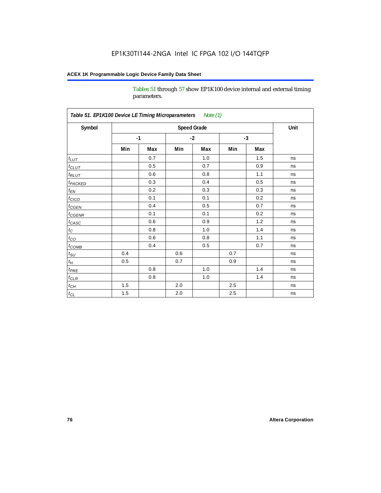Tables 51 through 57 show EP1K100 device internal and external timing parameters.

| Symbol                     |     |      |     | <b>Speed Grade</b> |     |      | Unit |
|----------------------------|-----|------|-----|--------------------|-----|------|------|
|                            |     | $-1$ |     | $-2$               |     | $-3$ |      |
|                            | Min | Max  | Min | Max                | Min | Max  |      |
| $t_{LUT}$                  |     | 0.7  |     | 1.0                |     | 1.5  | ns   |
| $t_{CLUT}$                 |     | 0.5  |     | 0.7                |     | 0.9  | ns   |
| $t_{RLUT}$                 |     | 0.6  |     | 0.8                |     | 1.1  | ns   |
| <b>t</b> <sub>PACKED</sub> |     | 0.3  |     | 0.4                |     | 0.5  | ns   |
| $t_{EN}$                   |     | 0.2  |     | 0.3                |     | 0.3  | ns   |
| $t_{CICO}$                 |     | 0.1  |     | 0.1                |     | 0.2  | ns   |
| $t_{\text{CGEN}}$          |     | 0.4  |     | 0.5                |     | 0.7  | ns   |
| $t_{GENR}$                 |     | 0.1  |     | 0.1                |     | 0.2  | ns   |
| $t_{CASC}$                 |     | 0.6  |     | 0.9                |     | 1.2  | ns   |
| $t_C$                      |     | 0.8  |     | 1.0                |     | 1.4  | ns   |
| $t_{CO}$                   |     | 0.6  |     | 0.8                |     | 1.1  | ns   |
| $t_{\text{COMB}}$          |     | 0.4  |     | 0.5                |     | 0.7  | ns   |
| $t_{\rm SU}$               | 0.4 |      | 0.6 |                    | 0.7 |      | ns   |
| $t_H\,$                    | 0.5 |      | 0.7 |                    | 0.9 |      | ns   |
| $t_{PRE}$                  |     | 0.8  |     | $1.0\,$            |     | 1.4  | ns   |
| $t_{CLR}$                  |     | 0.8  |     | 1.0                |     | 1.4  | ns   |
| $t_{\underline{CH}}$       | 1.5 |      | 2.0 |                    | 2.5 |      | ns   |
| $t_{\text{CL}}$            | 1.5 |      | 2.0 |                    | 2.5 |      | ns   |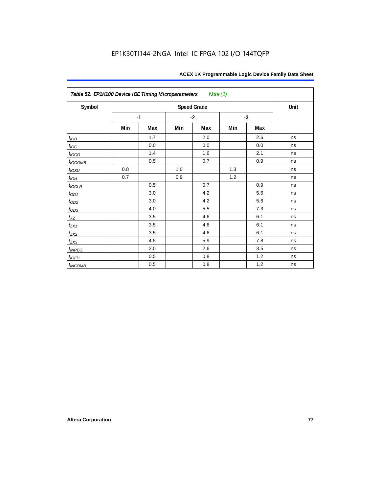| Table 52. EP1K100 Device IOE Timing Microparameters<br>Note (1) |     |      |      |                    |      |     |      |  |  |  |
|-----------------------------------------------------------------|-----|------|------|--------------------|------|-----|------|--|--|--|
| Symbol                                                          |     |      |      | <b>Speed Grade</b> |      |     | Unit |  |  |  |
|                                                                 |     | $-1$ | $-2$ |                    | $-3$ |     |      |  |  |  |
|                                                                 | Min | Max  | Min  | Max                | Min  | Max |      |  |  |  |
| t <sub>IOD</sub>                                                |     | 1.7  |      | 2.0                |      | 2.6 | ns   |  |  |  |
| $t_{\text{IOC}}$                                                |     | 0.0  |      | 0.0                |      | 0.0 | ns   |  |  |  |
| $t_{IOCO}$                                                      |     | 1.4  |      | 1.6                |      | 2.1 | ns   |  |  |  |
| $t_{IOCOMB}$                                                    |     | 0.5  |      | 0.7                |      | 0.9 | ns   |  |  |  |
| $t_{IOSU}$                                                      | 0.8 |      | 1.0  |                    | 1.3  |     | ns   |  |  |  |
| $t_{IOH}$                                                       | 0.7 |      | 0.9  |                    | 1.2  |     | ns   |  |  |  |
| $t_{IOCLR}$                                                     |     | 0.5  |      | 0.7                |      | 0.9 | ns   |  |  |  |
| $t_{OD1}$                                                       |     | 3.0  |      | 4.2                |      | 5.6 | ns   |  |  |  |
| $t_{OD2}$                                                       |     | 3.0  |      | 4.2                |      | 5.6 | ns   |  |  |  |
| $t_{OD3}$                                                       |     | 4.0  |      | 5.5                |      | 7.3 | ns   |  |  |  |
| $t_{XZ}$                                                        |     | 3.5  |      | 4.6                |      | 6.1 | ns   |  |  |  |
| $t_{ZX1}$                                                       |     | 3.5  |      | 4.6                |      | 6.1 | ns   |  |  |  |
| $t_{ZX2}$                                                       |     | 3.5  |      | 4.6                |      | 6.1 | ns   |  |  |  |
| $t_{ZX3}$                                                       |     | 4.5  |      | 5.9                |      | 7.8 | ns   |  |  |  |
| $t_{INREG}$                                                     |     | 2.0  |      | 2.6                |      | 3.5 | ns   |  |  |  |
| $t_{IOFD}$                                                      |     | 0.5  |      | 0.8                |      | 1.2 | ns   |  |  |  |
| $t_{INCOMB}$                                                    |     | 0.5  |      | 0.8                |      | 1.2 | ns   |  |  |  |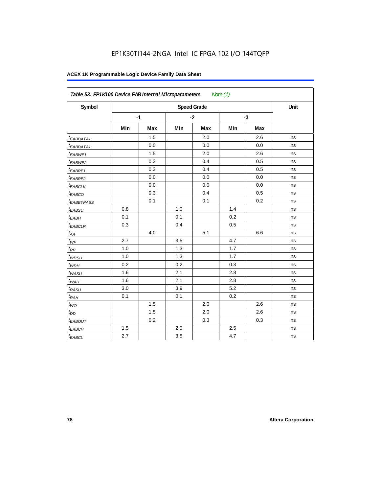| Symbol                 |     |      |     | <b>Speed Grade</b> |     |      | Unit |
|------------------------|-----|------|-----|--------------------|-----|------|------|
|                        |     | $-1$ |     | $-2$               |     | $-3$ |      |
|                        | Min | Max  | Min | Max                | Min | Max  |      |
| <sup>t</sup> EABDATA1  |     | 1.5  |     | 2.0                |     | 2.6  | ns   |
| <sup>t</sup> EABDATA1  |     | 0.0  |     | 0.0                |     | 0.0  | ns   |
| $t_{EABWE1}$           |     | 1.5  |     | 2.0                |     | 2.6  | ns   |
| <sup>t</sup> EABWE2    |     | 0.3  |     | 0.4                |     | 0.5  | ns   |
| <sup>t</sup> EABRE1    |     | 0.3  |     | 0.4                |     | 0.5  | ns   |
| <sup>t</sup> EABRE2    |     | 0.0  |     | 0.0                |     | 0.0  | ns   |
| $t_{EABCLK}$           |     | 0.0  |     | 0.0                |     | 0.0  | ns   |
| t <sub>EABCO</sub>     |     | 0.3  |     | 0.4                |     | 0.5  | ns   |
| <sup>t</sup> EABBYPASS |     | 0.1  |     | 0.1                |     | 0.2  | ns   |
| $t_{EABSU}$            | 0.8 |      | 1.0 |                    | 1.4 |      | ns   |
| t <sub>EABH</sub>      | 0.1 |      | 0.1 |                    | 0.2 |      | ns   |
| $t_{EABCLR}$           | 0.3 |      | 0.4 |                    | 0.5 |      | ns   |
| $t_{AA}$               |     | 4.0  |     | 5.1                |     | 6.6  | ns   |
| $t_{\mathcal{WP}}$     | 2.7 |      | 3.5 |                    | 4.7 |      | ns   |
| $t_{RP}$               | 1.0 |      | 1.3 |                    | 1.7 |      | ns   |
| $t_{WDSU}$             | 1.0 |      | 1.3 |                    | 1.7 |      | ns   |
| $t_{WDH}$              | 0.2 |      | 0.2 |                    | 0.3 |      | ns   |
| $t_{WASU}$             | 1.6 |      | 2.1 |                    | 2.8 |      | ns   |
| $t_{W\underline{AH}}$  | 1.6 |      | 2.1 |                    | 2.8 |      | ns   |
| t <sub>RASU</sub>      | 3.0 |      | 3.9 |                    | 5.2 |      | ns   |
| $t_{RAH}$              | 0.1 |      | 0.1 |                    | 0.2 |      | ns   |
| $t_{WQ}$               |     | 1.5  |     | 2.0                |     | 2.6  | ns   |
| $t_{DD}$               |     | 1.5  |     | 2.0                |     | 2.6  | ns   |
| t <sub>EABOUT</sub>    |     | 0.2  |     | 0.3                |     | 0.3  | ns   |
| $t_{EABCH}$            | 1.5 |      | 2.0 |                    | 2.5 |      | ns   |
| <sup>t</sup> EABCL     | 2.7 |      | 3.5 |                    | 4.7 |      | ns   |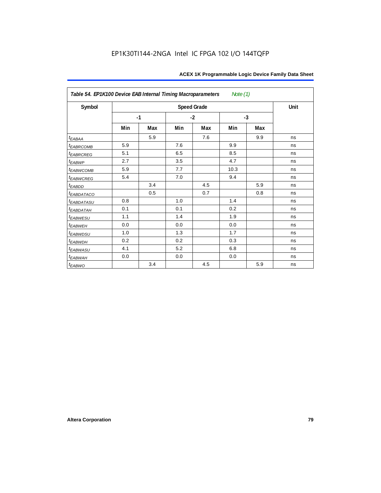| Table 54. EP1K100 Device EAB Internal Timing Macroparameters Note (1) |      |     |      |                    |      |     |      |  |  |
|-----------------------------------------------------------------------|------|-----|------|--------------------|------|-----|------|--|--|
| Symbol                                                                |      |     |      | <b>Speed Grade</b> |      |     | Unit |  |  |
|                                                                       | $-1$ |     | $-2$ |                    | $-3$ |     |      |  |  |
|                                                                       | Min  | Max | Min  | Max                | Min  | Max |      |  |  |
| $t_{EABA}$                                                            |      | 5.9 |      | 7.6                |      | 9.9 | ns   |  |  |
| t <sub>EABRCOMB</sub>                                                 | 5.9  |     | 7.6  |                    | 9.9  |     | ns   |  |  |
| t <sub>EABRCREG</sub>                                                 | 5.1  |     | 6.5  |                    | 8.5  |     | ns   |  |  |
| $t_{EABWP}$                                                           | 2.7  |     | 3.5  |                    | 4.7  |     | ns   |  |  |
| <sup>t</sup> EABWCOMB                                                 | 5.9  |     | 7.7  |                    | 10.3 |     | ns   |  |  |
| t <sub>EABWCREG</sub>                                                 | 5.4  |     | 7.0  |                    | 9.4  |     | ns   |  |  |
| t <sub>EABDD</sub>                                                    |      | 3.4 |      | 4.5                |      | 5.9 | ns   |  |  |
| t <sub>eabdataco</sub>                                                |      | 0.5 |      | 0.7                |      | 0.8 | ns   |  |  |
| <sup>t</sup> EA <u>BDATASU</u>                                        | 0.8  |     | 1.0  |                    | 1.4  |     | ns   |  |  |
| <sup>t</sup> EABDATAH                                                 | 0.1  |     | 0.1  |                    | 0.2  |     | ns   |  |  |
| t <sub>EABWESU</sub>                                                  | 1.1  |     | 1.4  |                    | 1.9  |     | ns   |  |  |
| t <sub>EABWEH</sub>                                                   | 0.0  |     | 0.0  |                    | 0.0  |     | ns   |  |  |
| <sup>t</sup> EABWDSU                                                  | 1.0  |     | 1.3  |                    | 1.7  |     | ns   |  |  |
| t <sub>EABWDH</sub>                                                   | 0.2  |     | 0.2  |                    | 0.3  |     | ns   |  |  |
| <sup>t</sup> EABWASU                                                  | 4.1  |     | 5.2  |                    | 6.8  |     | ns   |  |  |
| t <sub>ЕАВWАН</sub>                                                   | 0.0  |     | 0.0  |                    | 0.0  |     | ns   |  |  |
| $t_{EABWO}$                                                           |      | 3.4 |      | 4.5                |      | 5.9 | ns   |  |  |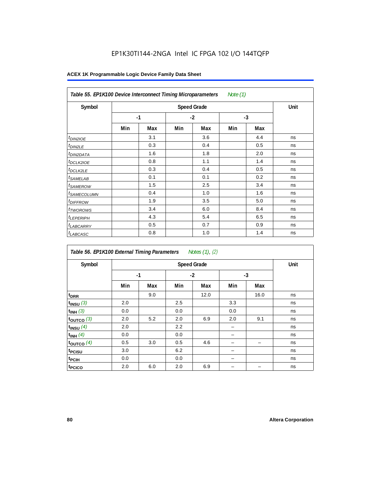## EP1K30TI144-2NGA Intel IC FPGA 102 I/O 144TQFP

| Table 55. EP1K100 Device Interconnect Timing Microparameters<br>Note (1) |     |      |     |                    |      |     |      |  |  |
|--------------------------------------------------------------------------|-----|------|-----|--------------------|------|-----|------|--|--|
| Symbol                                                                   |     |      |     | <b>Speed Grade</b> |      |     | Unit |  |  |
|                                                                          |     | $-1$ |     | $-2$               | $-3$ |     |      |  |  |
|                                                                          | Min | Max  | Min | Max                | Min  | Max |      |  |  |
| $t_{DIN2IOE}$                                                            |     | 3.1  |     | 3.6                |      | 4.4 | ns   |  |  |
| <sup>t</sup> DIN2LE                                                      |     | 0.3  |     | 0.4                |      | 0.5 | ns   |  |  |
| <sup>t</sup> DIN2DATA                                                    |     | 1.6  |     | 1.8                |      | 2.0 | ns   |  |  |
| <sup>t</sup> DCLK2IOE                                                    |     | 0.8  |     | 1.1                |      | 1.4 | ns   |  |  |
| <sup>t</sup> DCLK2LE                                                     |     | 0.3  |     | 0.4                |      | 0.5 | ns   |  |  |
| <sup>t</sup> SAMELAB                                                     |     | 0.1  |     | 0.1                |      | 0.2 | ns   |  |  |
| <sup>t</sup> SAMEROW                                                     |     | 1.5  |     | 2.5                |      | 3.4 | ns   |  |  |
| <sup>t</sup> SAMECOLUMN                                                  |     | 0.4  |     | 1.0                |      | 1.6 | ns   |  |  |
| <i><b>IDIFFROW</b></i>                                                   |     | 1.9  |     | 3.5                |      | 5.0 | ns   |  |  |
| <sup>t</sup> TWOROWS                                                     |     | 3.4  |     | 6.0                |      | 8.4 | ns   |  |  |
| <sup>t</sup> LEPERIPH                                                    |     | 4.3  |     | 5.4                |      | 6.5 | ns   |  |  |
| <sup>t</sup> LABCARRY                                                    |     | 0.5  |     | 0.7                |      | 0.9 | ns   |  |  |
| <sup>t</sup> LABCASC                                                     |     | 0.8  |     | 1.0                |      | 1.4 | ns   |  |  |

| Table 56. EP1K100 External Timing Parameters Notes (1), (2) |      |      |     |      |     |      |    |  |  |  |
|-------------------------------------------------------------|------|------|-----|------|-----|------|----|--|--|--|
| Symbol                                                      |      | Unit |     |      |     |      |    |  |  |  |
|                                                             | $-1$ |      |     | $-2$ |     | $-3$ |    |  |  |  |
|                                                             | Min  | Max  | Min | Max  | Min | Max  |    |  |  |  |
| t <sub>DRR</sub>                                            |      | 9.0  |     | 12.0 |     | 16.0 | ns |  |  |  |
| $t_{INSU}$ (3)                                              | 2.0  |      | 2.5 |      | 3.3 |      | ns |  |  |  |
| $t_{INH}$ (3)                                               | 0.0  |      | 0.0 |      | 0.0 |      | ns |  |  |  |
| $t_{OUTCO}$ (3)                                             | 2.0  | 5.2  | 2.0 | 6.9  | 2.0 | 9.1  | ns |  |  |  |
| $t_{INSU}$ (4)                                              | 2.0  |      | 2.2 |      |     |      | ns |  |  |  |
| $t_{INH}$ (4)                                               | 0.0  |      | 0.0 |      |     |      | ns |  |  |  |
| toutco $(4)$                                                | 0.5  | 3.0  | 0.5 | 4.6  |     |      | ns |  |  |  |
| t <sub>PCISU</sub>                                          | 3.0  |      | 6.2 |      |     |      | ns |  |  |  |
| <sup>t</sup> PCIH                                           | 0.0  |      | 0.0 |      | -   |      | ns |  |  |  |
| t <sub>PCICO</sub>                                          | 2.0  | 6.0  | 2.0 | 6.9  |     |      | ns |  |  |  |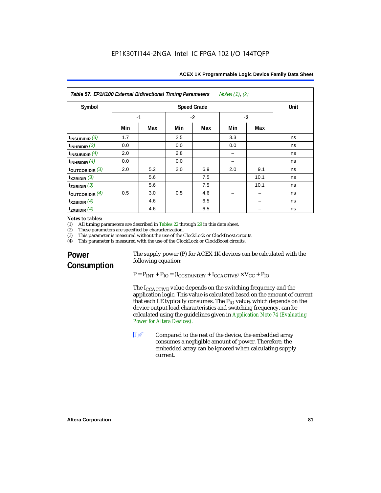| Notes $(1)$ , $(2)$<br>Table 57. EP1K100 External Bidirectional Timing Parameters |                    |     |      |     |      |      |    |
|-----------------------------------------------------------------------------------|--------------------|-----|------|-----|------|------|----|
| Symbol                                                                            | <b>Speed Grade</b> |     |      |     |      | Unit |    |
|                                                                                   | $-1$               |     | $-2$ |     | $-3$ |      |    |
|                                                                                   | Min                | Max | Min  | Max | Min  | Max  |    |
| $t_{INSUBIDIR}$ (3)                                                               | 1.7                |     | 2.5  |     | 3.3  |      | ns |
| $t_{INHBIDIR}$ (3)                                                                | 0.0                |     | 0.0  |     | 0.0  |      | ns |
| $t_{INSUBIDIR}(4)$                                                                | 2.0                |     | 2.8  |     |      |      | ns |
| $t_{INHBIDIR}$ (4)                                                                | 0.0                |     | 0.0  |     |      |      | ns |
| $t_{\text{OUTCOBIDIR}}$ (3)                                                       | 2.0                | 5.2 | 2.0  | 6.9 | 2.0  | 9.1  | ns |
| $\mathsf{t}_{\mathsf{XZBIDIR}}$ (3)                                               |                    | 5.6 |      | 7.5 |      | 10.1 | ns |
| $t_{ZXBIDIR}$ (3)                                                                 |                    | 5.6 |      | 7.5 |      | 10.1 | ns |
| $t_{\text{OUTCOBIDIR}}$ (4)                                                       | 0.5                | 3.0 | 0.5  | 4.6 |      |      | ns |
| $t_{XZBIDIR}$ (4)                                                                 |                    | 4.6 |      | 6.5 |      |      | ns |
| $t_{ZXBIDIR}$ (4)                                                                 |                    | 4.6 |      | 6.5 |      |      | ns |

## *Notes to tables:*<br>(1) All timing p

(1) All timing parameters are described in Tables 22 through  $29$  in this data sheet.<br>(2) These parameters are specified by characterization.

(2) These parameters are specified by characterization.<br>(3) This parameter is measured without the use of the C

(3) This parameter is measured without the use of the ClockLock or ClockBoost circuits.<br>(4) This parameter is measured with the use of the ClockLock or ClockBoost circuits.

This parameter is measured with the use of the ClockLock or ClockBoost circuits.

## **Power Consumption**

The supply power (P) for ACEX 1K devices can be calculated with the following equation:

 $P = P_{INT} + P_{IO} = (I_{CCSTANDBY} + I_{CCACTIVE}) \times V_{CC} + P_{IO}$ 

The I<sub>CCACTIVE</sub> value depends on the switching frequency and the application logic. This value is calculated based on the amount of current that each LE typically consumes. The  $P_{IO}$  value, which depends on the device output load characteristics and switching frequency, can be calculated using the guidelines given in *Application Note 74 (Evaluating Power for Altera Devices)*.

**1 Compared to the rest of the device, the embedded array** consumes a negligible amount of power. Therefore, the embedded array can be ignored when calculating supply current.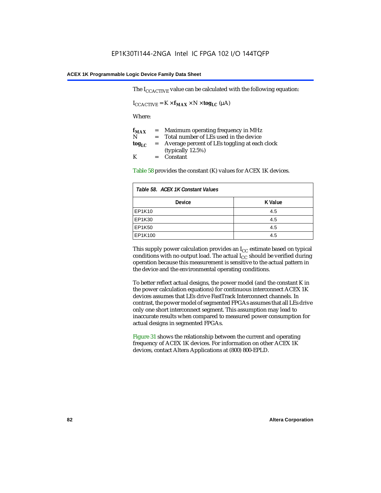The  $I_{CCACTIVE}$  value can be calculated with the following equation:

 $I_{\text{CCACTIVE}} = K \times f_{\text{MAX}} \times N \times \text{tog}_{\text{LC}} (\mu A)$ 

Where:

| $f_{MAX}$  | $=$     | Maximum operating frequency in MHz            |
|------------|---------|-----------------------------------------------|
| N          | $=$ $-$ | Total number of LEs used in the device        |
| $log_{LC}$ | $=$     | Average percent of LEs toggling at each clock |
|            |         | (typically $12.5\%$ )                         |
| K          |         | $=$ Constant                                  |

Table 58 provides the constant (K) values for ACEX 1K devices.

| Table 58. ACEX 1K Constant Values |         |  |
|-----------------------------------|---------|--|
| <b>Device</b>                     | K Value |  |
| EP1K10                            | 4.5     |  |
| EP1K30                            | 4.5     |  |
| EP1K50                            | 4.5     |  |
| EP1K100                           | 4.5     |  |

This supply power calculation provides an  $I_{CC}$  estimate based on typical conditions with no output load. The actual  $I_{CC}$  should be verified during operation because this measurement is sensitive to the actual pattern in the device and the environmental operating conditions.

To better reflect actual designs, the power model (and the constant K in the power calculation equations) for continuous interconnect ACEX 1K devices assumes that LEs drive FastTrack Interconnect channels. In contrast, the power model of segmented FPGAs assumes that all LEs drive only one short interconnect segment. This assumption may lead to inaccurate results when compared to measured power consumption for actual designs in segmented FPGAs.

Figure 31 shows the relationship between the current and operating frequency of ACEX 1K devices. For information on other ACEX 1K devices, contact Altera Applications at (800) 800-EPLD.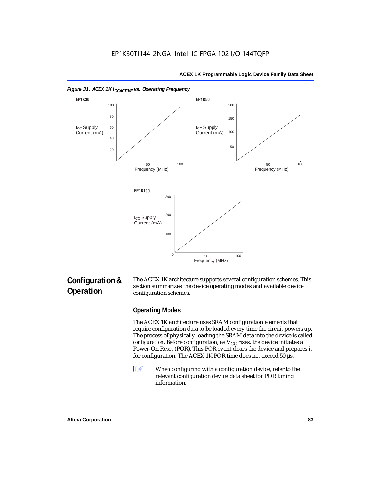

### *Figure 31. ACEX 1K I<sub>CCACTIVE</sub> vs. Operating Frequency*

## **Configuration & Operation**

The ACEX 1K architecture supports several configuration schemes. This section summarizes the device operating modes and available device configuration schemes.

### **Operating Modes**

The ACEX 1K architecture uses SRAM configuration elements that require configuration data to be loaded every time the circuit powers up. The process of physically loading the SRAM data into the device is called *configuration*. Before configuration, as  $V_{CC}$  rises, the device initiates a Power-On Reset (POR). This POR event clears the device and prepares it for configuration. The ACEX 1K POR time does not exceed 50 µs.

**1** When configuring with a configuration device, refer to the relevant configuration device data sheet for POR timing information.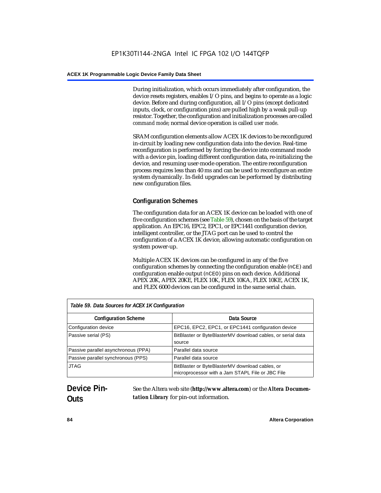During initialization, which occurs immediately after configuration, the device resets registers, enables I/O pins, and begins to operate as a logic device. Before and during configuration, all I/O pins (except dedicated inputs, clock, or configuration pins) are pulled high by a weak pull-up resistor. Together, the configuration and initialization processes are called *command mode*; normal device operation is called *user mode*.

SRAM configuration elements allow ACEX 1K devices to be reconfigured in-circuit by loading new configuration data into the device. Real-time reconfiguration is performed by forcing the device into command mode with a device pin, loading different configuration data, re-initializing the device, and resuming user-mode operation. The entire reconfiguration process requires less than 40 ms and can be used to reconfigure an entire system dynamically. In-field upgrades can be performed by distributing new configuration files.

## **Configuration Schemes**

The configuration data for an ACEX 1K device can be loaded with one of five configuration schemes (see Table 59), chosen on the basis of the target application. An EPC16, EPC2, EPC1, or EPC1441 configuration device, intelligent controller, or the JTAG port can be used to control the configuration of a ACEX 1K device, allowing automatic configuration on system power-up.

Multiple ACEX 1K devices can be configured in any of the five configuration schemes by connecting the configuration enable (nCE) and configuration enable output (nCEO) pins on each device. Additional APEX 20K, APEX 20KE, FLEX 10K, FLEX 10KA, FLEX 10KE, ACEX 1K, and FLEX 6000 devices can be configured in the same serial chain.

| Table 59. Data Sources for ACEX 1K Configuration |                                                                                                     |  |
|--------------------------------------------------|-----------------------------------------------------------------------------------------------------|--|
| <b>Configuration Scheme</b>                      | Data Source                                                                                         |  |
| Configuration device                             | EPC16, EPC2, EPC1, or EPC1441 configuration device                                                  |  |
| Passive serial (PS)                              | BitBlaster or ByteBlasterMV download cables, or serial data<br>source                               |  |
| Passive parallel asynchronous (PPA)              | Parallel data source                                                                                |  |
| Passive parallel synchronous (PPS)               | Parallel data source                                                                                |  |
| <b>JTAG</b>                                      | BitBlaster or ByteBlasterMV download cables, or<br>microprocessor with a Jam STAPL File or JBC File |  |

## **Device Pin-Outs**

See the Altera web site (**http://www.altera.com**) or the *Altera Documentation Library* for pin-out information.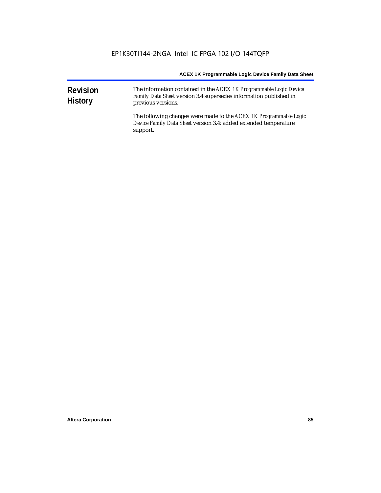| <b>Revision</b><br><b>History</b> | The information contained in the ACEX 1K Programmable Logic Device<br>Family Data Sheet version 3.4 supersedes information published in<br>previous versions. |  |  |
|-----------------------------------|---------------------------------------------------------------------------------------------------------------------------------------------------------------|--|--|
|                                   | The following changes were made to the ACEX 1K Programmable Logic<br>Device Family Data Sheet version 3.4: added extended temperature<br>support.             |  |  |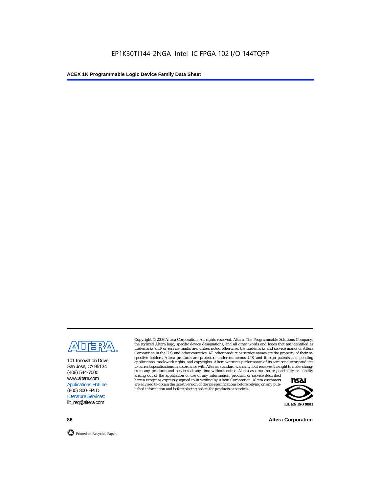

101 Innovation Drive San Jose, CA 95134 (408) 544-7000 www.altera.com Applications Hotline: (800) 800-EPLD Literature Services: lit\_req@altera.com

Copyright © 2003 Altera Corporation. All rights reserved. Altera, The Programmable Solutions Company, the stylized Altera logo, specific device designations, and all other words and logos that are identified as trademarks and/or service marks are, unless noted otherwise, the trademarks and service marks of Altera Corporation in the U.S. and other countries. All other product or service names are the property of their respective holders. Altera products are protected under numerous U.S. and foreign patents and pending applications, maskwork rights, and copyrights. Altera warrants performance of its semiconductor products to current specifications in accordance with Altera's standard warranty, but reserves the right to make changes to any products and services at any time without notice. Altera assumes no responsibility or liability

arising out of the application or use of any information, product, or service described herein except as expressly agreed to in writing by Altera Corporation. Altera customers are advised to obtain the latest version of device specifications before relying on any published information and before placing orders for products or services.



**86 Altera Corporation**